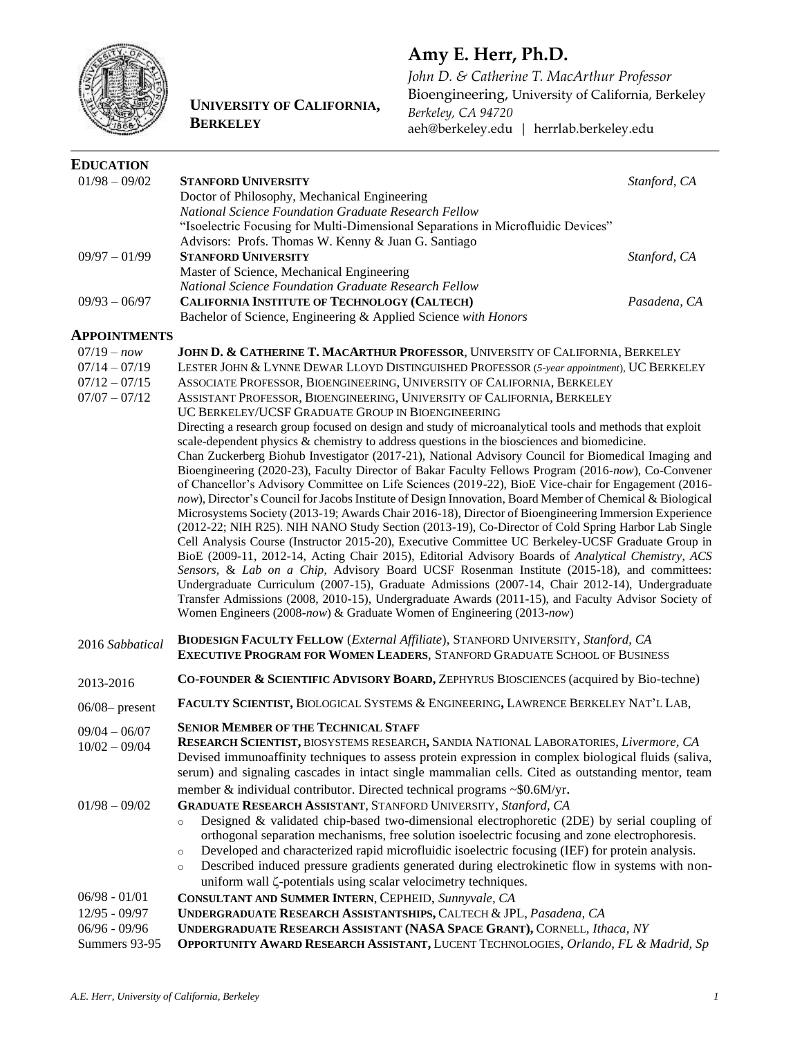

# **UNIVERSITY OF CALIFORNIA, BERKELEY**

# **Amy E. Herr, Ph.D.**

*John D. & Catherine T. MacArthur Professor* Bioengineering, University of California, Berkeley *Berkeley, CA 94720* aeh@berkeley.edu | herrlab.berkeley.edu

| <b>EDUCATION</b>                                               |                                                                                                                                                                                                         |
|----------------------------------------------------------------|---------------------------------------------------------------------------------------------------------------------------------------------------------------------------------------------------------|
| $01/98 - 09/02$<br><b>STANFORD UNIVERSITY</b>                  | Stanford, CA                                                                                                                                                                                            |
| Doctor of Philosophy, Mechanical Engineering                   |                                                                                                                                                                                                         |
|                                                                | National Science Foundation Graduate Research Fellow                                                                                                                                                    |
|                                                                | "Isoelectric Focusing for Multi-Dimensional Separations in Microfluidic Devices"                                                                                                                        |
|                                                                | Advisors: Profs. Thomas W. Kenny & Juan G. Santiago                                                                                                                                                     |
| <b>STANFORD UNIVERSITY</b><br>$09/97 - 01/99$                  | Stanford, CA                                                                                                                                                                                            |
| Master of Science, Mechanical Engineering                      |                                                                                                                                                                                                         |
|                                                                | National Science Foundation Graduate Research Fellow                                                                                                                                                    |
| $09/93 - 06/97$                                                | CALIFORNIA INSTITUTE OF TECHNOLOGY (CALTECH)<br>Pasadena, CA                                                                                                                                            |
|                                                                | Bachelor of Science, Engineering & Applied Science with Honors                                                                                                                                          |
| <b>APPOINTMENTS</b>                                            |                                                                                                                                                                                                         |
| $07/19 - now$                                                  | JOHN D. & CATHERINE T. MACARTHUR PROFESSOR, UNIVERSITY OF CALIFORNIA, BERKELEY                                                                                                                          |
| $07/14 - 07/19$                                                | LESTER JOHN & LYNNE DEWAR LLOYD DISTINGUISHED PROFESSOR (5-year appointment), UC BERKELEY                                                                                                               |
| $07/12 - 07/15$                                                | ASSOCIATE PROFESSOR, BIOENGINEERING, UNIVERSITY OF CALIFORNIA, BERKELEY                                                                                                                                 |
| $07/07 - 07/12$                                                | ASSISTANT PROFESSOR, BIOENGINEERING, UNIVERSITY OF CALIFORNIA, BERKELEY                                                                                                                                 |
|                                                                | UC BERKELEY/UCSF GRADUATE GROUP IN BIOENGINEERING                                                                                                                                                       |
|                                                                | Directing a research group focused on design and study of microanalytical tools and methods that exploit                                                                                                |
|                                                                | scale-dependent physics & chemistry to address questions in the biosciences and biomedicine.                                                                                                            |
|                                                                | Chan Zuckerberg Biohub Investigator (2017-21), National Advisory Council for Biomedical Imaging and                                                                                                     |
|                                                                | Bioengineering (2020-23), Faculty Director of Bakar Faculty Fellows Program (2016-now), Co-Convener                                                                                                     |
|                                                                | of Chancellor's Advisory Committee on Life Sciences (2019-22), BioE Vice-chair for Engagement (2016-                                                                                                    |
|                                                                | now), Director's Council for Jacobs Institute of Design Innovation, Board Member of Chemical & Biological                                                                                               |
|                                                                | Microsystems Society (2013-19; Awards Chair 2016-18), Director of Bioengineering Immersion Experience                                                                                                   |
|                                                                | (2012-22; NIH R25). NIH NANO Study Section (2013-19), Co-Director of Cold Spring Harbor Lab Single<br>Cell Analysis Course (Instructor 2015-20), Executive Committee UC Berkeley-UCSF Graduate Group in |
|                                                                | BioE (2009-11, 2012-14, Acting Chair 2015), Editorial Advisory Boards of Analytical Chemistry, ACS                                                                                                      |
|                                                                | Sensors, & Lab on a Chip, Advisory Board UCSF Rosenman Institute (2015-18), and committees:                                                                                                             |
|                                                                | Undergraduate Curriculum (2007-15), Graduate Admissions (2007-14, Chair 2012-14), Undergraduate                                                                                                         |
|                                                                | Transfer Admissions (2008, 2010-15), Undergraduate Awards (2011-15), and Faculty Advisor Society of                                                                                                     |
|                                                                | Women Engineers (2008-now) & Graduate Women of Engineering (2013-now)                                                                                                                                   |
|                                                                |                                                                                                                                                                                                         |
| 2016 Sabbatical                                                | <b>BIODESIGN FACULTY FELLOW</b> (External Affiliate), STANFORD UNIVERSITY, Stanford, CA<br>EXECUTIVE PROGRAM FOR WOMEN LEADERS, STANFORD GRADUATE SCHOOL OF BUSINESS                                    |
|                                                                |                                                                                                                                                                                                         |
| 2013-2016                                                      | CO-FOUNDER & SCIENTIFIC ADVISORY BOARD, ZEPHYRUS BIOSCIENCES (acquired by Bio-techne)                                                                                                                   |
| $06/08$ - present                                              | FACULTY SCIENTIST, BIOLOGICAL SYSTEMS & ENGINEERING, LAWRENCE BERKELEY NAT'L LAB,                                                                                                                       |
| <b>SENIOR MEMBER OF THE TECHNICAL STAFF</b><br>$09/04 - 06/07$ |                                                                                                                                                                                                         |
| $10/02 - 09/04$                                                | RESEARCH SCIENTIST, BIOSYSTEMS RESEARCH, SANDIA NATIONAL LABORATORIES, Livermore, CA                                                                                                                    |
|                                                                | Devised immunoaffinity techniques to assess protein expression in complex biological fluids (saliva,                                                                                                    |
|                                                                | serum) and signaling cascades in intact single mammalian cells. Cited as outstanding mentor, team                                                                                                       |
|                                                                | member $\&$ individual contributor. Directed technical programs $\sim$ \$0.6M/yr.                                                                                                                       |
| $01/98 - 09/02$                                                | GRADUATE RESEARCH ASSISTANT, STANFORD UNIVERSITY, Stanford, CA                                                                                                                                          |
| $\circ$                                                        | Designed & validated chip-based two-dimensional electrophoretic (2DE) by serial coupling of                                                                                                             |
|                                                                | orthogonal separation mechanisms, free solution isoelectric focusing and zone electrophoresis.                                                                                                          |
| $\circ$                                                        | Developed and characterized rapid microfluidic isoelectric focusing (IEF) for protein analysis.                                                                                                         |
| $\circ$                                                        | Described induced pressure gradients generated during electrokinetic flow in systems with non-                                                                                                          |
|                                                                | uniform wall $\zeta$ -potentials using scalar velocimetry techniques.                                                                                                                                   |
| $06/98 - 01/01$                                                |                                                                                                                                                                                                         |
|                                                                |                                                                                                                                                                                                         |
|                                                                | CONSULTANT AND SUMMER INTERN, CEPHEID, Sunnyvale, CA                                                                                                                                                    |
| $12/95 - 09/97$<br>06/96 - 09/96                               | UNDERGRADUATE RESEARCH ASSISTANTSHIPS, CALTECH & JPL, Pasadena, CA<br>UNDERGRADUATE RESEARCH ASSISTANT (NASA SPACE GRANT), CORNELL, Ithaca, NY                                                          |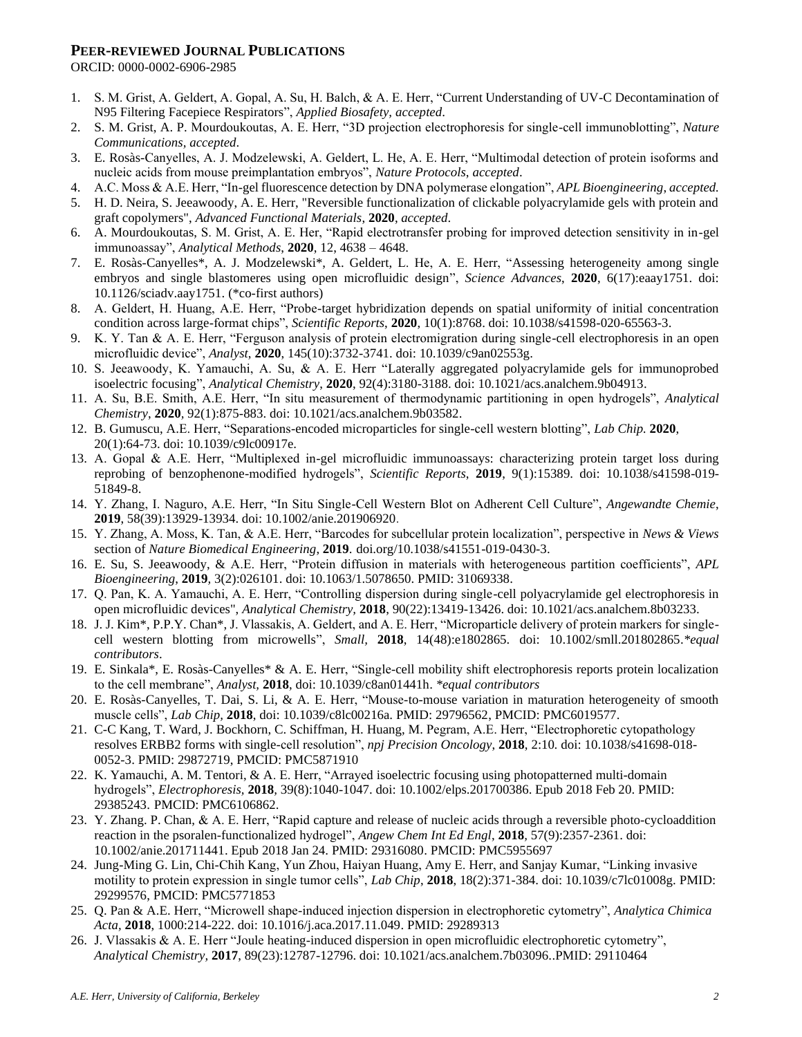#### **PEER-REVIEWED JOURNAL PUBLICATIONS**

ORCID: 0000-0002-6906-2985

- 1. S. M. Grist, A. Geldert, A. Gopal, A. Su, H. Balch, & A. E. Herr, "Current Understanding of UV-C Decontamination of N95 Filtering Facepiece Respirators", *Applied Biosafety, accepted*.
- 2. S. M. Grist, A. P. Mourdoukoutas, A. E. Herr, "3D projection electrophoresis for single-cell immunoblotting", *Nature Communications, accepted*.
- 3. E. Rosàs-Canyelles, A. J. Modzelewski, A. Geldert, L. He, A. E. Herr, "Multimodal detection of protein isoforms and nucleic acids from mouse preimplantation embryos", *Nature Protocols*, *accepted*.
- 4. A.C. Moss & A.E. Herr, "In-gel fluorescence detection by DNA polymerase elongation", *APL Bioengineering*, *accepted.*
- 5. H. D. Neira, S. Jeeawoody, A. E. Herr, "Reversible functionalization of clickable polyacrylamide gels with protein and graft copolymers", *Advanced Functional Materials*, **2020**, *accepted*.
- 6. A. Mourdoukoutas, S. M. Grist, A. E. Her, "Rapid electrotransfer probing for improved detection sensitivity in in-gel immunoassay", *Analytical Methods*, **2020**, 12, 4638 – 4648.
- 7. E. Rosàs-Canyelles\*, A. J. Modzelewski\*, A. Geldert, L. He, A. E. Herr, "Assessing heterogeneity among single embryos and single blastomeres using open microfluidic design", *Science Advances*, **2020**, 6(17):eaay1751. doi: 10.1126/sciadv.aay1751. (\*co-first authors)
- 8. A. Geldert, H. Huang, A.E. Herr, "Probe-target hybridization depends on spatial uniformity of initial concentration condition across large-format chips", *Scientific Reports*, **2020**, 10(1):8768. doi: 10.1038/s41598-020-65563-3.
- 9. K. Y. Tan & A. E. Herr, "Ferguson analysis of protein electromigration during single-cell electrophoresis in an open microfluidic device", *Analyst*, **2020**, 145(10):3732-3741. doi: 10.1039/c9an02553g.
- 10. S. Jeeawoody, K. Yamauchi, A. Su, & A. E. Herr "Laterally aggregated polyacrylamide gels for immunoprobed isoelectric focusing", *Analytical Chemistry*, **2020**, 92(4):3180-3188. doi: 10.1021/acs.analchem.9b04913.
- 11. A. Su, B.E. Smith, A.E. Herr, "In situ measurement of thermodynamic partitioning in open hydrogels", *Analytical Chemistry*, **2020***,* 92(1):875-883. doi: 10.1021/acs.analchem.9b03582.
- 12. B. Gumuscu, A.E. Herr, "Separations-encoded microparticles for single-cell western blotting", *Lab Chip.* **2020**, 20(1):64-73. doi: 10.1039/c9lc00917e.
- 13. A. Gopal & A.E. Herr, "Multiplexed in-gel microfluidic immunoassays: characterizing protein target loss during reprobing of benzophenone-modified hydrogels", *Scientific Reports*, **2019**, 9(1):15389. doi: 10.1038/s41598-019- 51849-8.
- 14. Y. Zhang, I. Naguro, A.E. Herr, "In Situ Single-Cell Western Blot on Adherent Cell Culture", *Angewandte Chemie*, **2019**, 58(39):13929-13934. doi: 10.1002/anie.201906920.
- 15. Y. Zhang, A. Moss, K. Tan, & A.E. Herr, "Barcodes for subcellular protein localization", perspective in *News & Views* section of *Nature Biomedical Engineering*, **2019**. doi.org/10.1038/s41551-019-0430-3.
- 16. E. Su, S. Jeeawoody, & A.E. Herr, "Protein diffusion in materials with heterogeneous partition coefficients", *APL Bioengineering*, **2019***,* 3(2):026101. doi: 10.1063/1.5078650. PMID: 31069338.
- 17. Q. Pan, K. A. Yamauchi, A. E. Herr, "Controlling dispersion during single-cell polyacrylamide gel electrophoresis in open microfluidic devices", *Analytical Chemistry,* **2018**, 90(22):13419-13426. doi: 10.1021/acs.analchem.8b03233*.*
- 18. J. J. Kim\*, P.P.Y. Chan\*, J. Vlassakis, A. Geldert, and A. E. Herr, "Microparticle delivery of protein markers for singlecell western blotting from microwells", *Small,* **2018**, 14(48):e1802865. doi: 10.1002/smll.201802865.*\*equal contributors*.
- 19. E. Sinkala\*, E. Rosàs-Canyelles\* & A. E. Herr, "Single-cell mobility shift electrophoresis reports protein localization to the cell membrane", *Analyst,* **2018**, doi: 10.1039/c8an01441h. *\*equal contributors*
- 20. E. Rosàs-Canyelles, T. Dai, S. Li, & A. E. Herr, "Mouse-to-mouse variation in maturation heterogeneity of smooth muscle cells", *Lab Chip,* **2018**, doi: 10.1039/c8lc00216a. PMID: 29796562, PMCID: PMC6019577.
- 21. C-C Kang, T. Ward, J. Bockhorn, C. Schiffman, H. Huang, M. Pegram, A.E. Herr, "Electrophoretic cytopathology resolves ERBB2 forms with single-cell resolution", *npj Precision Oncology*, **2018**, 2:10*.* doi: 10.1038/s41698-018- 0052-3. PMID: 29872719, PMCID: PMC5871910
- 22. K. Yamauchi, A. M. Tentori, & A. E. Herr, "Arrayed isoelectric focusing using photopatterned multi-domain hydrogels", *Electrophoresis,* **2018***,* 39(8):1040-1047. doi: 10.1002/elps.201700386. Epub 2018 Feb 20. PMID: 29385243. PMCID: PMC6106862.
- 23. Y. Zhang. P. Chan, & A. E. Herr, "Rapid capture and release of nucleic acids through a reversible photo-cycloaddition reaction in the psoralen-functionalized hydrogel", *Angew Chem Int Ed Engl*, **2018***,* 57(9):2357-2361. doi: 10.1002/anie.201711441. Epub 2018 Jan 24. PMID: 29316080. PMCID: PMC5955697
- 24. Jung-Ming G. Lin, Chi-Chih Kang, Yun Zhou, Haiyan Huang, Amy E. Herr, and Sanjay Kumar, "Linking invasive motility to protein expression in single tumor cells", *Lab Chip*, **2018**, 18(2):371-384. doi: 10.1039/c7lc01008g. PMID: 29299576, PMCID: PMC5771853
- 25. Q. Pan & A.E. Herr, "Microwell shape-induced injection dispersion in electrophoretic cytometry", *Analytica Chimica Acta,* **2018**, 1000:214-222. doi: 10.1016/j.aca.2017.11.049. PMID: 29289313
- 26. J. Vlassakis & A. E. Herr "Joule heating-induced dispersion in open microfluidic electrophoretic cytometry", *Analytical Chemistry,* **2017**, 89(23):12787-12796. doi: 10.1021/acs.analchem.7b03096..PMID: 29110464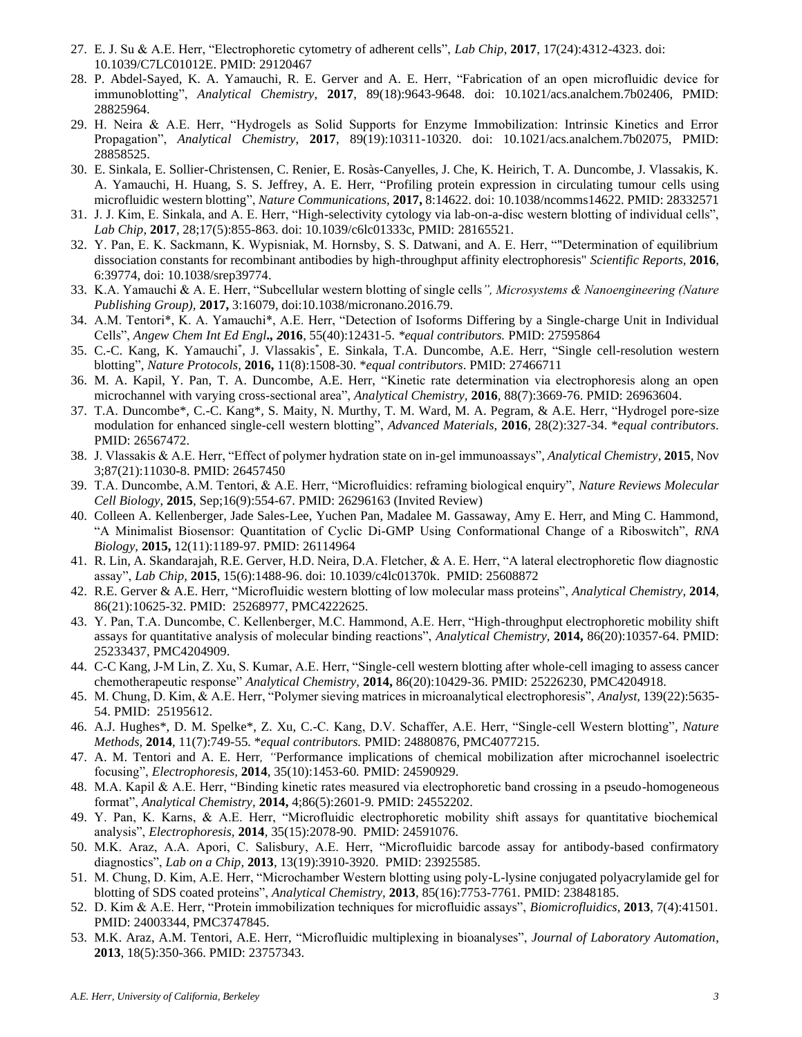- 27. E. J. Su & A.E. Herr, "Electrophoretic cytometry of adherent cells", *Lab Chip*, **2017**, 17(24):4312-4323. doi: 10.1039/C7LC01012E. PMID: 29120467
- 28. P. Abdel-Sayed, K. A. Yamauchi, R. E. Gerver and A. E. Herr, "Fabrication of an open microfluidic device for immunoblotting", *Analytical Chemistry*, **2017**, 89(18):9643-9648. doi: 10.1021/acs.analchem.7b02406, PMID: 28825964.
- 29. H. Neira & A.E. Herr, "Hydrogels as Solid Supports for Enzyme Immobilization: Intrinsic Kinetics and Error Propagation", *Analytical Chemistry*, **2017**, 89(19):10311-10320. doi: 10.1021/acs.analchem.7b02075, PMID: 28858525.
- 30. E. Sinkala, E. Sollier-Christensen, C. Renier, E. Rosàs-Canyelles, J. Che, K. Heirich, T. A. Duncombe, J. Vlassakis, K. A. Yamauchi, H. Huang, S. S. Jeffrey, A. E. Herr, "Profiling protein expression in circulating tumour cells using microfluidic western blotting", *Nature Communications,* **2017,** 8:14622. doi: 10.1038/ncomms14622. PMID: 28332571
- 31. J. J. Kim, E. Sinkala, and A. E. Herr, "High-selectivity cytology via lab-on-a-disc western blotting of individual cells", *Lab Chip*, **2017**, 28;17(5):855-863. doi: 10.1039/c6lc01333c, PMID: 28165521.
- 32. Y. Pan, E. K. Sackmann, K. Wypisniak, M. Hornsby, S. S. Datwani, and A. E. Herr, ""Determination of equilibrium dissociation constants for recombinant antibodies by high-throughput affinity electrophoresis" *Scientific Reports,* **2016**, 6:39774, doi: 10.1038/srep39774.
- 33. K.A. Yamauchi & A. E. Herr, "Subcellular western blotting of single cells*", Microsystems & Nanoengineering (Nature Publishing Group),* **2017,** 3:16079, doi:10.1038/micronano.2016.79.
- 34. A.M. Tentori\*, K. A. Yamauchi\*, A.E. Herr, "Detection of Isoforms Differing by a Single-charge Unit in Individual Cells", *Angew Chem Int Ed Engl., 2***016**, 55(40):12431-5. *\*equal contributors.* PMID: 27595864
- 35. C.-C. Kang, K. Yamauchi\* , J. Vlassakis\* , E. Sinkala, T.A. Duncombe, A.E. Herr, "Single cell-resolution western blotting", *Nature Protocols,* **2016,** 11(8):1508-30. \**equal contributors*. PMID: 27466711
- 36. M. A. Kapil, Y. Pan, T. A. Duncombe, A.E. Herr, "Kinetic rate determination via electrophoresis along an open microchannel with varying cross-sectional area", *Analytical Chemistry,* **2016***,* 88(7):3669-76. PMID: 26963604.
- 37. T.A. Duncombe\*, C.-C. Kang\*, S. Maity, N. Murthy, T. M. Ward, M. A. Pegram, & A.E. Herr, "Hydrogel pore-size modulation for enhanced single-cell western blotting", *Advanced Materials*, **2016**, 28(2):327-34. \**equal contributors*. PMID: 26567472.
- 38. J. Vlassakis & A.E. Herr, "Effect of polymer hydration state on in-gel immunoassays", *Analytical Chemistry*, **2015***,* Nov 3;87(21):11030-8. PMID: 26457450
- 39. T.A. Duncombe, A.M. Tentori, & A.E. Herr, "Microfluidics: reframing biological enquiry", *Nature Reviews Molecular Cell Biology*, **2015**, Sep;16(9):554-67. PMID: 26296163 (Invited Review)
- 40. Colleen A. Kellenberger, Jade Sales-Lee, Yuchen Pan, Madalee M. Gassaway, Amy E. Herr, and Ming C. Hammond, "A Minimalist Biosensor: Quantitation of Cyclic Di-GMP Using Conformational Change of a Riboswitch", *RNA Biology,* **2015,** 12(11):1189-97. PMID: 26114964
- 41. R. Lin, A. Skandarajah, R.E. Gerver, H.D. Neira, D.A. Fletcher, & A. E. Herr, "A lateral electrophoretic flow diagnostic assay", *Lab Chip,* **2015**, 15(6):1488-96. doi: 10.1039/c4lc01370k. PMID: 25608872
- 42. R.E. Gerver & A.E. Herr, "Microfluidic western blotting of low molecular mass proteins", *Analytical Chemistry,* **2014***,*  86(21):10625-32. PMID: 25268977, PMC4222625.
- 43. Y. Pan, T.A. Duncombe, C. Kellenberger, M.C. Hammond, A.E. Herr, "High-throughput electrophoretic mobility shift assays for quantitative analysis of molecular binding reactions", *Analytical Chemistry,* **2014,** 86(20):10357-64. PMID: 25233437, PMC4204909.
- 44. C-C Kang, J-M Lin, Z. Xu, S. Kumar, A.E. Herr, "Single-cell western blotting after whole-cell imaging to assess cancer chemotherapeutic response" *Analytical Chemistry,* **2014,** 86(20):10429-36. PMID: 25226230, PMC4204918.
- 45. M. Chung, D. Kim, & A.E. Herr, "Polymer sieving matrices in microanalytical electrophoresis", *Analyst,* 139(22):5635- 54. PMID: 25195612.
- 46. A.J. Hughes\*, D. M. Spelke\*, Z. Xu, C.-C. Kang, D.V. Schaffer, A.E. Herr, "Single-cell Western blotting"*, Nature Methods,* **2014***,* 11(7):749-55*.* \**equal contributors.* PMID: 24880876, PMC4077215.
- 47. A. M. Tentori and A. E. Herr*, "*Performance implications of chemical mobilization after microchannel isoelectric focusing", *Electrophoresis,* **2014**, 35(10):1453-60*.* PMID: 24590929.
- 48. M.A. Kapil & A.E. Herr, "Binding kinetic rates measured via electrophoretic band crossing in a pseudo-homogeneous format", *Analytical Chemistry,* **2014,** 4;86(5):2601-9*.* PMID: 24552202.
- 49. Y. Pan, K. Karns, & A.E. Herr, "Microfluidic electrophoretic mobility shift assays for quantitative biochemical analysis", *Electrophoresis,* **2014***,* 35(15):2078-90. PMID: 24591076.
- 50. M.K. Araz, A.A. Apori, C. Salisbury, A.E. Herr, "Microfluidic barcode assay for antibody-based confirmatory diagnostics", *Lab on a Chip,* **2013**, 13(19):3910-3920. PMID: 23925585.
- 51. M. Chung, D. Kim, A.E. Herr, "Microchamber Western blotting using poly-L-lysine conjugated polyacrylamide gel for blotting of SDS coated proteins", *Analytical Chemistry,* **2013**, 85(16):7753-7761*.* PMID: 23848185.
- 52. D. Kim & A.E. Herr, "Protein immobilization techniques for microfluidic assays", *Biomicrofluidics*, **2013**, 7(4):41501. PMID: 24003344, PMC3747845.
- 53. M.K. Araz, A.M. Tentori, A.E. Herr, "Microfluidic multiplexing in bioanalyses", *Journal of Laboratory Automation*, **2013**, 18(5):350-366. PMID: 23757343.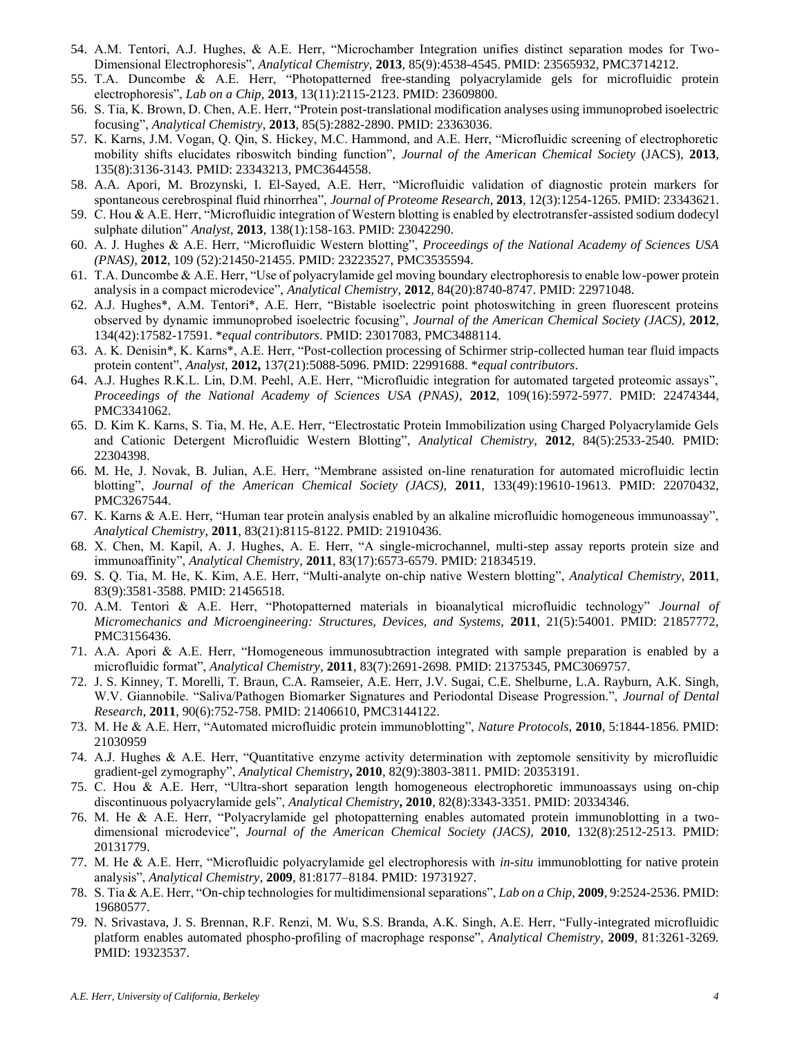- 54. A.M. Tentori, A.J. Hughes, & A.E. Herr, "Microchamber Integration unifies distinct separation modes for Two-Dimensional Electrophoresis", *Analytical Chemistry,* **2013**, 85(9):4538-4545. PMID: 23565932, PMC3714212.
- 55. T.A. Duncombe & A.E. Herr, "Photopatterned free-standing polyacrylamide gels for microfluidic protein electrophoresis", *Lab on a Chip,* **2013***,* 13(11):2115-2123. PMID: 23609800.
- 56. S. Tia, K. Brown, D. Chen, A.E. Herr, "Protein post-translational modification analyses using immunoprobed isoelectric focusing", *Analytical Chemistry*, **2013***,* 85(5):2882-2890. PMID: 23363036.
- 57. K. Karns, J.M. Vogan, Q. Qin, S. Hickey, M.C. Hammond, and A.E. Herr, "Microfluidic screening of electrophoretic mobility shifts elucidates riboswitch binding function", *Journal of the American Chemical Society* (JACS), **2013**, 135(8):3136-3143*.* PMID: 23343213, PMC3644558.
- 58. A.A. Apori, M. Brozynski, I. El-Sayed, A.E. Herr, "Microfluidic validation of diagnostic protein markers for spontaneous cerebrospinal fluid rhinorrhea", *Journal of Proteome Research,* **2013**, 12(3):1254-1265*.* PMID: 23343621.
- 59. C. Hou & A.E. Herr, "Microfluidic integration of Western blotting is enabled by electrotransfer-assisted sodium dodecyl sulphate dilution" *Analyst*, **2013**, 138(1):158-163. PMID: 23042290.
- 60. A. J. Hughes & A.E. Herr, "Microfluidic Western blotting", *Proceedings of the National Academy of Sciences USA (PNAS)*, **2012**, 109 (52):21450-21455. PMID: 23223527, PMC3535594.
- 61. T.A. Duncombe & A.E. Herr, "Use of polyacrylamide gel moving boundary electrophoresis to enable low-power protein analysis in a compact microdevice", *Analytical Chemistry*, **2012**, 84(20):8740-8747. PMID: 22971048.
- 62. A.J. Hughes\*, A.M. Tentori\*, A.E. Herr, "Bistable isoelectric point photoswitching in green fluorescent proteins observed by dynamic immunoprobed isoelectric focusing", *Journal of the American Chemical Society (JACS)*, **2012**, 134(42):17582-17591. \**equal contributors*. PMID: 23017083, PMC3488114.
- 63. A. K. Denisin\*, K. Karns\*, A.E. Herr, "Post-collection processing of Schirmer strip-collected human tear fluid impacts protein content", *Analyst,* **2012,** 137(21):5088-5096. PMID: 22991688. \**equal contributors*.
- 64. A.J. Hughes R.K.L. Lin, D.M. Peehl, A.E. Herr, "Microfluidic integration for automated targeted proteomic assays", *Proceedings of the National Academy of Sciences USA (PNAS)*, **2012**, 109(16):5972-5977. PMID: 22474344, PMC3341062.
- 65. D. Kim K. Karns, S. Tia, M. He, A.E. Herr, "Electrostatic Protein Immobilization using Charged Polyacrylamide Gels and Cationic Detergent Microfluidic Western Blotting", *Analytical Chemistry*, **2012**, 84(5):2533-2540*.* PMID: 22304398.
- 66. M. He, J. Novak, B. Julian, A.E. Herr, "Membrane assisted on-line renaturation for automated microfluidic lectin blotting", *Journal of the American Chemical Society (JACS),* **2011***,* 133(49):19610-19613. PMID: 22070432, PMC3267544.
- 67. K. Karns & A.E. Herr, "Human tear protein analysis enabled by an alkaline microfluidic homogeneous immunoassay", *Analytical Chemistry*, **2011**, 83(21):8115-8122. PMID: 21910436.
- 68. X. Chen, M. Kapil, A. J. Hughes, A. E. Herr, "A single-microchannel, multi-step assay reports protein size and immunoaffinity", *Analytical Chemistry,* **2011**, 83(17):6573-6579. PMID: 21834519.
- 69. S. Q. Tia, M. He, K. Kim, A.E. Herr, "Multi-analyte on-chip native Western blotting", *Analytical Chemistry*, **2011**, 83(9):3581-3588*.* PMID: 21456518.
- 70. A.M. Tentori & A.E. Herr, "Photopatterned materials in bioanalytical microfluidic technology" *Journal of Micromechanics and Microengineering: Structures, Devices, and Systems*, **2011**, 21(5):54001. PMID: 21857772, PMC3156436.
- 71. A.A. Apori & A.E. Herr, "Homogeneous immunosubtraction integrated with sample preparation is enabled by a microfluidic format", *Analytical Chemistry,* **2011**, 83(7):2691-2698*.* PMID: 21375345, PMC3069757.
- 72. J. S. Kinney, T. Morelli, T. Braun, C.A. Ramseier, A.E. Herr, J.V. Sugai, C.E. Shelburne, L.A. Rayburn, A.K. Singh, W.V. Giannobile. "Saliva/Pathogen Biomarker Signatures and Periodontal Disease Progression.", *Journal of Dental Research*, **2011**, 90(6):752-758. PMID: 21406610, PMC3144122.
- 73. M. He & A.E. Herr, "Automated microfluidic protein immunoblotting", *Nature Protocols*, **2010**, 5:1844-1856. PMID: 21030959
- 74. A.J. Hughes & A.E. Herr, "Quantitative enzyme activity determination with zeptomole sensitivity by microfluidic gradient-gel zymography", *Analytical Chemistry***, 2010**, 82(9):3803-3811. PMID: 20353191.
- 75. C. Hou & A.E. Herr, "Ultra-short separation length homogeneous electrophoretic immunoassays using on-chip discontinuous polyacrylamide gels", *Analytical Chemistry***, 2010**, 82(8):3343-3351. PMID: 20334346.
- 76. M. He & A.E. Herr, "Polyacrylamide gel photopatterning enables automated protein immunoblotting in a twodimensional microdevice", *Journal of the American Chemical Society (JACS),* **2010**, 132(8):2512-2513. PMID: 20131779.
- 77. M. He & A.E. Herr, "Microfluidic polyacrylamide gel electrophoresis with *in-situ* immunoblotting for native protein analysis", *Analytical Chemistry*, **2009**, 81:8177–8184. PMID: 19731927.
- 78. S. Tia & A.E. Herr, "On-chip technologies for multidimensional separations", *Lab on a Chip,* **2009**, 9:2524-2536. PMID: 19680577.
- 79. N. Srivastava, J. S. Brennan, R.F. Renzi, M. Wu, S.S. Branda, A.K. Singh, A.E. Herr, "Fully-integrated microfluidic platform enables automated phospho-profiling of macrophage response", *Analytical Chemistry*, **2009**, 81:3261-3269*.* PMID: 19323537.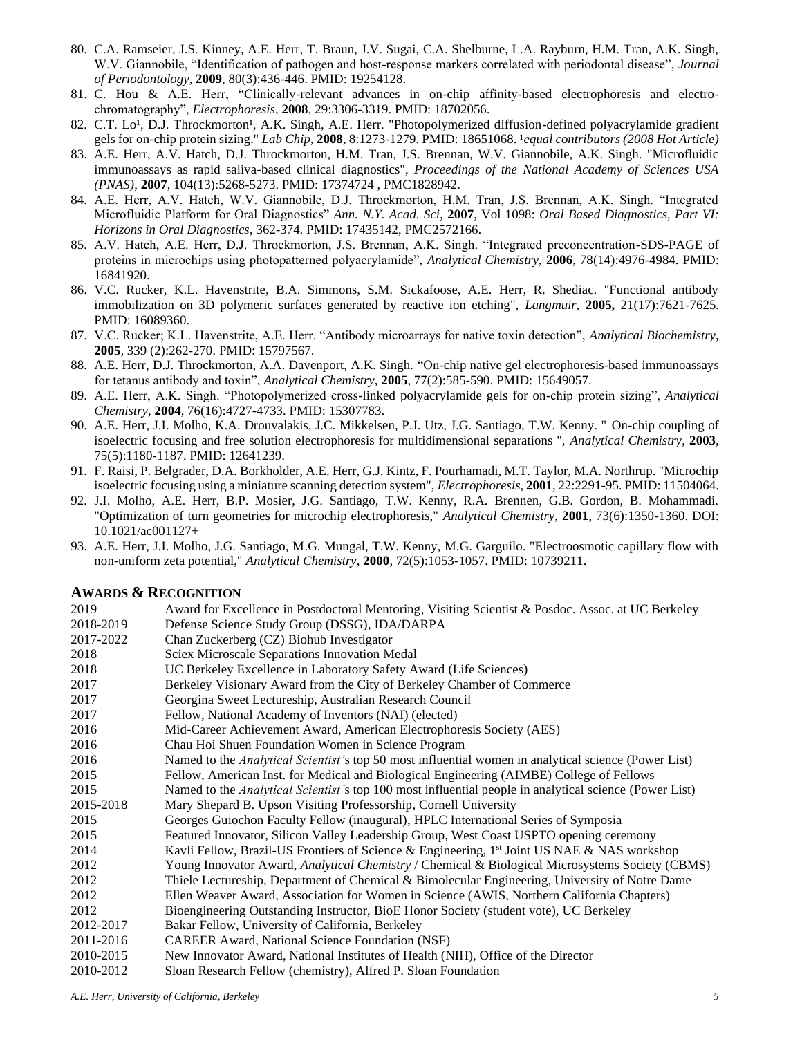- 80. C.A. Ramseier, J.S. Kinney, A.E. Herr, T. Braun, J.V. Sugai, C.A. Shelburne, L.A. Rayburn, H.M. Tran, A.K. Singh, W.V. Giannobile, "Identification of pathogen and host-response markers correlated with periodontal disease", *Journal of Periodontology*, **2009**, 80(3):436-446. PMID: 19254128.
- 81. C. Hou & A.E. Herr, "Clinically-relevant advances in on-chip affinity-based electrophoresis and electrochromatography", *Electrophoresis*, **2008**, 29:3306-3319. PMID: 18702056.
- 82. C.T. Lo<sup>1</sup>, D.J. Throckmorton<sup>1</sup>, A.K. Singh, A.E. Herr. "Photopolymerized diffusion-defined polyacrylamide gradient gels for on-chip protein sizing." *Lab Chip*, 2008, 8:1273-1279. PMID: 18651068. *<sup>1</sup>equal contributors (2008 Hot Article)*
- 83. A.E. Herr, A.V. Hatch, D.J. Throckmorton, H.M. Tran, J.S. Brennan, W.V. Giannobile, A.K. Singh. "Microfluidic immunoassays as rapid saliva-based clinical diagnostics", *Proceedings of the National Academy of Sciences USA (PNAS)*, **2007**, 104(13):5268-5273. PMID: 17374724 , PMC1828942.
- 84. A.E. Herr, A.V. Hatch, W.V. Giannobile, D.J. Throckmorton, H.M. Tran, J.S. Brennan, A.K. Singh. "Integrated Microfluidic Platform for Oral Diagnostics" *Ann. N.Y. Acad. Sci*, **2007**, Vol 1098: *Oral Based Diagnostics, Part VI: Horizons in Oral Diagnostics*, 362-374. PMID: 17435142, PMC2572166.
- 85. A.V. Hatch, A.E. Herr, D.J. Throckmorton, J.S. Brennan, A.K. Singh. "Integrated preconcentration-SDS-PAGE of proteins in microchips using photopatterned polyacrylamide", *Analytical Chemistry*, **2006**, 78(14):4976-4984. PMID: 16841920.
- 86. V.C. Rucker, K.L. Havenstrite, B.A. Simmons, S.M. Sickafoose, A.E. Herr, R. Shediac. "Functional antibody immobilization on 3D polymeric surfaces generated by reactive ion etching", *Langmuir,* **2005,** 21(17):7621-7625. PMID: 16089360.
- 87. V.C. Rucker; K.L. Havenstrite, A.E. Herr. "Antibody microarrays for native toxin detection", *Analytical Biochemistry,*  **2005***,* 339 (2):262-270. PMID: 15797567.
- 88. A.E. Herr, D.J. Throckmorton, A.A. Davenport, A.K. Singh. "On-chip native gel electrophoresis-based immunoassays for tetanus antibody and toxin", *Analytical Chemistry*, **2005**, 77(2):585-590. PMID: 15649057.
- 89. A.E. Herr, A.K. Singh. "Photopolymerized cross-linked polyacrylamide gels for on-chip protein sizing", *Analytical Chemistry*, **2004**, 76(16):4727-4733. PMID: 15307783.
- 90. A.E. Herr, J.I. Molho, K.A. Drouvalakis, J.C. Mikkelsen, P.J. Utz, J.G. Santiago, T.W. Kenny. " On-chip coupling of isoelectric focusing and free solution electrophoresis for multidimensional separations ", *Analytical Chemistry*, **2003**, 75(5):1180-1187. PMID: 12641239.
- 91. F. Raisi, P. Belgrader, D.A. Borkholder, A.E. Herr, G.J. Kintz, F. Pourhamadi, M.T. Taylor, M.A. Northrup. "Microchip isoelectric focusing using a miniature scanning detection system", *Electrophoresis*, **2001**, 22:2291-95. PMID: 11504064.
- 92. J.I. Molho, A.E. Herr, B.P. Mosier, J.G. Santiago, T.W. Kenny, R.A. Brennen, G.B. Gordon, B. Mohammadi. "Optimization of turn geometries for microchip electrophoresis," *Analytical Chemistry*, **2001**, 73(6):1350-1360. DOI: 10.1021/ac001127+
- 93. A.E. Herr, J.I. Molho, J.G. Santiago, M.G. Mungal, T.W. Kenny, M.G. Garguilo. "Electroosmotic capillary flow with non-uniform zeta potential," *Analytical Chemistry*, **2000**, 72(5):1053-1057. PMID: 10739211.

#### **AWARDS & RECOGNITION**

| 2019      | Award for Excellence in Postdoctoral Mentoring, Visiting Scientist & Posdoc. Assoc. at UC Berkeley            |
|-----------|---------------------------------------------------------------------------------------------------------------|
| 2018-2019 | Defense Science Study Group (DSSG), IDA/DARPA                                                                 |
| 2017-2022 | Chan Zuckerberg (CZ) Biohub Investigator                                                                      |
| 2018      | Sciex Microscale Separations Innovation Medal                                                                 |
| 2018      | UC Berkeley Excellence in Laboratory Safety Award (Life Sciences)                                             |
| 2017      | Berkeley Visionary Award from the City of Berkeley Chamber of Commerce                                        |
| 2017      | Georgina Sweet Lectureship, Australian Research Council                                                       |
| 2017      | Fellow, National Academy of Inventors (NAI) (elected)                                                         |
| 2016      | Mid-Career Achievement Award, American Electrophoresis Society (AES)                                          |
| 2016      | Chau Hoi Shuen Foundation Women in Science Program                                                            |
| 2016      | Named to the <i>Analytical Scientist's</i> top 50 most influential women in analytical science (Power List)   |
| 2015      | Fellow, American Inst. for Medical and Biological Engineering (AIMBE) College of Fellows                      |
| 2015      | Named to the <i>Analytical Scientist's</i> top 100 most influential people in analytical science (Power List) |
| 2015-2018 | Mary Shepard B. Upson Visiting Professorship, Cornell University                                              |
| 2015      | Georges Guiochon Faculty Fellow (inaugural), HPLC International Series of Symposia                            |
| 2015      | Featured Innovator, Silicon Valley Leadership Group, West Coast USPTO opening ceremony                        |
| 2014      | Kavli Fellow, Brazil-US Frontiers of Science & Engineering, 1 <sup>st</sup> Joint US NAE & NAS workshop       |
| 2012      | Young Innovator Award, Analytical Chemistry / Chemical & Biological Microsystems Society (CBMS)               |
| 2012      | Thiele Lectureship, Department of Chemical & Bimolecular Engineering, University of Notre Dame                |
| 2012      | Ellen Weaver Award, Association for Women in Science (AWIS, Northern California Chapters)                     |
| 2012      | Bioengineering Outstanding Instructor, BioE Honor Society (student vote), UC Berkeley                         |
| 2012-2017 | Bakar Fellow, University of California, Berkeley                                                              |
| 2011-2016 | <b>CAREER Award, National Science Foundation (NSF)</b>                                                        |
| 2010-2015 | New Innovator Award, National Institutes of Health (NIH), Office of the Director                              |
| 2010-2012 | Sloan Research Fellow (chemistry), Alfred P. Sloan Foundation                                                 |

*A.E. Herr, University of California, Berkeley 5*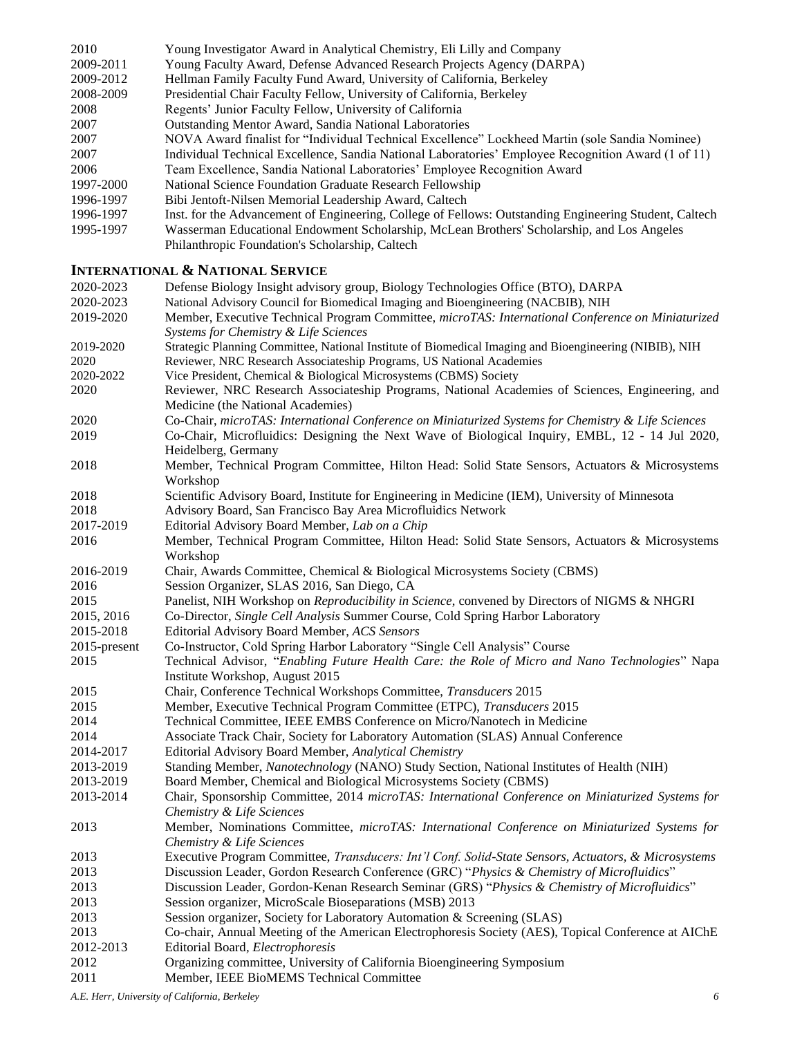| 2010      | Young Investigator Award in Analytical Chemistry, Eli Lilly and Company                                |
|-----------|--------------------------------------------------------------------------------------------------------|
| 2009-2011 | Young Faculty Award, Defense Advanced Research Projects Agency (DARPA)                                 |
| 2009-2012 | Hellman Family Faculty Fund Award, University of California, Berkeley                                  |
| 2008-2009 | Presidential Chair Faculty Fellow, University of California, Berkeley                                  |
| 2008      | Regents' Junior Faculty Fellow, University of California                                               |
| 2007      | Outstanding Mentor Award, Sandia National Laboratories                                                 |
| 2007      | NOVA Award finalist for "Individual Technical Excellence" Lockheed Martin (sole Sandia Nominee)        |
| 2007      | Individual Technical Excellence, Sandia National Laboratories' Employee Recognition Award (1 of 11)    |
| 2006      | Team Excellence, Sandia National Laboratories' Employee Recognition Award                              |
| 1997-2000 | National Science Foundation Graduate Research Fellowship                                               |
| 1996-1997 | Bibi Jentoft-Nilsen Memorial Leadership Award, Caltech                                                 |
| 1996-1997 | Inst. for the Advancement of Engineering, College of Fellows: Outstanding Engineering Student, Caltech |
| 1995-1997 | Wasserman Educational Endowment Scholarship, McLean Brothers' Scholarship, and Los Angeles             |
|           | Philanthropic Foundation's Scholarship, Caltech                                                        |

## **INTERNATIONAL & NATIONAL SERVICE**

| 2020-2023    | Defense Biology Insight advisory group, Biology Technologies Office (BTO), DARPA                       |
|--------------|--------------------------------------------------------------------------------------------------------|
| 2020-2023    | National Advisory Council for Biomedical Imaging and Bioengineering (NACBIB), NIH                      |
| 2019-2020    | Member, Executive Technical Program Committee, microTAS: International Conference on Miniaturized      |
|              | Systems for Chemistry & Life Sciences                                                                  |
| 2019-2020    | Strategic Planning Committee, National Institute of Biomedical Imaging and Bioengineering (NIBIB), NIH |
| 2020         | Reviewer, NRC Research Associateship Programs, US National Academies                                   |
| 2020-2022    | Vice President, Chemical & Biological Microsystems (CBMS) Society                                      |
| 2020         | Reviewer, NRC Research Associateship Programs, National Academies of Sciences, Engineering, and        |
|              | Medicine (the National Academies)                                                                      |
| 2020         | Co-Chair, microTAS: International Conference on Miniaturized Systems for Chemistry & Life Sciences     |
| 2019         | Co-Chair, Microfluidics: Designing the Next Wave of Biological Inquiry, EMBL, 12 - 14 Jul 2020,        |
|              | Heidelberg, Germany                                                                                    |
| 2018         | Member, Technical Program Committee, Hilton Head: Solid State Sensors, Actuators & Microsystems        |
|              | Workshop                                                                                               |
| 2018         | Scientific Advisory Board, Institute for Engineering in Medicine (IEM), University of Minnesota        |
| 2018         | Advisory Board, San Francisco Bay Area Microfluidics Network                                           |
| 2017-2019    | Editorial Advisory Board Member, Lab on a Chip                                                         |
| 2016         | Member, Technical Program Committee, Hilton Head: Solid State Sensors, Actuators & Microsystems        |
|              | Workshop                                                                                               |
| 2016-2019    | Chair, Awards Committee, Chemical & Biological Microsystems Society (CBMS)                             |
| 2016         | Session Organizer, SLAS 2016, San Diego, CA                                                            |
| 2015         | Panelist, NIH Workshop on <i>Reproducibility in Science</i> , convened by Directors of NIGMS & NHGRI   |
| 2015, 2016   | Co-Director, Single Cell Analysis Summer Course, Cold Spring Harbor Laboratory                         |
| 2015-2018    | Editorial Advisory Board Member, ACS Sensors                                                           |
| 2015-present | Co-Instructor, Cold Spring Harbor Laboratory "Single Cell Analysis" Course                             |
| 2015         | Technical Advisor, "Enabling Future Health Care: the Role of Micro and Nano Technologies" Napa         |
|              | Institute Workshop, August 2015                                                                        |
| 2015         | Chair, Conference Technical Workshops Committee, Transducers 2015                                      |
| 2015         | Member, Executive Technical Program Committee (ETPC), Transducers 2015                                 |
| 2014         | Technical Committee, IEEE EMBS Conference on Micro/Nanotech in Medicine                                |
| 2014         | Associate Track Chair, Society for Laboratory Automation (SLAS) Annual Conference                      |
| 2014-2017    | Editorial Advisory Board Member, Analytical Chemistry                                                  |
| 2013-2019    | Standing Member, Nanotechnology (NANO) Study Section, National Institutes of Health (NIH)              |
| 2013-2019    | Board Member, Chemical and Biological Microsystems Society (CBMS)                                      |
| 2013-2014    | Chair, Sponsorship Committee, 2014 microTAS: International Conference on Miniaturized Systems for      |
|              | Chemistry & Life Sciences                                                                              |
| 2013         | Member, Nominations Committee, microTAS: International Conference on Miniaturized Systems for          |
|              | Chemistry & Life Sciences                                                                              |
| 2013         | Executive Program Committee, Transducers: Int'l Conf. Solid-State Sensors, Actuators, & Microsystems   |
| 2013         | Discussion Leader, Gordon Research Conference (GRC) "Physics & Chemistry of Microfluidics"             |
| 2013         | Discussion Leader, Gordon-Kenan Research Seminar (GRS) "Physics & Chemistry of Microfluidics"          |
| 2013         | Session organizer, MicroScale Bioseparations (MSB) 2013                                                |
| 2013         | Session organizer, Society for Laboratory Automation & Screening (SLAS)                                |
| 2013         | Co-chair, Annual Meeting of the American Electrophoresis Society (AES), Topical Conference at AIChE    |
| 2012-2013    | Editorial Board, Electrophoresis                                                                       |
| 2012         | Organizing committee, University of California Bioengineering Symposium                                |
| 2011         | Member, IEEE BioMEMS Technical Committee                                                               |

*A.E. Herr, University of California, Berkeley 6*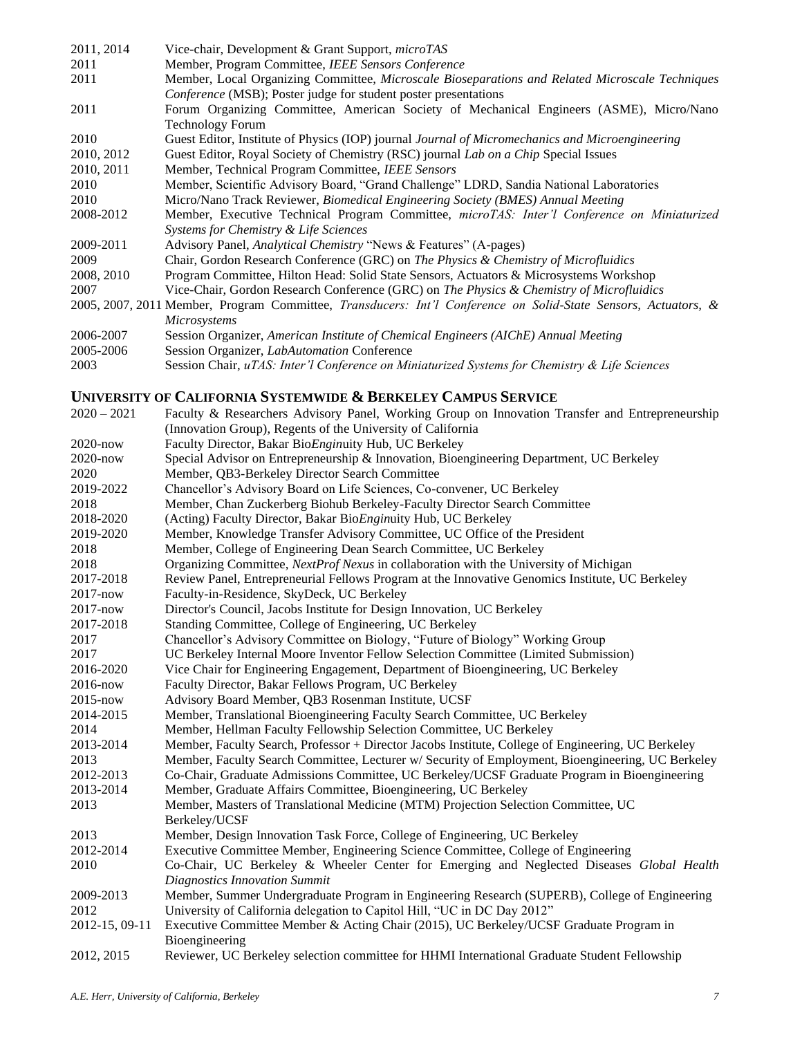| 2011, 2014 | Vice-chair, Development & Grant Support, microTAS                                                              |
|------------|----------------------------------------------------------------------------------------------------------------|
| 2011       | Member, Program Committee, IEEE Sensors Conference                                                             |
| 2011       | Member, Local Organizing Committee, Microscale Bioseparations and Related Microscale Techniques                |
|            | <i>Conference</i> (MSB); Poster judge for student poster presentations                                         |
| 2011       | Forum Organizing Committee, American Society of Mechanical Engineers (ASME), Micro/Nano                        |
|            | <b>Technology Forum</b>                                                                                        |
| 2010       | Guest Editor, Institute of Physics (IOP) journal Journal of Micromechanics and Microengineering                |
| 2010, 2012 | Guest Editor, Royal Society of Chemistry (RSC) journal Lab on a Chip Special Issues                            |
| 2010, 2011 | Member, Technical Program Committee, IEEE Sensors                                                              |
| 2010       | Member, Scientific Advisory Board, "Grand Challenge" LDRD, Sandia National Laboratories                        |
| 2010       | Micro/Nano Track Reviewer, Biomedical Engineering Society (BMES) Annual Meeting                                |
| 2008-2012  | Member, Executive Technical Program Committee, microTAS: Inter'l Conference on Miniaturized                    |
|            | Systems for Chemistry & Life Sciences                                                                          |
| 2009-2011  | Advisory Panel, Analytical Chemistry "News & Features" (A-pages)                                               |
| 2009       | Chair, Gordon Research Conference (GRC) on The Physics & Chemistry of Microfluidics                            |
| 2008, 2010 | Program Committee, Hilton Head: Solid State Sensors, Actuators & Microsystems Workshop                         |
| 2007       | Vice-Chair, Gordon Research Conference (GRC) on The Physics & Chemistry of Microfluidics                       |
|            | 2005, 2007, 2011 Member, Program Committee, Transducers: Int'l Conference on Solid-State Sensors, Actuators, & |
|            | Microsystems                                                                                                   |
| 2006-2007  | Session Organizer, American Institute of Chemical Engineers (AIChE) Annual Meeting                             |
| 2005-2006  | Session Organizer, LabAutomation Conference                                                                    |
| 2003       | Session Chair, uTAS: Inter'l Conference on Miniaturized Systems for Chemistry & Life Sciences                  |
|            |                                                                                                                |

# **UNIVERSITY OF CALIFORNIA SYSTEMWIDE & BERKELEY CAMPUS SERVICE**

| $2020 - 2021$  | Faculty & Researchers Advisory Panel, Working Group on Innovation Transfer and Entrepreneurship    |
|----------------|----------------------------------------------------------------------------------------------------|
|                | (Innovation Group), Regents of the University of California                                        |
| 2020-now       | Faculty Director, Bakar BioEnginuity Hub, UC Berkeley                                              |
| 2020-now       | Special Advisor on Entrepreneurship & Innovation, Bioengineering Department, UC Berkeley           |
| 2020           | Member, QB3-Berkeley Director Search Committee                                                     |
| 2019-2022      | Chancellor's Advisory Board on Life Sciences, Co-convener, UC Berkeley                             |
| 2018           | Member, Chan Zuckerberg Biohub Berkeley-Faculty Director Search Committee                          |
| 2018-2020      | (Acting) Faculty Director, Bakar BioEnginuity Hub, UC Berkeley                                     |
| 2019-2020      | Member, Knowledge Transfer Advisory Committee, UC Office of the President                          |
| 2018           | Member, College of Engineering Dean Search Committee, UC Berkeley                                  |
| 2018           | Organizing Committee, NextProf Nexus in collaboration with the University of Michigan              |
| 2017-2018      | Review Panel, Entrepreneurial Fellows Program at the Innovative Genomics Institute, UC Berkeley    |
| 2017-now       | Faculty-in-Residence, SkyDeck, UC Berkeley                                                         |
| $2017 - now$   | Director's Council, Jacobs Institute for Design Innovation, UC Berkeley                            |
| 2017-2018      | Standing Committee, College of Engineering, UC Berkeley                                            |
| 2017           | Chancellor's Advisory Committee on Biology, "Future of Biology" Working Group                      |
| 2017           | UC Berkeley Internal Moore Inventor Fellow Selection Committee (Limited Submission)                |
| 2016-2020      | Vice Chair for Engineering Engagement, Department of Bioengineering, UC Berkeley                   |
| 2016-now       | Faculty Director, Bakar Fellows Program, UC Berkeley                                               |
| 2015-now       | Advisory Board Member, QB3 Rosenman Institute, UCSF                                                |
| 2014-2015      | Member, Translational Bioengineering Faculty Search Committee, UC Berkeley                         |
| 2014           | Member, Hellman Faculty Fellowship Selection Committee, UC Berkeley                                |
| 2013-2014      | Member, Faculty Search, Professor + Director Jacobs Institute, College of Engineering, UC Berkeley |
| 2013           | Member, Faculty Search Committee, Lecturer w/ Security of Employment, Bioengineering, UC Berkeley  |
| 2012-2013      | Co-Chair, Graduate Admissions Committee, UC Berkeley/UCSF Graduate Program in Bioengineering       |
| 2013-2014      | Member, Graduate Affairs Committee, Bioengineering, UC Berkeley                                    |
| 2013           | Member, Masters of Translational Medicine (MTM) Projection Selection Committee, UC                 |
|                | Berkeley/UCSF                                                                                      |
| 2013           | Member, Design Innovation Task Force, College of Engineering, UC Berkeley                          |
| 2012-2014      | Executive Committee Member, Engineering Science Committee, College of Engineering                  |
| 2010           | Co-Chair, UC Berkeley & Wheeler Center for Emerging and Neglected Diseases Global Health           |
|                | <b>Diagnostics Innovation Summit</b>                                                               |
| 2009-2013      | Member, Summer Undergraduate Program in Engineering Research (SUPERB), College of Engineering      |
| 2012           | University of California delegation to Capitol Hill, "UC in DC Day 2012"                           |
| 2012-15, 09-11 | Executive Committee Member & Acting Chair (2015), UC Berkeley/UCSF Graduate Program in             |
|                | Bioengineering                                                                                     |
| 2012, 2015     | Reviewer, UC Berkeley selection committee for HHMI International Graduate Student Fellowship       |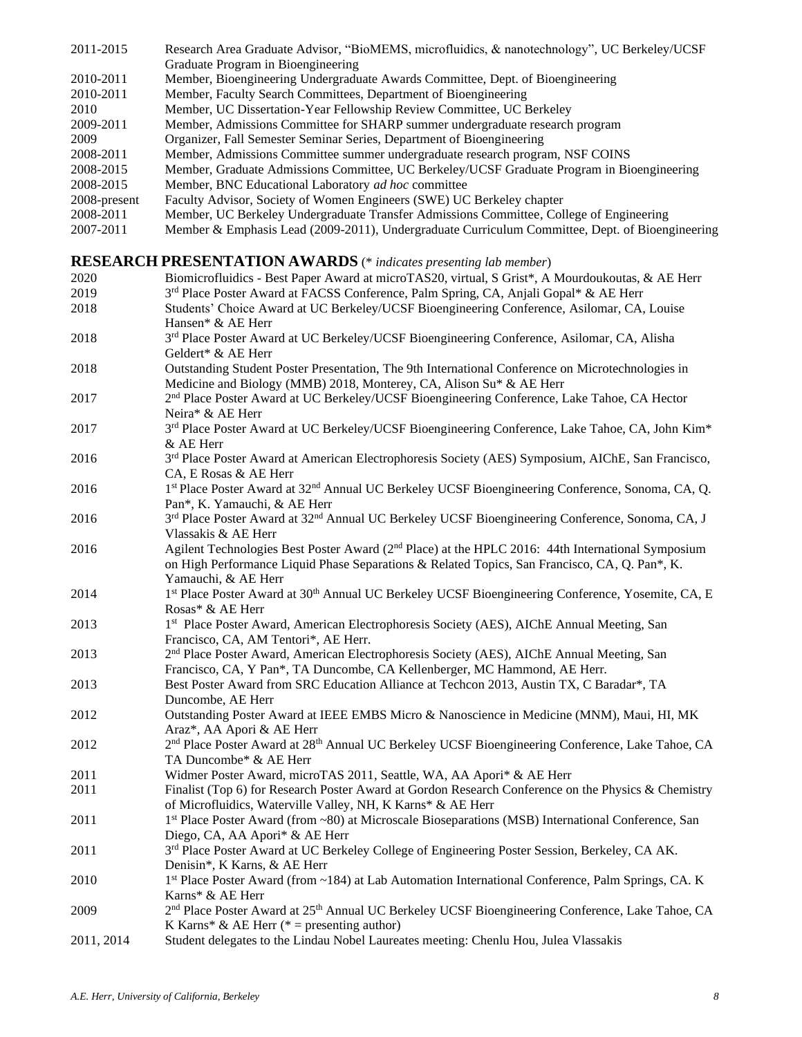| Graduate Program in Bioengineering                                                                           |  |
|--------------------------------------------------------------------------------------------------------------|--|
|                                                                                                              |  |
| 2010-2011<br>Member, Bioengineering Undergraduate Awards Committee, Dept. of Bioengineering                  |  |
| 2010-2011<br>Member, Faculty Search Committees, Department of Bioengineering                                 |  |
| Member, UC Dissertation-Year Fellowship Review Committee, UC Berkeley<br>2010                                |  |
| 2009-2011<br>Member, Admissions Committee for SHARP summer undergraduate research program                    |  |
| Organizer, Fall Semester Seminar Series, Department of Bioengineering<br>2009                                |  |
| 2008-2011<br>Member, Admissions Committee summer undergraduate research program, NSF COINS                   |  |
| Member, Graduate Admissions Committee, UC Berkeley/UCSF Graduate Program in Bioengineering<br>2008-2015      |  |
| 2008-2015<br>Member, BNC Educational Laboratory ad hoc committee                                             |  |
| Faculty Advisor, Society of Women Engineers (SWE) UC Berkeley chapter<br>2008-present                        |  |
| Member, UC Berkeley Undergraduate Transfer Admissions Committee, College of Engineering<br>2008-2011         |  |
| Member & Emphasis Lead (2009-2011), Undergraduate Curriculum Committee, Dept. of Bioengineering<br>2007-2011 |  |

# **RESEARCH PRESENTATION AWARDS** (\* *indicates presenting lab member*)

| 2020       | Biomicrofluidics - Best Paper Award at microTAS20, virtual, S Grist*, A Mourdoukoutas, & AE Herr                         |
|------------|--------------------------------------------------------------------------------------------------------------------------|
| 2019       | 3rd Place Poster Award at FACSS Conference, Palm Spring, CA, Anjali Gopal* & AE Herr                                     |
| 2018       | Students' Choice Award at UC Berkeley/UCSF Bioengineering Conference, Asilomar, CA, Louise                               |
|            | Hansen* & AE Herr                                                                                                        |
| 2018       | 3rd Place Poster Award at UC Berkeley/UCSF Bioengineering Conference, Asilomar, CA, Alisha<br>Geldert* & AE Herr         |
| 2018       | Outstanding Student Poster Presentation, The 9th International Conference on Microtechnologies in                        |
|            | Medicine and Biology (MMB) 2018, Monterey, CA, Alison Su* & AE Herr                                                      |
| 2017       | 2 <sup>nd</sup> Place Poster Award at UC Berkeley/UCSF Bioengineering Conference, Lake Tahoe, CA Hector                  |
|            | Neira* & AE Herr                                                                                                         |
| 2017       | 3rd Place Poster Award at UC Berkeley/UCSF Bioengineering Conference, Lake Tahoe, CA, John Kim*                          |
|            | & AE Herr                                                                                                                |
| 2016       | 3 <sup>rd</sup> Place Poster Award at American Electrophoresis Society (AES) Symposium, AIChE, San Francisco,            |
|            | CA, E Rosas & AE Herr                                                                                                    |
| 2016       | 1st Place Poster Award at 32 <sup>nd</sup> Annual UC Berkeley UCSF Bioengineering Conference, Sonoma, CA, Q.             |
|            | Pan*, K. Yamauchi, & AE Herr                                                                                             |
| 2016       | 3rd Place Poster Award at 32 <sup>nd</sup> Annual UC Berkeley UCSF Bioengineering Conference, Sonoma, CA, J              |
|            | Vlassakis & AE Herr                                                                                                      |
| 2016       | Agilent Technologies Best Poster Award (2 <sup>nd</sup> Place) at the HPLC 2016: 44th International Symposium            |
|            | on High Performance Liquid Phase Separations & Related Topics, San Francisco, CA, Q. Pan*, K.                            |
|            | Yamauchi, & AE Herr                                                                                                      |
| 2014       | 1st Place Poster Award at 30 <sup>th</sup> Annual UC Berkeley UCSF Bioengineering Conference, Yosemite, CA, E            |
|            | Rosas* & AE Herr                                                                                                         |
| 2013       | 1st Place Poster Award, American Electrophoresis Society (AES), AIChE Annual Meeting, San                                |
|            | Francisco, CA, AM Tentori*, AE Herr.                                                                                     |
| 2013       | 2 <sup>nd</sup> Place Poster Award, American Electrophoresis Society (AES), AIChE Annual Meeting, San                    |
|            | Francisco, CA, Y Pan*, TA Duncombe, CA Kellenberger, MC Hammond, AE Herr.                                                |
| 2013       | Best Poster Award from SRC Education Alliance at Techcon 2013, Austin TX, C Baradar*, TA                                 |
|            | Duncombe, AE Herr                                                                                                        |
| 2012       | Outstanding Poster Award at IEEE EMBS Micro & Nanoscience in Medicine (MNM), Maui, HI, MK                                |
|            | Araz*, AA Apori & AE Herr                                                                                                |
| 2012       | 2 <sup>nd</sup> Place Poster Award at 28 <sup>th</sup> Annual UC Berkeley UCSF Bioengineering Conference, Lake Tahoe, CA |
|            | TA Duncombe* & AE Herr                                                                                                   |
| 2011       | Widmer Poster Award, microTAS 2011, Seattle, WA, AA Apori* & AE Herr                                                     |
| 2011       | Finalist (Top 6) for Research Poster Award at Gordon Research Conference on the Physics & Chemistry                      |
|            | of Microfluidics, Waterville Valley, NH, K Karns* & AE Herr                                                              |
| 2011       | 1st Place Poster Award (from ~80) at Microscale Bioseparations (MSB) International Conference, San                       |
|            | Diego, CA, AA Apori* & AE Herr                                                                                           |
| 2011       | 3rd Place Poster Award at UC Berkeley College of Engineering Poster Session, Berkeley, CA AK.                            |
|            | Denisin*, K Karns, & AE Herr                                                                                             |
| 2010       | 1st Place Poster Award (from ~184) at Lab Automation International Conference, Palm Springs, CA. K                       |
|            | Karns* & AE Herr                                                                                                         |
| 2009       | 2 <sup>nd</sup> Place Poster Award at 25 <sup>th</sup> Annual UC Berkeley UCSF Bioengineering Conference, Lake Tahoe, CA |
|            | K Karns* & AE Herr (* = presenting author)                                                                               |
| 2011, 2014 | Student delegates to the Lindau Nobel Laureates meeting: Chenlu Hou, Julea Vlassakis                                     |
|            |                                                                                                                          |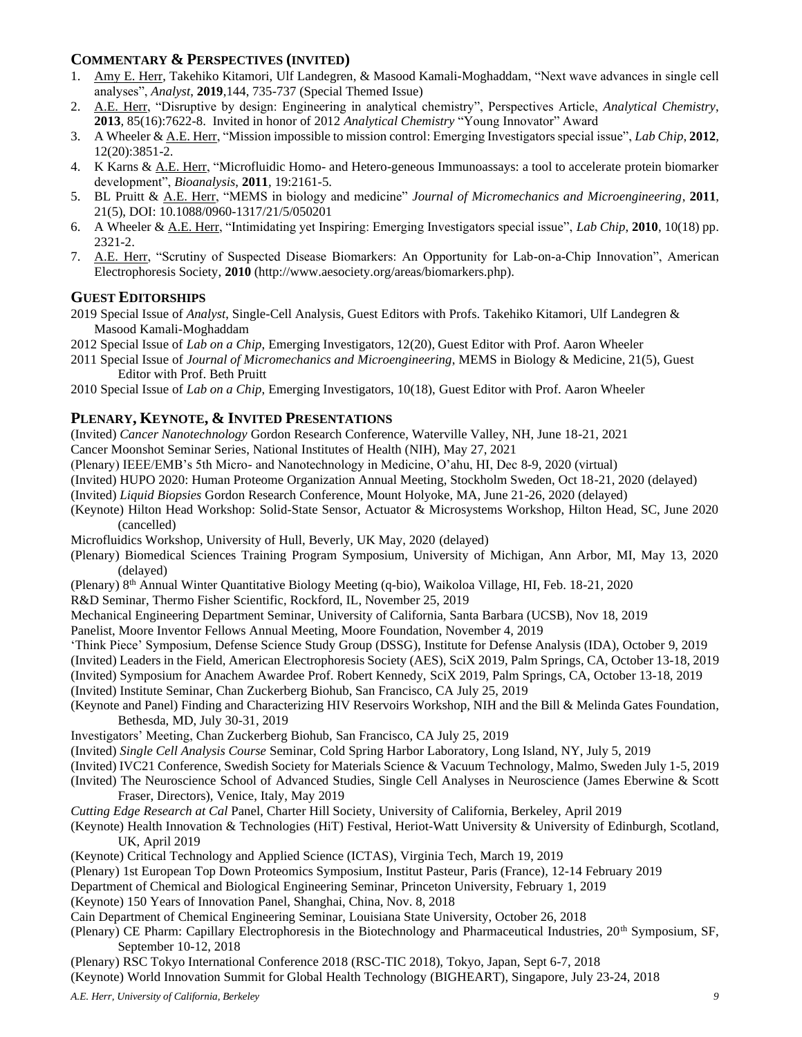## **COMMENTARY & PERSPECTIVES (INVITED)**

- 1. Amy E. Herr, Takehiko Kitamori, Ulf Landegren, & Masood Kamali-Moghaddam, "Next wave advances in single cell analyses", *Analyst*, **2019**,144, 735-737 (Special Themed Issue)
- 2. A.E. Herr, "Disruptive by design: Engineering in analytical chemistry", Perspectives Article, *Analytical Chemistry*, **2013***,* 85(16):7622-8. Invited in honor of 2012 *Analytical Chemistry* "Young Innovator" Award
- 3. A Wheeler & A.E. Herr, "Mission impossible to mission control: Emerging Investigators special issue", *Lab Chip*, **2012**, 12(20):3851-2.
- 4. K Karns & A.E. Herr, "Microfluidic Homo- and Hetero-geneous Immunoassays: a tool to accelerate protein biomarker development", *Bioanalysis*, **2011***,* 19:2161-5.
- 5. BL Pruitt & A.E. Herr, "MEMS in biology and medicine" *Journal of Micromechanics and Microengineering*, **2011**, 21(5), DOI: 10.1088/0960-1317/21/5/050201
- 6. A Wheeler & A.E. Herr, "Intimidating yet Inspiring: Emerging Investigators special issue", *Lab Chip*, **2010**, 10(18) pp. 2321-2.
- 7. A.E. Herr, "Scrutiny of Suspected Disease Biomarkers: An Opportunity for Lab-on-a-Chip Innovation", American Electrophoresis Society, **2010** (http://www.aesociety.org/areas/biomarkers.php).

## **GUEST EDITORSHIPS**

2019 Special Issue of *Analyst*, Single-Cell Analysis, Guest Editors with Profs. Takehiko Kitamori, Ulf Landegren & Masood Kamali-Moghaddam

2012 Special Issue of *Lab on a Chip*, Emerging Investigators, 12(20), Guest Editor with Prof. Aaron Wheeler

- 2011 Special Issue of *Journal of Micromechanics and Microengineering*, MEMS in Biology & Medicine, 21(5), Guest Editor with Prof. Beth Pruitt
- 2010 Special Issue of *Lab on a Chip*, Emerging Investigators, 10(18), Guest Editor with Prof. Aaron Wheeler

# **PLENARY, KEYNOTE, & INVITED PRESENTATIONS**

(Invited) *Cancer Nanotechnology* Gordon Research Conference, Waterville Valley, NH, June 18-21, 2021

Cancer Moonshot Seminar Series, National Institutes of Health (NIH), May 27, 2021

(Plenary) IEEE/EMB's 5th Micro- and Nanotechnology in Medicine, O'ahu, HI, Dec 8-9, 2020 (virtual)

(Invited) HUPO 2020: Human Proteome Organization Annual Meeting, Stockholm Sweden, Oct 18-21, 2020 (delayed)

(Invited) *Liquid Biopsies* Gordon Research Conference, Mount Holyoke, MA, June 21-26, 2020 (delayed)

(Keynote) Hilton Head Workshop: Solid-State Sensor, Actuator & Microsystems Workshop, Hilton Head, SC, June 2020 (cancelled)

Microfluidics Workshop, University of Hull, Beverly, UK May, 2020 (delayed)

(Plenary) Biomedical Sciences Training Program Symposium, University of Michigan, Ann Arbor, MI, May 13, 2020 (delayed)

(Plenary) 8th Annual Winter Quantitative Biology Meeting (q-bio), Waikoloa Village, HI, Feb. 18-21, 2020

R&D Seminar, Thermo Fisher Scientific, Rockford, IL, November 25, 2019

Mechanical Engineering Department Seminar, University of California, Santa Barbara (UCSB), Nov 18, 2019

Panelist, Moore Inventor Fellows Annual Meeting, Moore Foundation, November 4, 2019

'Think Piece' Symposium, Defense Science Study Group (DSSG), Institute for Defense Analysis (IDA), October 9, 2019

(Invited) Leaders in the Field, American Electrophoresis Society (AES), SciX 2019, Palm Springs, CA, October 13-18, 2019

(Invited) Symposium for Anachem Awardee Prof. Robert Kennedy, SciX 2019, Palm Springs, CA, October 13-18, 2019

(Invited) Institute Seminar, Chan Zuckerberg Biohub, San Francisco, CA July 25, 2019

- (Keynote and Panel) Finding and Characterizing HIV Reservoirs Workshop, NIH and the Bill & Melinda Gates Foundation, Bethesda, MD, July 30-31, 2019
- Investigators' Meeting, Chan Zuckerberg Biohub, San Francisco, CA July 25, 2019
- (Invited) *Single Cell Analysis Course* Seminar, Cold Spring Harbor Laboratory, Long Island, NY, July 5, 2019

(Invited) IVC21 Conference, Swedish Society for Materials Science & Vacuum Technology, Malmo, Sweden July 1-5, 2019

(Invited) The Neuroscience School of Advanced Studies, Single Cell Analyses in Neuroscience (James Eberwine & Scott Fraser, Directors), Venice, Italy, May 2019

*Cutting Edge Research at Cal* Panel, Charter Hill Society, University of California, Berkeley, April 2019

- (Keynote) Health Innovation & Technologies (HiT) Festival, Heriot-Watt University & University of Edinburgh, Scotland, UK, April 2019
- (Keynote) Critical Technology and Applied Science (ICTAS), Virginia Tech, March 19, 2019
- (Plenary) 1st European Top Down Proteomics Symposium, Institut Pasteur, Paris (France), 12-14 February 2019
- Department of Chemical and Biological Engineering Seminar, Princeton University, February 1, 2019

(Keynote) 150 Years of Innovation Panel, Shanghai, China, Nov. 8, 2018

- Cain Department of Chemical Engineering Seminar, Louisiana State University, October 26, 2018
- (Plenary) CE Pharm: Capillary Electrophoresis in the Biotechnology and Pharmaceutical Industries, 20<sup>th</sup> Symposium, SF, September 10-12, 2018

(Plenary) RSC Tokyo International Conference 2018 (RSC-TIC 2018), Tokyo, Japan, Sept 6-7, 2018 (Keynote) World Innovation Summit for Global Health Technology (BIGHEART), Singapore, July 23-24, 2018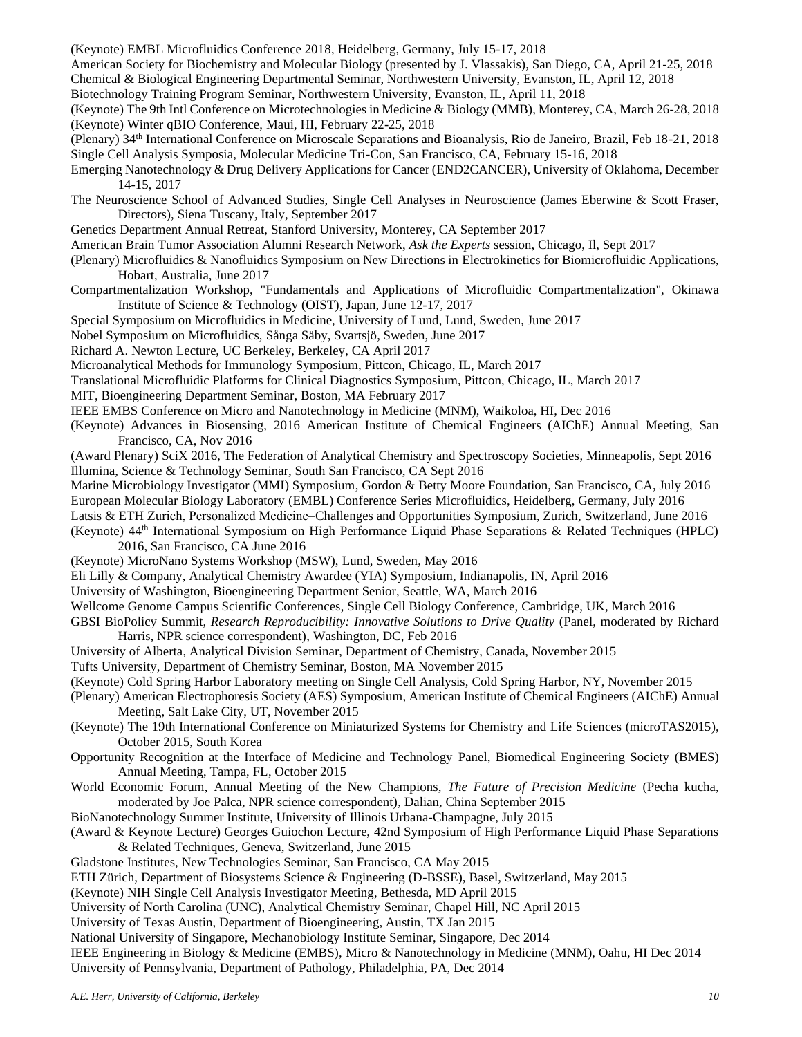(Keynote) EMBL Microfluidics Conference 2018, Heidelberg, Germany, July 15-17, 2018

American Society for Biochemistry and Molecular Biology (presented by J. Vlassakis), San Diego, CA, April 21-25, 2018

Chemical & Biological Engineering Departmental Seminar, Northwestern University, Evanston, IL, April 12, 2018

Biotechnology Training Program Seminar, Northwestern University, Evanston, IL, April 11, 2018

(Keynote) The 9th Intl Conference on Microtechnologies in Medicine & Biology (MMB), Monterey, CA, March 26-28, 2018 (Keynote) Winter qBIO Conference, Maui, HI, February 22-25, 2018

(Plenary) 34th International Conference on Microscale Separations and Bioanalysis, Rio de Janeiro, Brazil, Feb 18-21, 2018 Single Cell Analysis Symposia, Molecular Medicine Tri-Con, San Francisco, CA, February 15-16, 2018

Emerging Nanotechnology & Drug Delivery Applications for Cancer (END2CANCER), University of Oklahoma, December 14-15, 2017

The Neuroscience School of Advanced Studies, Single Cell Analyses in Neuroscience (James Eberwine & Scott Fraser, Directors), Siena Tuscany, Italy, September 2017

Genetics Department Annual Retreat, Stanford University, Monterey, CA September 2017

American Brain Tumor Association Alumni Research Network, *Ask the Experts* session, Chicago, Il, Sept 2017

(Plenary) Microfluidics & Nanofluidics Symposium on New Directions in Electrokinetics for Biomicrofluidic Applications, Hobart, Australia, June 2017

Compartmentalization Workshop, "Fundamentals and Applications of Microfluidic Compartmentalization", Okinawa Institute of Science & Technology (OIST), Japan, June 12-17, 2017

Special Symposium on Microfluidics in Medicine, University of Lund, Lund, Sweden, June 2017

Nobel Symposium on Microfluidics, Sånga Säby, Svartsjö, Sweden, June 2017

Richard A. Newton Lecture, UC Berkeley, Berkeley, CA April 2017

- Microanalytical Methods for Immunology Symposium, Pittcon, Chicago, IL, March 2017
- Translational Microfluidic Platforms for Clinical Diagnostics Symposium, Pittcon, Chicago, IL, March 2017

MIT, Bioengineering Department Seminar, Boston, MA February 2017

IEEE EMBS Conference on Micro and Nanotechnology in Medicine (MNM), Waikoloa, HI, Dec 2016

(Keynote) Advances in Biosensing, 2016 American Institute of Chemical Engineers (AIChE) Annual Meeting, San Francisco, CA, Nov 2016

(Award Plenary) SciX 2016, The Federation of Analytical Chemistry and Spectroscopy Societies, Minneapolis, Sept 2016 Illumina, Science & Technology Seminar, South San Francisco, CA Sept 2016

Marine Microbiology Investigator (MMI) Symposium, Gordon & Betty Moore Foundation, San Francisco, CA, July 2016 European Molecular Biology Laboratory (EMBL) Conference Series Microfluidics, Heidelberg, Germany, July 2016

Latsis & ETH Zurich, Personalized Medicine–Challenges and Opportunities Symposium, Zurich, Switzerland, June 2016

(Keynote) 44th International Symposium on High Performance Liquid Phase Separations & Related Techniques (HPLC) 2016, San Francisco, CA June 2016

(Keynote) MicroNano Systems Workshop (MSW), Lund, Sweden, May 2016

Eli Lilly & Company, Analytical Chemistry Awardee (YIA) Symposium, Indianapolis, IN, April 2016

University of Washington, Bioengineering Department Senior, Seattle, WA, March 2016

Wellcome Genome Campus Scientific Conferences, Single Cell Biology Conference, Cambridge, UK, March 2016

GBSI BioPolicy Summit, *Research Reproducibility: Innovative Solutions to Drive Quality* (Panel, moderated by Richard Harris, NPR science correspondent), Washington, DC, Feb 2016

University of Alberta, Analytical Division Seminar, Department of Chemistry, Canada, November 2015

Tufts University, Department of Chemistry Seminar, Boston, MA November 2015

(Keynote) Cold Spring Harbor Laboratory meeting on Single Cell Analysis, Cold Spring Harbor, NY, November 2015

(Plenary) American Electrophoresis Society (AES) Symposium, American Institute of Chemical Engineers (AIChE) Annual Meeting, Salt Lake City, UT, November 2015

- (Keynote) The 19th International Conference on Miniaturized Systems for Chemistry and Life Sciences (microTAS2015), October 2015, South Korea
- Opportunity Recognition at the Interface of Medicine and Technology Panel, Biomedical Engineering Society (BMES) Annual Meeting, Tampa, FL, October 2015

World Economic Forum, Annual Meeting of the New Champions, *The Future of Precision Medicine* (Pecha kucha, moderated by Joe Palca, NPR science correspondent), Dalian, China September 2015

BioNanotechnology Summer Institute, University of Illinois Urbana-Champagne, July 2015

(Award & Keynote Lecture) Georges Guiochon Lecture, 42nd Symposium of High Performance Liquid Phase Separations & Related Techniques, Geneva, Switzerland, June 2015

Gladstone Institutes, New Technologies Seminar, San Francisco, CA May 2015

ETH Zürich, Department of Biosystems Science & Engineering (D-BSSE), Basel, Switzerland, May 2015

(Keynote) NIH Single Cell Analysis Investigator Meeting, Bethesda, MD April 2015

University of North Carolina (UNC), Analytical Chemistry Seminar, Chapel Hill, NC April 2015

University of Texas Austin, Department of Bioengineering, Austin, TX Jan 2015

National University of Singapore, Mechanobiology Institute Seminar, Singapore, Dec 2014

IEEE Engineering in Biology & Medicine (EMBS), Micro & Nanotechnology in Medicine (MNM), Oahu, HI Dec 2014 University of Pennsylvania, Department of Pathology, Philadelphia, PA, Dec 2014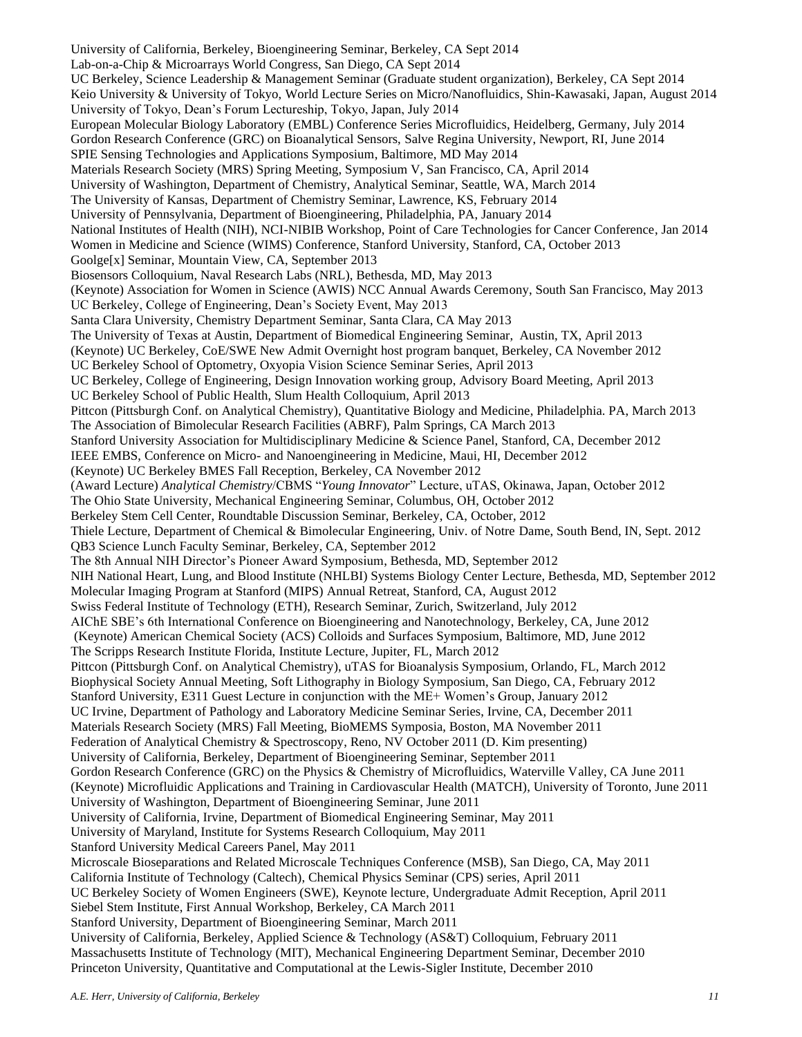University of California, Berkeley, Bioengineering Seminar, Berkeley, CA Sept 2014 Lab-on-a-Chip & Microarrays World Congress, San Diego, CA Sept 2014 UC Berkeley, Science Leadership & Management Seminar (Graduate student organization), Berkeley, CA Sept 2014 Keio University & University of Tokyo, World Lecture Series on Micro/Nanofluidics, Shin-Kawasaki, Japan, August 2014 University of Tokyo, Dean's Forum Lectureship, Tokyo, Japan, July 2014 European Molecular Biology Laboratory (EMBL) Conference Series Microfluidics, Heidelberg, Germany, July 2014 Gordon Research Conference (GRC) on Bioanalytical Sensors, Salve Regina University, Newport, RI, June 2014 SPIE Sensing Technologies and Applications Symposium, Baltimore, MD May 2014 Materials Research Society (MRS) Spring Meeting, Symposium V, San Francisco, CA, April 2014 University of Washington, Department of Chemistry, Analytical Seminar, Seattle, WA, March 2014 The University of Kansas, Department of Chemistry Seminar, Lawrence, KS, February 2014 University of Pennsylvania, Department of Bioengineering, Philadelphia, PA, January 2014 National Institutes of Health (NIH), NCI-NIBIB Workshop, Point of Care Technologies for Cancer Conference, Jan 2014 Women in Medicine and Science (WIMS) Conference, Stanford University, Stanford, CA, October 2013 Goolge[x] Seminar, Mountain View, CA, September 2013 Biosensors Colloquium, Naval Research Labs (NRL), Bethesda, MD, May 2013 (Keynote) Association for Women in Science (AWIS) NCC Annual Awards Ceremony, South San Francisco, May 2013 UC Berkeley, College of Engineering, Dean's Society Event, May 2013 Santa Clara University, Chemistry Department Seminar, Santa Clara, CA May 2013 The University of Texas at Austin, Department of Biomedical Engineering Seminar, Austin, TX, April 2013 (Keynote) UC Berkeley, CoE/SWE New Admit Overnight host program banquet, Berkeley, CA November 2012 UC Berkeley School of Optometry, Oxyopia Vision Science Seminar Series, April 2013 UC Berkeley, College of Engineering, Design Innovation working group, Advisory Board Meeting, April 2013 UC Berkeley School of Public Health, Slum Health Colloquium, April 2013 Pittcon (Pittsburgh Conf. on Analytical Chemistry), Quantitative Biology and Medicine, Philadelphia. PA, March 2013 The Association of Bimolecular Research Facilities (ABRF), Palm Springs, CA March 2013 Stanford University Association for Multidisciplinary Medicine & Science Panel, Stanford, CA, December 2012 IEEE EMBS, Conference on Micro- and Nanoengineering in Medicine, Maui, HI, December 2012 (Keynote) UC Berkeley BMES Fall Reception, Berkeley, CA November 2012 (Award Lecture) *Analytical Chemistry*/CBMS "*Young Innovator*" Lecture, uTAS, Okinawa, Japan, October 2012 The Ohio State University, Mechanical Engineering Seminar, Columbus, OH, October 2012 Berkeley Stem Cell Center, Roundtable Discussion Seminar, Berkeley, CA, October, 2012 Thiele Lecture, Department of Chemical & Bimolecular Engineering, Univ. of Notre Dame, South Bend, IN, Sept. 2012 QB3 Science Lunch Faculty Seminar, Berkeley, CA, September 2012 The 8th Annual NIH Director's Pioneer Award Symposium, Bethesda, MD, September 2012 NIH National Heart, Lung, and Blood Institute (NHLBI) Systems Biology Center Lecture, Bethesda, MD, September 2012 Molecular Imaging Program at Stanford (MIPS) Annual Retreat, Stanford, CA, August 2012 Swiss Federal Institute of Technology (ETH), Research Seminar, Zurich, Switzerland, July 2012 AIChE SBE's 6th International Conference on Bioengineering and Nanotechnology, Berkeley, CA, June 2012 (Keynote) American Chemical Society (ACS) Colloids and Surfaces Symposium, Baltimore, MD, June 2012 The Scripps Research Institute Florida, Institute Lecture, Jupiter, FL, March 2012 Pittcon (Pittsburgh Conf. on Analytical Chemistry), uTAS for Bioanalysis Symposium, Orlando, FL, March 2012 Biophysical Society Annual Meeting, Soft Lithography in Biology Symposium, San Diego, CA, February 2012 Stanford University, E311 Guest Lecture in conjunction with the ME+ Women's Group, January 2012 UC Irvine, Department of Pathology and Laboratory Medicine Seminar Series, Irvine, CA, December 2011 Materials Research Society (MRS) Fall Meeting, BioMEMS Symposia, Boston, MA November 2011 Federation of Analytical Chemistry & Spectroscopy, Reno, NV October 2011 (D. Kim presenting) University of California, Berkeley, Department of Bioengineering Seminar, September 2011 Gordon Research Conference (GRC) on the Physics & Chemistry of Microfluidics, Waterville Valley, CA June 2011 (Keynote) Microfluidic Applications and Training in Cardiovascular Health (MATCH), University of Toronto, June 2011 University of Washington, Department of Bioengineering Seminar, June 2011 University of California, Irvine, Department of Biomedical Engineering Seminar, May 2011 University of Maryland, Institute for Systems Research Colloquium, May 2011 Stanford University Medical Careers Panel, May 2011 Microscale Bioseparations and Related Microscale Techniques Conference (MSB), San Diego, CA, May 2011 California Institute of Technology (Caltech), Chemical Physics Seminar (CPS) series, April 2011 UC Berkeley Society of Women Engineers (SWE), Keynote lecture, Undergraduate Admit Reception, April 2011 Siebel Stem Institute, First Annual Workshop, Berkeley, CA March 2011 Stanford University, Department of Bioengineering Seminar, March 2011 University of California, Berkeley, Applied Science & Technology (AS&T) Colloquium, February 2011 Massachusetts Institute of Technology (MIT), Mechanical Engineering Department Seminar, December 2010 Princeton University, Quantitative and Computational at the Lewis-Sigler Institute, December 2010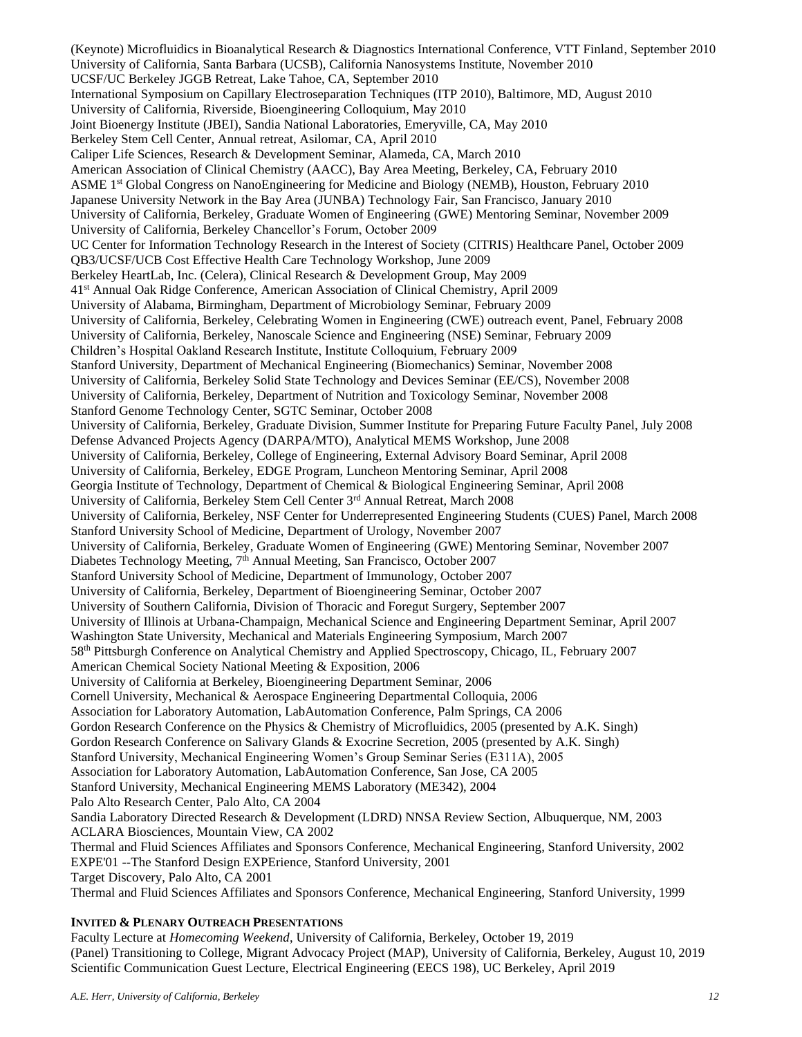(Keynote) Microfluidics in Bioanalytical Research & Diagnostics International Conference, VTT Finland, September 2010 University of California, Santa Barbara (UCSB), California Nanosystems Institute, November 2010 UCSF/UC Berkeley JGGB Retreat, Lake Tahoe, CA, September 2010 International Symposium on Capillary Electroseparation Techniques (ITP 2010), Baltimore, MD, August 2010 University of California, Riverside, Bioengineering Colloquium, May 2010 Joint Bioenergy Institute (JBEI), Sandia National Laboratories, Emeryville, CA, May 2010 Berkeley Stem Cell Center, Annual retreat, Asilomar, CA, April 2010 Caliper Life Sciences, Research & Development Seminar, Alameda, CA, March 2010 American Association of Clinical Chemistry (AACC), Bay Area Meeting, Berkeley, CA, February 2010 ASME 1st Global Congress on NanoEngineering for Medicine and Biology (NEMB), Houston, February 2010 Japanese University Network in the Bay Area (JUNBA) Technology Fair, San Francisco, January 2010 University of California, Berkeley, Graduate Women of Engineering (GWE) Mentoring Seminar, November 2009 University of California, Berkeley Chancellor's Forum, October 2009 UC Center for Information Technology Research in the Interest of Society (CITRIS) Healthcare Panel, October 2009 QB3/UCSF/UCB Cost Effective Health Care Technology Workshop, June 2009 Berkeley HeartLab, Inc. (Celera), Clinical Research & Development Group, May 2009 41st Annual Oak Ridge Conference, American Association of Clinical Chemistry, April 2009 University of Alabama, Birmingham, Department of Microbiology Seminar, February 2009 University of California, Berkeley, Celebrating Women in Engineering (CWE) outreach event, Panel, February 2008 University of California, Berkeley, Nanoscale Science and Engineering (NSE) Seminar, February 2009 Children's Hospital Oakland Research Institute, Institute Colloquium, February 2009 Stanford University, Department of Mechanical Engineering (Biomechanics) Seminar, November 2008 University of California, Berkeley Solid State Technology and Devices Seminar (EE/CS), November 2008 University of California, Berkeley, Department of Nutrition and Toxicology Seminar, November 2008 Stanford Genome Technology Center, SGTC Seminar, October 2008 University of California, Berkeley, Graduate Division, Summer Institute for Preparing Future Faculty Panel, July 2008 Defense Advanced Projects Agency (DARPA/MTO), Analytical MEMS Workshop, June 2008 University of California, Berkeley, College of Engineering, External Advisory Board Seminar, April 2008 University of California, Berkeley, EDGE Program, Luncheon Mentoring Seminar, April 2008 Georgia Institute of Technology, Department of Chemical & Biological Engineering Seminar, April 2008 University of California, Berkeley Stem Cell Center 3rd Annual Retreat, March 2008 University of California, Berkeley, NSF Center for Underrepresented Engineering Students (CUES) Panel, March 2008 Stanford University School of Medicine, Department of Urology, November 2007 University of California, Berkeley, Graduate Women of Engineering (GWE) Mentoring Seminar, November 2007 Diabetes Technology Meeting, 7<sup>th</sup> Annual Meeting, San Francisco, October 2007 Stanford University School of Medicine, Department of Immunology, October 2007 University of California, Berkeley, Department of Bioengineering Seminar, October 2007 University of Southern California, Division of Thoracic and Foregut Surgery, September 2007 University of Illinois at Urbana-Champaign, Mechanical Science and Engineering Department Seminar, April 2007 Washington State University, Mechanical and Materials Engineering Symposium, March 2007 58th Pittsburgh Conference on Analytical Chemistry and Applied Spectroscopy, Chicago, IL, February 2007 American Chemical Society National Meeting & Exposition, 2006 University of California at Berkeley, Bioengineering Department Seminar, 2006 Cornell University, Mechanical & Aerospace Engineering Departmental Colloquia, 2006 Association for Laboratory Automation, LabAutomation Conference, Palm Springs, CA 2006 Gordon Research Conference on the Physics & Chemistry of Microfluidics, 2005 (presented by A.K. Singh) Gordon Research Conference on Salivary Glands & Exocrine Secretion, 2005 (presented by A.K. Singh) Stanford University, Mechanical Engineering Women's Group Seminar Series (E311A), 2005 Association for Laboratory Automation, LabAutomation Conference, San Jose, CA 2005 Stanford University, Mechanical Engineering MEMS Laboratory (ME342), 2004 Palo Alto Research Center, Palo Alto, CA 2004 Sandia Laboratory Directed Research & Development (LDRD) NNSA Review Section, Albuquerque, NM, 2003 ACLARA Biosciences, Mountain View, CA 2002 Thermal and Fluid Sciences Affiliates and Sponsors Conference, Mechanical Engineering, Stanford University, 2002 EXPE'01 --The Stanford Design EXPErience, Stanford University, 2001 Target Discovery, Palo Alto, CA 2001

Thermal and Fluid Sciences Affiliates and Sponsors Conference, Mechanical Engineering, Stanford University, 1999

#### **INVITED & PLENARY OUTREACH PRESENTATIONS**

Faculty Lecture at *Homecoming Weekend*, University of California, Berkeley, October 19, 2019 (Panel) Transitioning to College, Migrant Advocacy Project (MAP), University of California, Berkeley, August 10, 2019 Scientific Communication Guest Lecture, Electrical Engineering (EECS 198), UC Berkeley, April 2019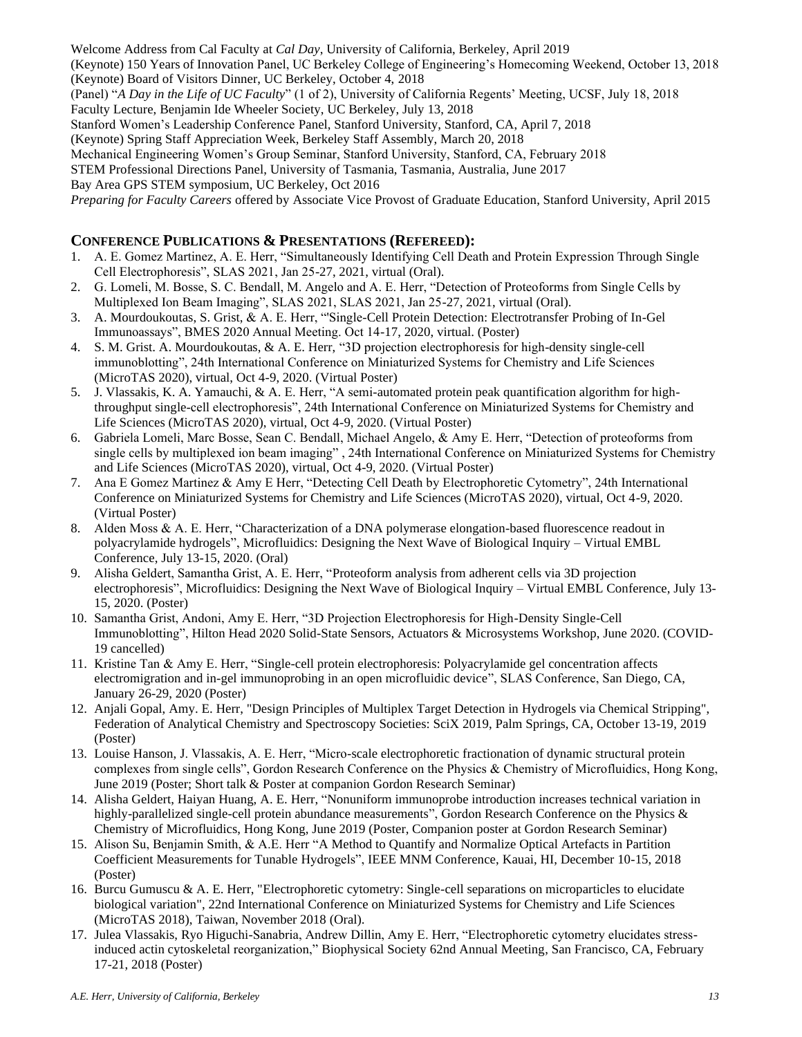Welcome Address from Cal Faculty at *Cal Day*, University of California, Berkeley, April 2019 (Keynote) 150 Years of Innovation Panel, UC Berkeley College of Engineering's Homecoming Weekend, October 13, 2018 (Keynote) Board of Visitors Dinner, UC Berkeley, October 4, 2018 (Panel) "*A Day in the Life of UC Faculty*" (1 of 2), University of California Regents' Meeting, UCSF, July 18, 2018 Faculty Lecture, Benjamin Ide Wheeler Society, UC Berkeley, July 13, 2018 Stanford Women's Leadership Conference Panel, Stanford University, Stanford, CA, April 7, 2018 (Keynote) Spring Staff Appreciation Week, Berkeley Staff Assembly, March 20, 2018 Mechanical Engineering Women's Group Seminar, Stanford University, Stanford, CA, February 2018 STEM Professional Directions Panel, University of Tasmania, Tasmania, Australia, June 2017 Bay Area GPS STEM symposium, UC Berkeley, Oct 2016 *Preparing for Faculty Careers* offered by Associate Vice Provost of Graduate Education, Stanford University, April 2015

# **CONFERENCE PUBLICATIONS & PRESENTATIONS (REFEREED):**

- 1. A. E. Gomez Martinez, A. E. Herr, "Simultaneously Identifying Cell Death and Protein Expression Through Single Cell Electrophoresis", SLAS 2021, Jan 25-27, 2021, virtual (Oral).
- 2. G. Lomeli, M. Bosse, S. C. Bendall, M. Angelo and A. E. Herr, "Detection of Proteoforms from Single Cells by Multiplexed Ion Beam Imaging", SLAS 2021, SLAS 2021, Jan 25-27, 2021, virtual (Oral).
- 3. A. Mourdoukoutas, S. Grist, & A. E. Herr, "'Single-Cell Protein Detection: Electrotransfer Probing of In-Gel Immunoassays", BMES 2020 Annual Meeting. Oct 14-17, 2020, virtual. (Poster)
- 4. S. M. Grist. A. Mourdoukoutas, & A. E. Herr, "3D projection electrophoresis for high-density single-cell immunoblotting", 24th International Conference on Miniaturized Systems for Chemistry and Life Sciences (MicroTAS 2020), virtual, Oct 4-9, 2020. (Virtual Poster)
- 5. J. Vlassakis, K. A. Yamauchi, & A. E. Herr, "A semi-automated protein peak quantification algorithm for highthroughput single-cell electrophoresis", 24th International Conference on Miniaturized Systems for Chemistry and Life Sciences (MicroTAS 2020), virtual, Oct 4-9, 2020. (Virtual Poster)
- 6. Gabriela Lomeli, Marc Bosse, Sean C. Bendall, Michael Angelo, & Amy E. Herr, "Detection of proteoforms from single cells by multiplexed ion beam imaging" , 24th International Conference on Miniaturized Systems for Chemistry and Life Sciences (MicroTAS 2020), virtual, Oct 4-9, 2020. (Virtual Poster)
- 7. Ana E Gomez Martinez & Amy E Herr, "Detecting Cell Death by Electrophoretic Cytometry", 24th International Conference on Miniaturized Systems for Chemistry and Life Sciences (MicroTAS 2020), virtual, Oct 4-9, 2020. (Virtual Poster)
- 8. Alden Moss & A. E. Herr, "Characterization of a DNA polymerase elongation-based fluorescence readout in polyacrylamide hydrogels", Microfluidics: Designing the Next Wave of Biological Inquiry – Virtual EMBL Conference, July 13-15, 2020. (Oral)
- 9. Alisha Geldert, Samantha Grist, A. E. Herr, "Proteoform analysis from adherent cells via 3D projection electrophoresis", Microfluidics: Designing the Next Wave of Biological Inquiry – Virtual EMBL Conference, July 13- 15, 2020. (Poster)
- 10. Samantha Grist, Andoni, Amy E. Herr, "3D Projection Electrophoresis for High-Density Single-Cell Immunoblotting", Hilton Head 2020 Solid-State Sensors, Actuators & Microsystems Workshop, June 2020. (COVID-19 cancelled)
- 11. Kristine Tan & Amy E. Herr, "Single-cell protein electrophoresis: Polyacrylamide gel concentration affects electromigration and in-gel immunoprobing in an open microfluidic device", SLAS Conference, San Diego, CA, January 26-29, 2020 (Poster)
- 12. Anjali Gopal, Amy. E. Herr, "Design Principles of Multiplex Target Detection in Hydrogels via Chemical Stripping", Federation of Analytical Chemistry and Spectroscopy Societies: SciX 2019, Palm Springs, CA, October 13-19, 2019 (Poster)
- 13. Louise Hanson, J. Vlassakis, A. E. Herr, "Micro-scale electrophoretic fractionation of dynamic structural protein complexes from single cells", Gordon Research Conference on the Physics & Chemistry of Microfluidics, Hong Kong, June 2019 (Poster; Short talk & Poster at companion Gordon Research Seminar)
- 14. Alisha Geldert, Haiyan Huang, A. E. Herr, "Nonuniform immunoprobe introduction increases technical variation in highly-parallelized single-cell protein abundance measurements", Gordon Research Conference on the Physics & Chemistry of Microfluidics, Hong Kong, June 2019 (Poster, Companion poster at Gordon Research Seminar)
- 15. Alison Su, Benjamin Smith, & A.E. Herr "A Method to Quantify and Normalize Optical Artefacts in Partition Coefficient Measurements for Tunable Hydrogels", IEEE MNM Conference, Kauai, HI, December 10-15, 2018 (Poster)
- 16. Burcu Gumuscu & A. E. Herr, "Electrophoretic cytometry: Single-cell separations on microparticles to elucidate biological variation", 22nd International Conference on Miniaturized Systems for Chemistry and Life Sciences (MicroTAS 2018), Taiwan, November 2018 (Oral).
- 17. Julea Vlassakis, Ryo Higuchi-Sanabria, Andrew Dillin, Amy E. Herr, "Electrophoretic cytometry elucidates stressinduced actin cytoskeletal reorganization," Biophysical Society 62nd Annual Meeting, San Francisco, CA, February 17-21, 2018 (Poster)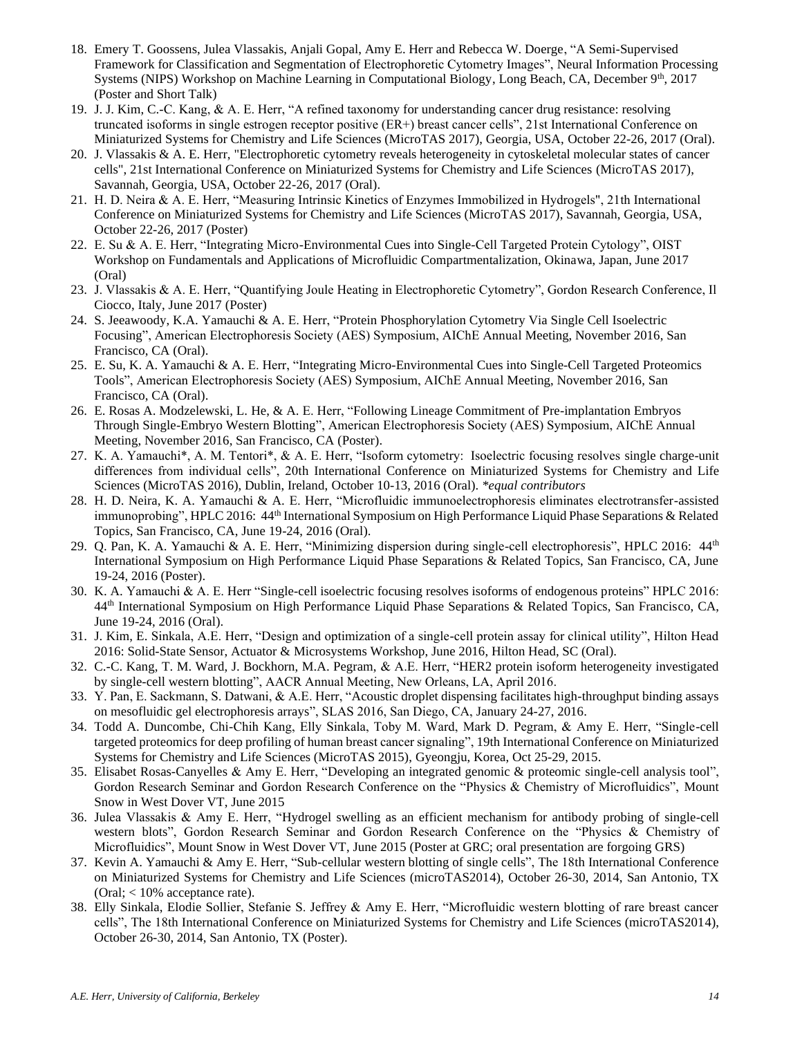- 18. Emery T. Goossens, Julea Vlassakis, Anjali Gopal, Amy E. Herr and Rebecca W. Doerge, "A Semi-Supervised Framework for Classification and Segmentation of Electrophoretic Cytometry Images", Neural Information Processing Systems (NIPS) Workshop on Machine Learning in Computational Biology, Long Beach, CA, December 9th, 2017 (Poster and Short Talk)
- 19. J. J. Kim, C.-C. Kang, & A. E. Herr, "A refined taxonomy for understanding cancer drug resistance: resolving truncated isoforms in single estrogen receptor positive (ER+) breast cancer cells", 21st International Conference on Miniaturized Systems for Chemistry and Life Sciences (MicroTAS 2017), Georgia, USA, October 22-26, 2017 (Oral).
- 20. J. Vlassakis & A. E. Herr, "Electrophoretic cytometry reveals heterogeneity in cytoskeletal molecular states of cancer cells", 21st International Conference on Miniaturized Systems for Chemistry and Life Sciences (MicroTAS 2017), Savannah, Georgia, USA, October 22-26, 2017 (Oral).
- 21. H. D. Neira & A. E. Herr, "Measuring Intrinsic Kinetics of Enzymes Immobilized in Hydrogels", 21th International Conference on Miniaturized Systems for Chemistry and Life Sciences (MicroTAS 2017), Savannah, Georgia, USA, October 22-26, 2017 (Poster)
- 22. E. Su & A. E. Herr, "Integrating Micro-Environmental Cues into Single-Cell Targeted Protein Cytology", OIST Workshop on Fundamentals and Applications of Microfluidic Compartmentalization, Okinawa, Japan, June 2017 (Oral)
- 23. J. Vlassakis & A. E. Herr, "Quantifying Joule Heating in Electrophoretic Cytometry", Gordon Research Conference, Il Ciocco, Italy, June 2017 (Poster)
- 24. S. Jeeawoody, K.A. Yamauchi & A. E. Herr, "Protein Phosphorylation Cytometry Via Single Cell Isoelectric Focusing", American Electrophoresis Society (AES) Symposium, AIChE Annual Meeting, November 2016, San Francisco, CA (Oral).
- 25. E. Su, K. A. Yamauchi & A. E. Herr, "Integrating Micro-Environmental Cues into Single-Cell Targeted Proteomics Tools", American Electrophoresis Society (AES) Symposium, AIChE Annual Meeting, November 2016, San Francisco, CA (Oral).
- 26. E. Rosas A. Modzelewski, L. He, & A. E. Herr, "Following Lineage Commitment of Pre-implantation Embryos Through Single-Embryo Western Blotting", American Electrophoresis Society (AES) Symposium, AIChE Annual Meeting, November 2016, San Francisco, CA (Poster).
- 27. K. A. Yamauchi\*, A. M. Tentori\*, & A. E. Herr, "Isoform cytometry: Isoelectric focusing resolves single charge-unit differences from individual cells", 20th International Conference on Miniaturized Systems for Chemistry and Life Sciences (MicroTAS 2016), Dublin, Ireland, October 10-13, 2016 (Oral). *\*equal contributors*
- 28. H. D. Neira, K. A. Yamauchi & A. E. Herr, "Microfluidic immunoelectrophoresis eliminates electrotransfer-assisted immunoprobing", HPLC 2016: 44<sup>th</sup> International Symposium on High Performance Liquid Phase Separations & Related Topics, San Francisco, CA, June 19-24, 2016 (Oral).
- 29. Q. Pan, K. A. Yamauchi & A. E. Herr, "Minimizing dispersion during single-cell electrophoresis", HPLC 2016: 44<sup>th</sup> International Symposium on High Performance Liquid Phase Separations & Related Topics, San Francisco, CA, June 19-24, 2016 (Poster).
- 30. K. A. Yamauchi & A. E. Herr "Single-cell isoelectric focusing resolves isoforms of endogenous proteins" HPLC 2016: 44th International Symposium on High Performance Liquid Phase Separations & Related Topics, San Francisco, CA, June 19-24, 2016 (Oral).
- 31. J. Kim, E. Sinkala, A.E. Herr, "Design and optimization of a single-cell protein assay for clinical utility", Hilton Head 2016: Solid-State Sensor, Actuator & Microsystems Workshop, June 2016, Hilton Head, SC (Oral).
- 32. C.-C. Kang, T. M. Ward, J. Bockhorn, M.A. Pegram, & A.E. Herr, "HER2 protein isoform heterogeneity investigated by single-cell western blotting", AACR Annual Meeting, New Orleans, LA, April 2016.
- 33. Y. Pan, E. Sackmann, S. Datwani, & A.E. Herr, "Acoustic droplet dispensing facilitates high-throughput binding assays on mesofluidic gel electrophoresis arrays", SLAS 2016, San Diego, CA, January 24-27, 2016.
- 34. Todd A. Duncombe, Chi-Chih Kang, Elly Sinkala, Toby M. Ward, Mark D. Pegram, & Amy E. Herr, "Single-cell targeted proteomics for deep profiling of human breast cancer signaling", 19th International Conference on Miniaturized Systems for Chemistry and Life Sciences (MicroTAS 2015), Gyeongju, Korea, Oct 25-29, 2015.
- 35. Elisabet Rosas-Canyelles & Amy E. Herr, "Developing an integrated genomic & proteomic single-cell analysis tool", Gordon Research Seminar and Gordon Research Conference on the "Physics & Chemistry of Microfluidics", Mount Snow in West Dover VT, June 2015
- 36. Julea Vlassakis & Amy E. Herr, "Hydrogel swelling as an efficient mechanism for antibody probing of single-cell western blots", Gordon Research Seminar and Gordon Research Conference on the "Physics & Chemistry of Microfluidics", Mount Snow in West Dover VT, June 2015 (Poster at GRC; oral presentation are forgoing GRS)
- 37. Kevin A. Yamauchi & Amy E. Herr, "Sub-cellular western blotting of single cells", The 18th International Conference on Miniaturized Systems for Chemistry and Life Sciences (microTAS2014), October 26-30, 2014, San Antonio, TX (Oral; < 10% acceptance rate).
- 38. Elly Sinkala, Elodie Sollier, Stefanie S. Jeffrey & Amy E. Herr, "Microfluidic western blotting of rare breast cancer cells", The 18th International Conference on Miniaturized Systems for Chemistry and Life Sciences (microTAS2014), October 26-30, 2014, San Antonio, TX (Poster).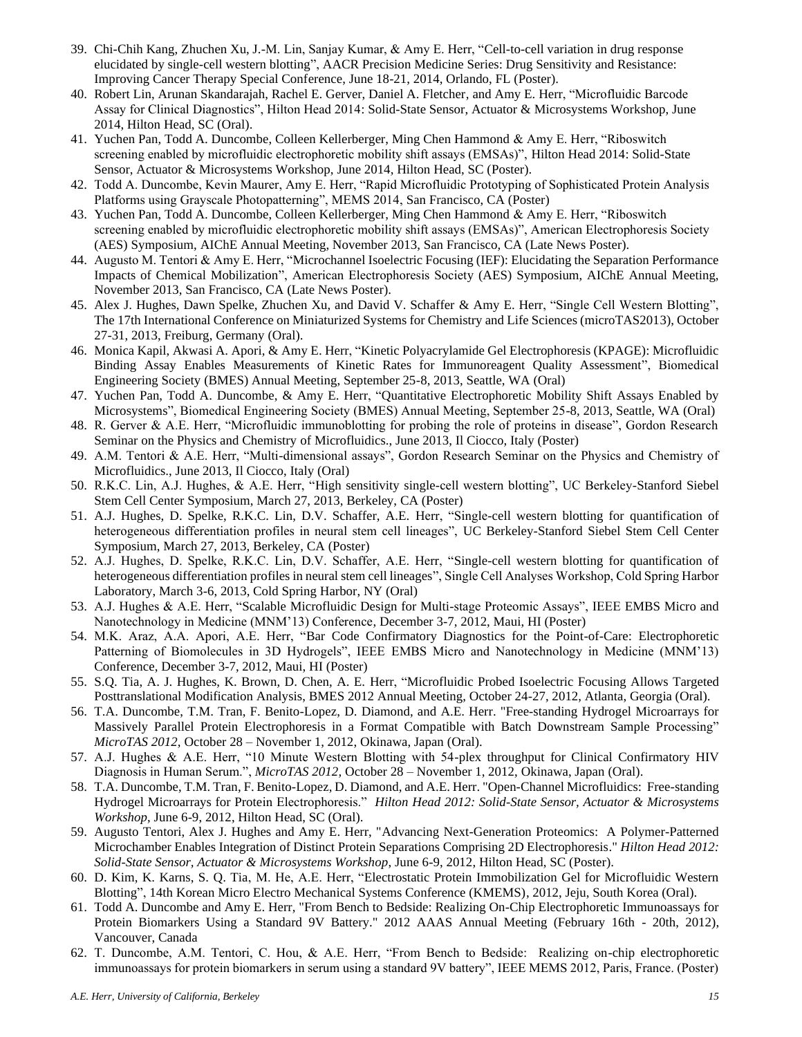- 39. Chi-Chih Kang, Zhuchen Xu, J.-M. Lin, Sanjay Kumar, & Amy E. Herr, "Cell-to-cell variation in drug response elucidated by single-cell western blotting", AACR Precision Medicine Series: Drug Sensitivity and Resistance: Improving Cancer Therapy Special Conference, June 18-21, 2014, Orlando, FL (Poster).
- 40. Robert Lin, Arunan Skandarajah, Rachel E. Gerver, Daniel A. Fletcher, and Amy E. Herr, "Microfluidic Barcode Assay for Clinical Diagnostics", Hilton Head 2014: Solid-State Sensor, Actuator & Microsystems Workshop, June 2014, Hilton Head, SC (Oral).
- 41. Yuchen Pan, Todd A. Duncombe, Colleen Kellerberger, Ming Chen Hammond & Amy E. Herr, "Riboswitch screening enabled by microfluidic electrophoretic mobility shift assays (EMSAs)", Hilton Head 2014: Solid-State Sensor, Actuator & Microsystems Workshop, June 2014, Hilton Head, SC (Poster).
- 42. Todd A. Duncombe, Kevin Maurer, Amy E. Herr, "Rapid Microfluidic Prototyping of Sophisticated Protein Analysis Platforms using Grayscale Photopatterning", MEMS 2014, San Francisco, CA (Poster)
- 43. Yuchen Pan, Todd A. Duncombe, Colleen Kellerberger, Ming Chen Hammond & Amy E. Herr, "Riboswitch screening enabled by microfluidic electrophoretic mobility shift assays (EMSAs)", American Electrophoresis Society (AES) Symposium, AIChE Annual Meeting, November 2013, San Francisco, CA (Late News Poster).
- 44. Augusto M. Tentori & Amy E. Herr, "Microchannel Isoelectric Focusing (IEF): Elucidating the Separation Performance Impacts of Chemical Mobilization", American Electrophoresis Society (AES) Symposium, AIChE Annual Meeting, November 2013, San Francisco, CA (Late News Poster).
- 45. Alex J. Hughes, Dawn Spelke, Zhuchen Xu, and David V. Schaffer & Amy E. Herr, "Single Cell Western Blotting", The 17th International Conference on Miniaturized Systems for Chemistry and Life Sciences (microTAS2013), October 27-31, 2013, Freiburg, Germany (Oral).
- 46. Monica Kapil, Akwasi A. Apori, & Amy E. Herr, "Kinetic Polyacrylamide Gel Electrophoresis (KPAGE): Microfluidic Binding Assay Enables Measurements of Kinetic Rates for Immunoreagent Quality Assessment", Biomedical Engineering Society (BMES) Annual Meeting, September 25-8, 2013, Seattle, WA (Oral)
- 47. Yuchen Pan, Todd A. Duncombe, & Amy E. Herr, "Quantitative Electrophoretic Mobility Shift Assays Enabled by Microsystems", Biomedical Engineering Society (BMES) Annual Meeting, September 25-8, 2013, Seattle, WA (Oral)
- 48. R. Gerver & A.E. Herr, "Microfluidic immunoblotting for probing the role of proteins in disease", Gordon Research Seminar on the Physics and Chemistry of Microfluidics., June 2013, Il Ciocco, Italy (Poster)
- 49. A.M. Tentori & A.E. Herr, "Multi-dimensional assays", Gordon Research Seminar on the Physics and Chemistry of Microfluidics., June 2013, Il Ciocco, Italy (Oral)
- 50. R.K.C. Lin, A.J. Hughes, & A.E. Herr, "High sensitivity single-cell western blotting", UC Berkeley-Stanford Siebel Stem Cell Center Symposium, March 27, 2013, Berkeley, CA (Poster)
- 51. A.J. Hughes, D. Spelke, R.K.C. Lin, D.V. Schaffer, A.E. Herr, "Single-cell western blotting for quantification of heterogeneous differentiation profiles in neural stem cell lineages", UC Berkeley-Stanford Siebel Stem Cell Center Symposium, March 27, 2013, Berkeley, CA (Poster)
- 52. A.J. Hughes, D. Spelke, R.K.C. Lin, D.V. Schaffer, A.E. Herr, "Single-cell western blotting for quantification of heterogeneous differentiation profiles in neural stem cell lineages", Single Cell Analyses Workshop, Cold Spring Harbor Laboratory, March 3-6, 2013, Cold Spring Harbor, NY (Oral)
- 53. A.J. Hughes & A.E. Herr, "Scalable Microfluidic Design for Multi-stage Proteomic Assays", IEEE EMBS Micro and Nanotechnology in Medicine (MNM'13) Conference, December 3-7, 2012, Maui, HI (Poster)
- 54. M.K. Araz, A.A. Apori, A.E. Herr, "Bar Code Confirmatory Diagnostics for the Point-of-Care: Electrophoretic Patterning of Biomolecules in 3D Hydrogels", IEEE EMBS Micro and Nanotechnology in Medicine (MNM'13) Conference, December 3-7, 2012, Maui, HI (Poster)
- 55. S.Q. Tia, A. J. Hughes, K. Brown, D. Chen, A. E. Herr, "Microfluidic Probed Isoelectric Focusing Allows Targeted Posttranslational Modification Analysis, BMES 2012 Annual Meeting, October 24-27, 2012, Atlanta, Georgia (Oral).
- 56. T.A. Duncombe, T.M. Tran, F. Benito-Lopez, D. Diamond, and A.E. Herr. "Free-standing Hydrogel Microarrays for Massively Parallel Protein Electrophoresis in a Format Compatible with Batch Downstream Sample Processing" *MicroTAS 2012,* October 28 – November 1, 2012, Okinawa, Japan (Oral).
- 57. A.J. Hughes & A.E. Herr, "10 Minute Western Blotting with 54-plex throughput for Clinical Confirmatory HIV Diagnosis in Human Serum.", *MicroTAS 2012,* October 28 – November 1, 2012, Okinawa, Japan (Oral).
- 58. T.A. Duncombe, T.M. Tran, F. Benito-Lopez, D. Diamond, and A.E. Herr. "Open-Channel Microfluidics: Free-standing Hydrogel Microarrays for Protein Electrophoresis." *Hilton Head 2012: Solid-State Sensor, Actuator & Microsystems Workshop*, June 6-9, 2012, Hilton Head, SC (Oral).
- 59. Augusto Tentori, Alex J. Hughes and Amy E. Herr, "Advancing Next-Generation Proteomics: A Polymer-Patterned Microchamber Enables Integration of Distinct Protein Separations Comprising 2D Electrophoresis." *Hilton Head 2012: Solid-State Sensor, Actuator & Microsystems Workshop*, June 6-9, 2012, Hilton Head, SC (Poster).
- 60. D. Kim, K. Karns, S. Q. Tia, M. He, A.E. Herr, "Electrostatic Protein Immobilization Gel for Microfluidic Western Blotting", 14th Korean Micro Electro Mechanical Systems Conference (KMEMS), 2012, Jeju, South Korea (Oral).
- 61. Todd A. Duncombe and Amy E. Herr, "From Bench to Bedside: Realizing On-Chip Electrophoretic Immunoassays for Protein Biomarkers Using a Standard 9V Battery." 2012 AAAS Annual Meeting (February 16th - 20th, 2012), Vancouver, Canada
- 62. T. Duncombe, A.M. Tentori, C. Hou, & A.E. Herr, "From Bench to Bedside: Realizing on-chip electrophoretic immunoassays for protein biomarkers in serum using a standard 9V battery", IEEE MEMS 2012, Paris, France. (Poster)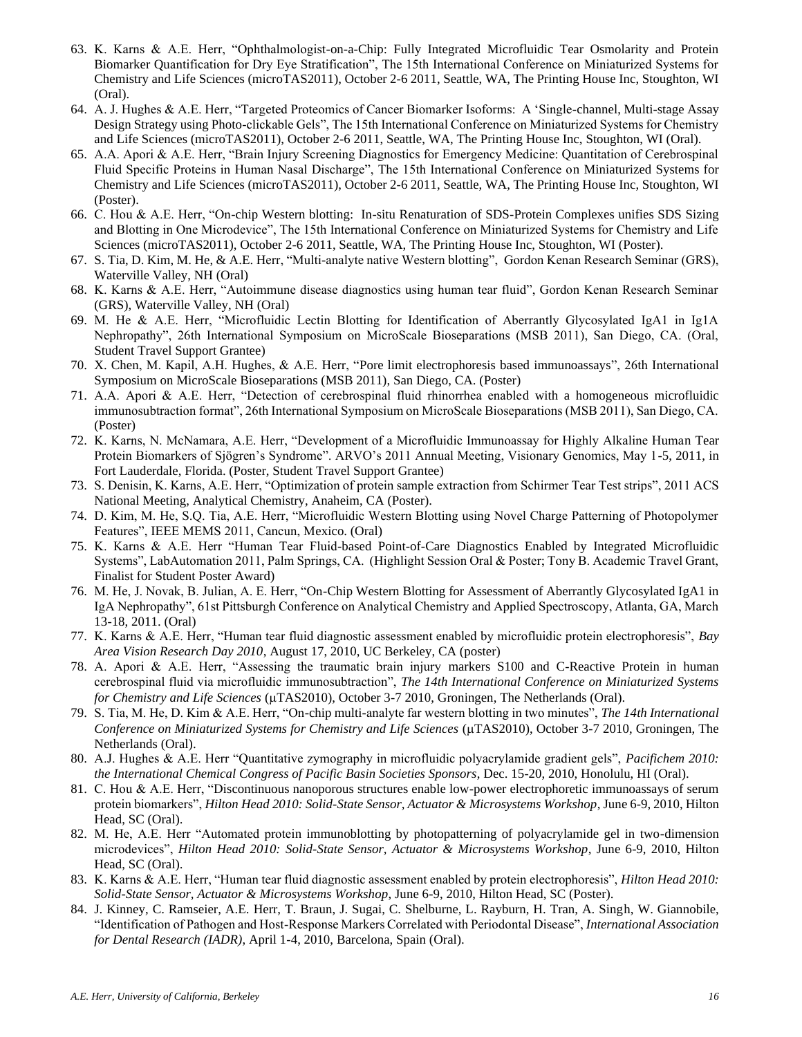- 63. K. Karns & A.E. Herr, "Ophthalmologist-on-a-Chip: Fully Integrated Microfluidic Tear Osmolarity and Protein Biomarker Quantification for Dry Eye Stratification", The 15th International Conference on Miniaturized Systems for Chemistry and Life Sciences (microTAS2011), October 2-6 2011, Seattle, WA, The Printing House Inc, Stoughton, WI (Oral).
- 64. A. J. Hughes & A.E. Herr, "Targeted Proteomics of Cancer Biomarker Isoforms: A 'Single-channel, Multi-stage Assay Design Strategy using Photo-clickable Gels", The 15th International Conference on Miniaturized Systems for Chemistry and Life Sciences (microTAS2011), October 2-6 2011, Seattle, WA, The Printing House Inc, Stoughton, WI (Oral).
- 65. A.A. Apori & A.E. Herr, "Brain Injury Screening Diagnostics for Emergency Medicine: Quantitation of Cerebrospinal Fluid Specific Proteins in Human Nasal Discharge", The 15th International Conference on Miniaturized Systems for Chemistry and Life Sciences (microTAS2011), October 2-6 2011, Seattle, WA, The Printing House Inc, Stoughton, WI (Poster).
- 66. C. Hou & A.E. Herr, "On-chip Western blotting: In-situ Renaturation of SDS-Protein Complexes unifies SDS Sizing and Blotting in One Microdevice", The 15th International Conference on Miniaturized Systems for Chemistry and Life Sciences (microTAS2011), October 2-6 2011, Seattle, WA, The Printing House Inc, Stoughton, WI (Poster).
- 67. S. Tia, D. Kim, M. He, & A.E. Herr, "Multi-analyte native Western blotting", Gordon Kenan Research Seminar (GRS), Waterville Valley, NH (Oral)
- 68. K. Karns & A.E. Herr, "Autoimmune disease diagnostics using human tear fluid", Gordon Kenan Research Seminar (GRS), Waterville Valley, NH (Oral)
- 69. M. He & A.E. Herr, "Microfluidic Lectin Blotting for Identification of Aberrantly Glycosylated IgA1 in Ig1A Nephropathy", 26th International Symposium on MicroScale Bioseparations (MSB 2011), San Diego, CA. (Oral, Student Travel Support Grantee)
- 70. X. Chen, M. Kapil, A.H. Hughes, & A.E. Herr, "Pore limit electrophoresis based immunoassays", 26th International Symposium on MicroScale Bioseparations (MSB 2011), San Diego, CA. (Poster)
- 71. A.A. Apori & A.E. Herr, "Detection of cerebrospinal fluid rhinorrhea enabled with a homogeneous microfluidic immunosubtraction format", 26th International Symposium on MicroScale Bioseparations (MSB 2011), San Diego, CA. (Poster)
- 72. K. Karns, N. McNamara, A.E. Herr, "Development of a Microfluidic Immunoassay for Highly Alkaline Human Tear Protein Biomarkers of Sjögren's Syndrome". ARVO's 2011 Annual Meeting, Visionary Genomics, May 1-5, 2011, in Fort Lauderdale, Florida. (Poster, Student Travel Support Grantee)
- 73. S. Denisin, K. Karns, A.E. Herr, "Optimization of protein sample extraction from Schirmer Tear Test strips", 2011 ACS National Meeting, Analytical Chemistry, Anaheim, CA (Poster).
- 74. D. Kim, M. He, S.Q. Tia, A.E. Herr, "Microfluidic Western Blotting using Novel Charge Patterning of Photopolymer Features", IEEE MEMS 2011, Cancun, Mexico. (Oral)
- 75. K. Karns & A.E. Herr "Human Tear Fluid-based Point-of-Care Diagnostics Enabled by Integrated Microfluidic Systems", LabAutomation 2011, Palm Springs, CA. (Highlight Session Oral & Poster; Tony B. Academic Travel Grant, Finalist for Student Poster Award)
- 76. M. He, J. Novak, B. Julian, A. E. Herr, "On-Chip Western Blotting for Assessment of Aberrantly Glycosylated IgA1 in IgA Nephropathy", 61st Pittsburgh Conference on Analytical Chemistry and Applied Spectroscopy, Atlanta, GA, March 13-18, 2011. (Oral)
- 77. K. Karns & A.E. Herr, "Human tear fluid diagnostic assessment enabled by microfluidic protein electrophoresis", *Bay Area Vision Research Day 2010*, August 17, 2010, UC Berkeley, CA (poster)
- 78. A. Apori & A.E. Herr, "Assessing the traumatic brain injury markers S100 and C-Reactive Protein in human cerebrospinal fluid via microfluidic immunosubtraction", *The 14th International Conference on Miniaturized Systems for Chemistry and Life Sciences* ( $\mu$ TAS2010), October 3-7 2010, Groningen, The Netherlands (Oral).
- 79. S. Tia, M. He, D. Kim & A.E. Herr, "On-chip multi-analyte far western blotting in two minutes", *The 14th International Conference on Miniaturized Systems for Chemistry and Life Sciences* ( $\mu$ TAS2010), October 3-7 2010, Groningen, The Netherlands (Oral).
- 80. A.J. Hughes & A.E. Herr "Quantitative zymography in microfluidic polyacrylamide gradient gels", *Pacifichem 2010: the International Chemical Congress of Pacific Basin Societies Sponsors*, Dec. 15-20, 2010, Honolulu, HI (Oral).
- 81. C. Hou & A.E. Herr, "Discontinuous nanoporous structures enable low-power electrophoretic immunoassays of serum protein biomarkers", *Hilton Head 2010: Solid-State Sensor, Actuator & Microsystems Workshop*, June 6-9, 2010, Hilton Head, SC (Oral).
- 82. M. He, A.E. Herr "Automated protein immunoblotting by photopatterning of polyacrylamide gel in two-dimension microdevices", *Hilton Head 2010: Solid-State Sensor, Actuator & Microsystems Workshop*, June 6-9, 2010, Hilton Head, SC (Oral).
- 83. K. Karns & A.E. Herr, "Human tear fluid diagnostic assessment enabled by protein electrophoresis", *Hilton Head 2010: Solid-State Sensor, Actuator & Microsystems Workshop*, June 6-9, 2010, Hilton Head, SC (Poster).
- 84. J. Kinney, C. Ramseier, A.E. Herr, T. Braun, J. Sugai, C. Shelburne, L. Rayburn, H. Tran, A. Singh, W. Giannobile, "Identification of Pathogen and Host-Response Markers Correlated with Periodontal Disease", *International Association for Dental Research (IADR)*, April 1-4, 2010, Barcelona, Spain (Oral).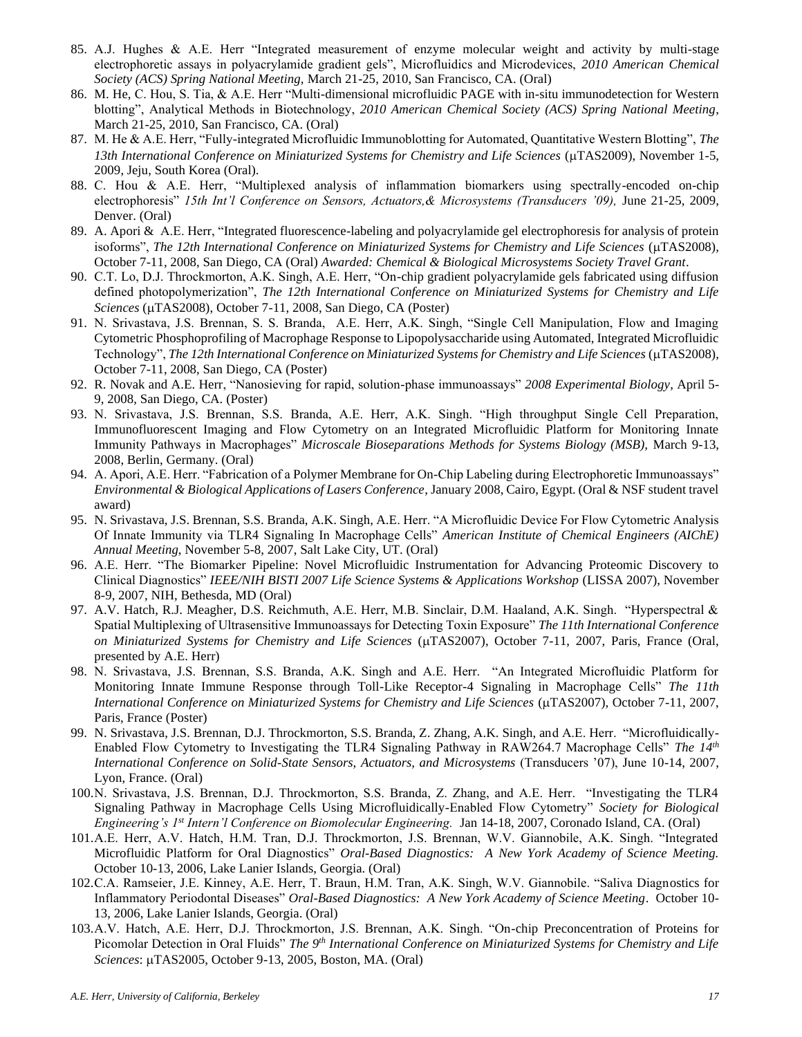- 85. A.J. Hughes & A.E. Herr "Integrated measurement of enzyme molecular weight and activity by multi-stage electrophoretic assays in polyacrylamide gradient gels", Microfluidics and Microdevices, *2010 American Chemical Society (ACS) Spring National Meeting,* March 21-25, 2010, San Francisco, CA. (Oral)
- 86. M. He, C. Hou, S. Tia, & A.E. Herr "Multi-dimensional microfluidic PAGE with in-situ immunodetection for Western blotting", Analytical Methods in Biotechnology, *2010 American Chemical Society (ACS) Spring National Meeting*, March 21-25, 2010, San Francisco, CA. (Oral)
- 87. M. He & A.E. Herr, "Fully-integrated Microfluidic Immunoblotting for Automated, Quantitative Western Blotting", *The*  13th International Conference on Miniaturized Systems for Chemistry and Life Sciences (µTAS2009), November 1-5, 2009, Jeju, South Korea (Oral).
- 88. C. Hou & A.E. Herr, "Multiplexed analysis of inflammation biomarkers using spectrally-encoded on-chip electrophoresis" *15th Int'l Conference on Sensors, Actuators,& Microsystems (Transducers '09),* June 21-25, 2009, Denver. (Oral)
- 89. A. Apori & A.E. Herr, "Integrated fluorescence-labeling and polyacrylamide gel electrophoresis for analysis of protein isoforms", *The 12th International Conference on Miniaturized Systems for Chemistry and Life Sciences* ( $\mu$ TAS2008), October 7-11, 2008, San Diego, CA (Oral) *Awarded: Chemical & Biological Microsystems Society Travel Grant*.
- 90. C.T. Lo, D.J. Throckmorton, A.K. Singh, A.E. Herr, "On-chip gradient polyacrylamide gels fabricated using diffusion defined photopolymerization", *The 12th International Conference on Miniaturized Systems for Chemistry and Life Sciences* (µTAS2008), October 7-11, 2008, San Diego, CA (Poster)
- 91. N. Srivastava, J.S. Brennan, S. S. Branda, A.E. Herr, A.K. Singh, "Single Cell Manipulation, Flow and Imaging Cytometric Phosphoprofiling of Macrophage Response to Lipopolysaccharide using Automated, Integrated Microfluidic Technology", *The 12th International Conference on Miniaturized Systems for Chemistry and Life Sciences* ( $\mu$ TAS2008), October 7-11, 2008, San Diego, CA (Poster)
- 92. R. Novak and A.E. Herr, "Nanosieving for rapid, solution-phase immunoassays" *2008 Experimental Biology*, April 5- 9, 2008, San Diego, CA. (Poster)
- 93. N. Srivastava, J.S. Brennan, S.S. Branda, A.E. Herr, A.K. Singh. "High throughput Single Cell Preparation, Immunofluorescent Imaging and Flow Cytometry on an Integrated Microfluidic Platform for Monitoring Innate Immunity Pathways in Macrophages" *Microscale Bioseparations Methods for Systems Biology (MSB),* March 9-13, 2008, Berlin, Germany. (Oral)
- 94. A. Apori, A.E. Herr. "Fabrication of a Polymer Membrane for On-Chip Labeling during Electrophoretic Immunoassays" *Environmental & Biological Applications of Lasers Conference*, January 2008, Cairo, Egypt. (Oral & NSF student travel award)
- 95. N. Srivastava, J.S. Brennan, S.S. Branda, A.K. Singh, A.E. Herr. "A Microfluidic Device For Flow Cytometric Analysis Of Innate Immunity via TLR4 Signaling In Macrophage Cells" *American Institute of Chemical Engineers (AIChE) Annual Meeting*, November 5-8, 2007, Salt Lake City, UT. (Oral)
- 96. A.E. Herr. "The Biomarker Pipeline: Novel Microfluidic Instrumentation for Advancing Proteomic Discovery to Clinical Diagnostics" *IEEE/NIH BISTI 2007 Life Science Systems & Applications Workshop* (LISSA 2007), November 8-9, 2007, NIH, Bethesda, MD (Oral)
- 97. A.V. Hatch, R.J. Meagher, D.S. Reichmuth, A.E. Herr, M.B. Sinclair, D.M. Haaland, A.K. Singh. "Hyperspectral & Spatial Multiplexing of Ultrasensitive Immunoassays for Detecting Toxin Exposure" *The 11th International Conference on Miniaturized Systems for Chemistry and Life Sciences* ( $\mu$ TAS2007), October 7-11, 2007, Paris, France (Oral, presented by A.E. Herr)
- 98. N. Srivastava, J.S. Brennan, S.S. Branda, A.K. Singh and A.E. Herr. "An Integrated Microfluidic Platform for Monitoring Innate Immune Response through Toll-Like Receptor-4 Signaling in Macrophage Cells" *The 11th International Conference on Miniaturized Systems for Chemistry and Life Sciences* ( $\mu$ TAS2007), October 7-11, 2007, Paris, France (Poster)
- 99. N. Srivastava, J.S. Brennan, D.J. Throckmorton, S.S. Branda, Z. Zhang, A.K. Singh, and A.E. Herr. "Microfluidically-Enabled Flow Cytometry to Investigating the TLR4 Signaling Pathway in RAW264.7 Macrophage Cells" *The 14th International Conference on Solid-State Sensors, Actuators, and Microsystems* (Transducers '07), June 10-14, 2007, Lyon, France. (Oral)
- 100.N. Srivastava, J.S. Brennan, D.J. Throckmorton, S.S. Branda, Z. Zhang, and A.E. Herr. "Investigating the TLR4 Signaling Pathway in Macrophage Cells Using Microfluidically-Enabled Flow Cytometry" *Society for Biological Engineering's 1st Intern'l Conference on Biomolecular Engineering.* Jan 14-18, 2007, Coronado Island, CA. (Oral)
- 101.A.E. Herr, A.V. Hatch, H.M. Tran, D.J. Throckmorton, J.S. Brennan, W.V. Giannobile, A.K. Singh. "Integrated Microfluidic Platform for Oral Diagnostics" *Oral-Based Diagnostics: A New York Academy of Science Meeting.*  October 10-13, 2006, Lake Lanier Islands, Georgia. (Oral)
- 102.C.A. Ramseier, J.E. Kinney, A.E. Herr, T. Braun, H.M. Tran, A.K. Singh, W.V. Giannobile. "Saliva Diagnostics for Inflammatory Periodontal Diseases" *Oral-Based Diagnostics: A New York Academy of Science Meeting*. October 10- 13, 2006, Lake Lanier Islands, Georgia. (Oral)
- 103.A.V. Hatch, A.E. Herr, D.J. Throckmorton, J.S. Brennan, A.K. Singh. "On-chip Preconcentration of Proteins for Picomolar Detection in Oral Fluids" *The 9th International Conference on Miniaturized Systems for Chemistry and Life Sciences*: µTAS2005, October 9-13, 2005, Boston, MA. (Oral)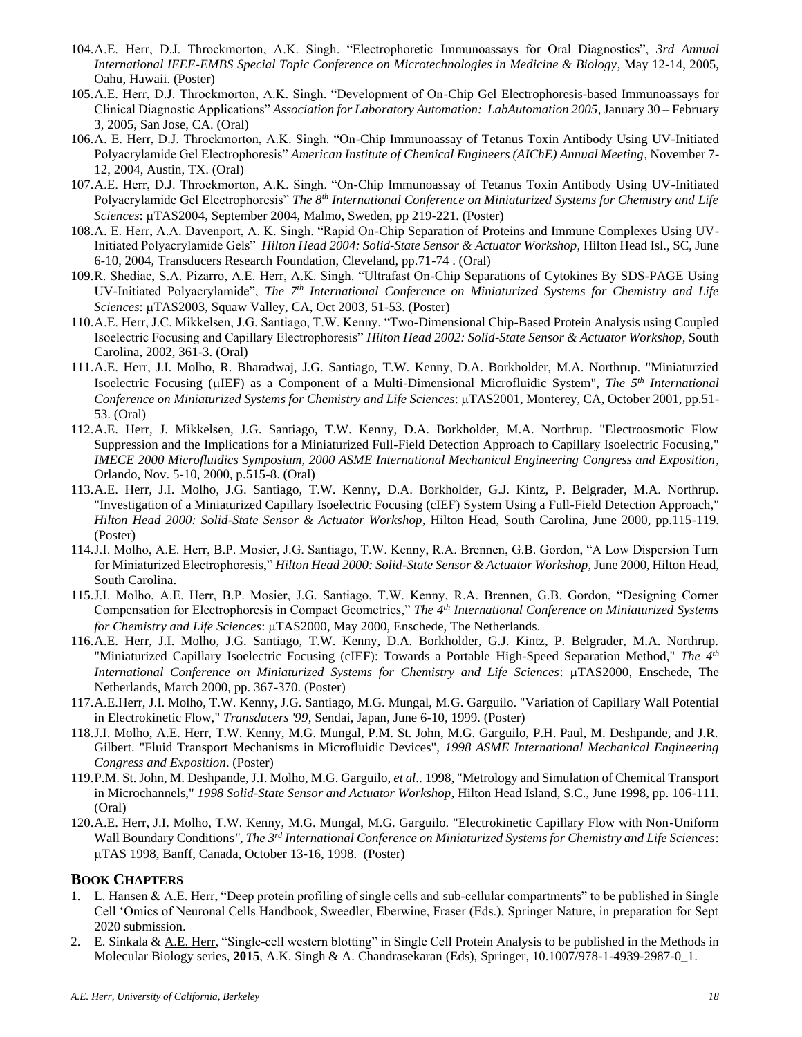- 104.A.E. Herr, D.J. Throckmorton, A.K. Singh. "Electrophoretic Immunoassays for Oral Diagnostics", *3rd Annual International IEEE-EMBS Special Topic Conference on Microtechnologies in Medicine & Biology*, May 12-14, 2005, Oahu, Hawaii. (Poster)
- 105.A.E. Herr, D.J. Throckmorton, A.K. Singh. "Development of On-Chip Gel Electrophoresis-based Immunoassays for Clinical Diagnostic Applications" *Association for Laboratory Automation: LabAutomation 2005*, January 30 – February 3, 2005, San Jose, CA. (Oral)
- 106.A. E. Herr, D.J. Throckmorton, A.K. Singh. "On-Chip Immunoassay of Tetanus Toxin Antibody Using UV-Initiated Polyacrylamide Gel Electrophoresis" *American Institute of Chemical Engineers (AIChE) Annual Meeting*, November 7- 12, 2004, Austin, TX. (Oral)
- 107.A.E. Herr, D.J. Throckmorton, A.K. Singh. "On-Chip Immunoassay of Tetanus Toxin Antibody Using UV-Initiated Polyacrylamide Gel Electrophoresis" *The 8th International Conference on Miniaturized Systems for Chemistry and Life*  Sciences: µTAS2004, September 2004, Malmo, Sweden, pp 219-221. (Poster)
- 108.A. E. Herr, A.A. Davenport, A. K. Singh. "Rapid On-Chip Separation of Proteins and Immune Complexes Using UV-Initiated Polyacrylamide Gels" *Hilton Head 2004: Solid-State Sensor & Actuator Workshop*, Hilton Head Isl., SC, June 6-10, 2004, Transducers Research Foundation, Cleveland, pp.71-74 . (Oral)
- 109.R. Shediac, S.A. Pizarro, A.E. Herr, A.K. Singh. "Ultrafast On-Chip Separations of Cytokines By SDS-PAGE Using UV-Initiated Polyacrylamide", *The 7th International Conference on Miniaturized Systems for Chemistry and Life Sciences*: µTAS2003, Squaw Valley, CA, Oct 2003, 51-53. (Poster)
- 110.A.E. Herr, J.C. Mikkelsen, J.G. Santiago, T.W. Kenny. "Two-Dimensional Chip-Based Protein Analysis using Coupled Isoelectric Focusing and Capillary Electrophoresis" *Hilton Head 2002: Solid-State Sensor & Actuator Workshop*, South Carolina, 2002, 361-3. (Oral)
- 111.A.E. Herr, J.I. Molho, R. Bharadwaj, J.G. Santiago, T.W. Kenny, D.A. Borkholder, M.A. Northrup. "Miniaturzied Isoelectric Focusing (IEF) as a Component of a Multi-Dimensional Microfluidic System", *The 5th International Conference on Miniaturized Systems for Chemistry and Life Sciences: µTAS2001, Monterey, CA, October 2001, pp.51-*53. (Oral)
- 112.A.E. Herr, J. Mikkelsen, J.G. Santiago, T.W. Kenny, D.A. Borkholder, M.A. Northrup. "Electroosmotic Flow Suppression and the Implications for a Miniaturized Full-Field Detection Approach to Capillary Isoelectric Focusing," *IMECE 2000 Microfluidics Symposium, 2000 ASME International Mechanical Engineering Congress and Exposition*, Orlando, Nov. 5-10, 2000, p.515-8. (Oral)
- 113.A.E. Herr, J.I. Molho, J.G. Santiago, T.W. Kenny, D.A. Borkholder, G.J. Kintz, P. Belgrader, M.A. Northrup. "Investigation of a Miniaturized Capillary Isoelectric Focusing (cIEF) System Using a Full-Field Detection Approach," *Hilton Head 2000: Solid-State Sensor & Actuator Workshop*, Hilton Head, South Carolina, June 2000, pp.115-119. (Poster)
- 114.J.I. Molho, A.E. Herr, B.P. Mosier, J.G. Santiago, T.W. Kenny, R.A. Brennen, G.B. Gordon, "A Low Dispersion Turn for Miniaturized Electrophoresis," *Hilton Head 2000: Solid-State Sensor & Actuator Workshop*, June 2000, Hilton Head, South Carolina.
- 115.J.I. Molho, A.E. Herr, B.P. Mosier, J.G. Santiago, T.W. Kenny, R.A. Brennen, G.B. Gordon, "Designing Corner Compensation for Electrophoresis in Compact Geometries," *The 4th International Conference on Miniaturized Systems for Chemistry and Life Sciences*:  $\mu$ TAS2000, May 2000, Enschede, The Netherlands.
- 116.A.E. Herr, J.I. Molho, J.G. Santiago, T.W. Kenny, D.A. Borkholder, G.J. Kintz, P. Belgrader, M.A. Northrup. "Miniaturized Capillary Isoelectric Focusing (cIEF): Towards a Portable High-Speed Separation Method," *The 4th International Conference on Miniaturized Systems for Chemistry and Life Sciences: µTAS2000, Enschede, The* Netherlands, March 2000, pp. 367-370. (Poster)
- 117.A.E.Herr, J.I. Molho, T.W. Kenny, J.G. Santiago, M.G. Mungal, M.G. Garguilo. "Variation of Capillary Wall Potential in Electrokinetic Flow," *Transducers '99*, Sendai, Japan, June 6-10, 1999. (Poster)
- 118.J.I. Molho, A.E. Herr, T.W. Kenny, M.G. Mungal, P.M. St. John, M.G. Garguilo, P.H. Paul, M. Deshpande, and J.R. Gilbert. "Fluid Transport Mechanisms in Microfluidic Devices", *1998 ASME International Mechanical Engineering Congress and Exposition*. (Poster)
- 119.P.M. St. John, M. Deshpande, J.I. Molho, M.G. Garguilo, *et al*.. 1998, "Metrology and Simulation of Chemical Transport in Microchannels," *1998 Solid-State Sensor and Actuator Workshop*, Hilton Head Island, S.C., June 1998, pp. 106-111. (Oral)
- 120.A.E. Herr, J.I. Molho, T.W. Kenny, M.G. Mungal, M.G. Garguilo. "Electrokinetic Capillary Flow with Non-Uniform Wall Boundary Conditions*", The 3rd International Conference on Miniaturized Systems for Chemistry and Life Sciences*: TAS 1998, Banff, Canada, October 13-16, 1998. (Poster)

#### **BOOK CHAPTERS**

- 1. L. Hansen & A.E. Herr, "Deep protein profiling of single cells and sub-cellular compartments" to be published in Single Cell 'Omics of Neuronal Cells Handbook, Sweedler, Eberwine, Fraser (Eds.), Springer Nature, in preparation for Sept 2020 submission.
- 2. E. Sinkala &  $A.E.$  Herr, "Single-cell western blotting" in Single Cell Protein Analysis to be published in the Methods in Molecular Biology series, **2015**, A.K. Singh & A. Chandrasekaran (Eds), Springer, 10.1007/978-1-4939-2987-0\_1.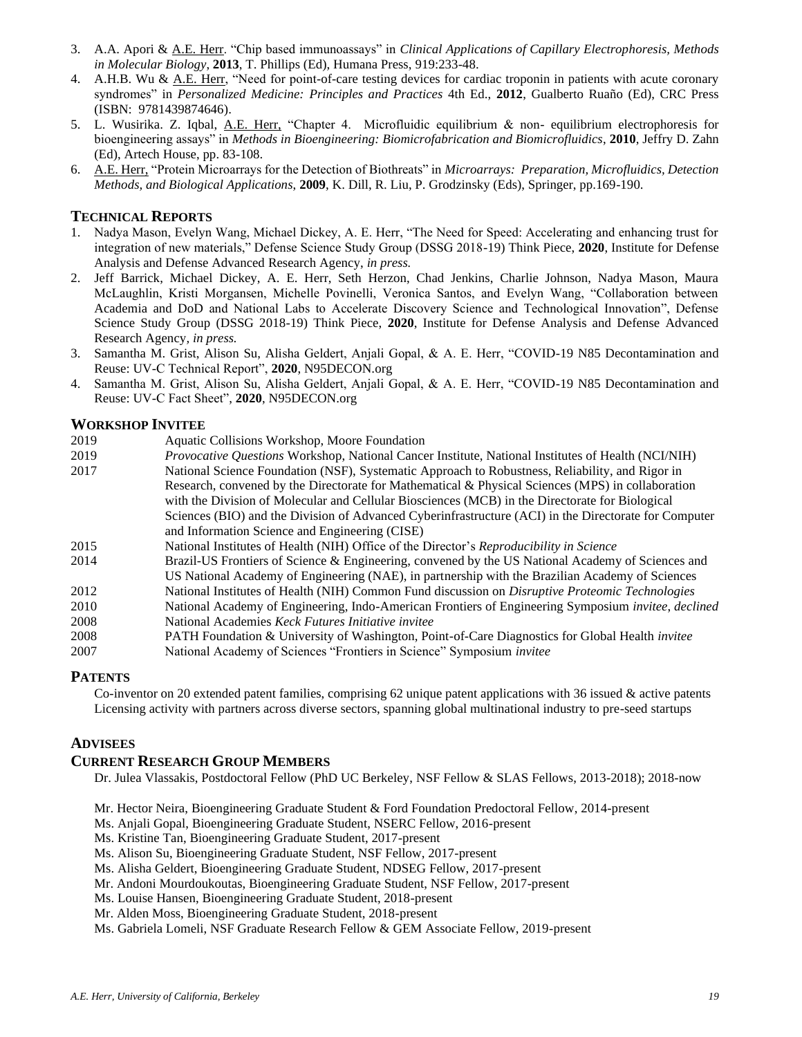- 3. A.A. Apori & A.E. Herr. "Chip based immunoassays" in *Clinical Applications of Capillary Electrophoresis, Methods in Molecular Biology*, **2013**, T. Phillips (Ed), Humana Press, 919:233-48.
- 4. A.H.B. Wu & A.E. Herr, "Need for point-of-care testing devices for cardiac troponin in patients with acute coronary syndromes" in *Personalized Medicine: Principles and Practices* 4th Ed., **2012**, Gualberto Ruaño (Ed), CRC Press (ISBN: 9781439874646).
- 5. L. Wusirika. Z. Iqbal, A.E. Herr, "Chapter 4. Microfluidic equilibrium & non- equilibrium electrophoresis for bioengineering assays" in *Methods in Bioengineering: Biomicrofabrication and Biomicrofluidics*, **2010**, Jeffry D. Zahn (Ed), Artech House, pp. 83-108.
- 6. A.E. Herr, "Protein Microarrays for the Detection of Biothreats" in *Microarrays: Preparation, Microfluidics, Detection Methods, and Biological Applications*, **2009**, K. Dill, R. Liu, P. Grodzinsky (Eds), Springer, pp.169-190.

#### **TECHNICAL REPORTS**

- 1. Nadya Mason, Evelyn Wang, Michael Dickey, A. E. Herr, "The Need for Speed: Accelerating and enhancing trust for integration of new materials," Defense Science Study Group (DSSG 2018-19) Think Piece, **2020**, Institute for Defense Analysis and Defense Advanced Research Agency, *in press.*
- 2. Jeff Barrick, Michael Dickey, A. E. Herr, Seth Herzon, Chad Jenkins, Charlie Johnson, Nadya Mason, Maura McLaughlin, Kristi Morgansen, Michelle Povinelli, Veronica Santos, and Evelyn Wang, "Collaboration between Academia and DoD and National Labs to Accelerate Discovery Science and Technological Innovation", Defense Science Study Group (DSSG 2018-19) Think Piece, **2020**, Institute for Defense Analysis and Defense Advanced Research Agency*, in press.*
- 3. Samantha M. Grist, Alison Su, Alisha Geldert, Anjali Gopal, & A. E. Herr, "COVID-19 N85 Decontamination and Reuse: UV-C Technical Report", **2020**, N95DECON.org
- 4. Samantha M. Grist, Alison Su, Alisha Geldert, Anjali Gopal, & A. E. Herr, "COVID-19 N85 Decontamination and Reuse: UV-C Fact Sheet", **2020**, N95DECON.org

#### **WORKSHOP INVITEE**

- 2019 Aquatic Collisions Workshop, Moore Foundation
- 2019 *Provocative Questions* Workshop, National Cancer Institute, National Institutes of Health (NCI/NIH)
- 2017 National Science Foundation (NSF), Systematic Approach to Robustness, Reliability, and Rigor in Research, convened by the Directorate for Mathematical & Physical Sciences (MPS) in collaboration with the Division of Molecular and Cellular Biosciences (MCB) in the Directorate for Biological Sciences (BIO) and the Division of Advanced Cyberinfrastructure (ACI) in the Directorate for Computer and Information Science and Engineering (CISE) 2015 National Institutes of Health (NIH) Office of the Director's *Reproducibility in Science*
- 
- 2014 Brazil-US Frontiers of Science & Engineering, convened by the US National Academy of Sciences and
- US National Academy of Engineering (NAE), in partnership with the Brazilian Academy of Sciences
- 2012 National Institutes of Health (NIH) Common Fund discussion on *Disruptive Proteomic Technologies*
- 2010 National Academy of Engineering, Indo-American Frontiers of Engineering Symposium *invitee*, *declined*
- 2008 National Academies *Keck Futures Initiative invitee*
- 2008 PATH Foundation & University of Washington, Point-of-Care Diagnostics for Global Health *invitee* 2007 National Academy of Sciences "Frontiers in Science" Symposium *invitee*

#### **PATENTS**

Co-inventor on 20 extended patent families, comprising 62 unique patent applications with 36 issued & active patents Licensing activity with partners across diverse sectors, spanning global multinational industry to pre-seed startups

#### **ADVISEES**

#### **CURRENT RESEARCH GROUP MEMBERS**

Dr. Julea Vlassakis, Postdoctoral Fellow (PhD UC Berkeley, NSF Fellow & SLAS Fellows, 2013-2018); 2018-now

- Mr. Hector Neira, Bioengineering Graduate Student & Ford Foundation Predoctoral Fellow, 2014-present
- Ms. Anjali Gopal, Bioengineering Graduate Student, NSERC Fellow, 2016-present
- Ms. Kristine Tan, Bioengineering Graduate Student, 2017-present
- Ms. Alison Su, Bioengineering Graduate Student, NSF Fellow, 2017-present
- Ms. Alisha Geldert, Bioengineering Graduate Student, NDSEG Fellow, 2017-present
- Mr. Andoni Mourdoukoutas, Bioengineering Graduate Student, NSF Fellow, 2017-present
- Ms. Louise Hansen, Bioengineering Graduate Student, 2018-present
- Mr. Alden Moss, Bioengineering Graduate Student, 2018-present

Ms. Gabriela Lomeli, NSF Graduate Research Fellow & GEM Associate Fellow, 2019-present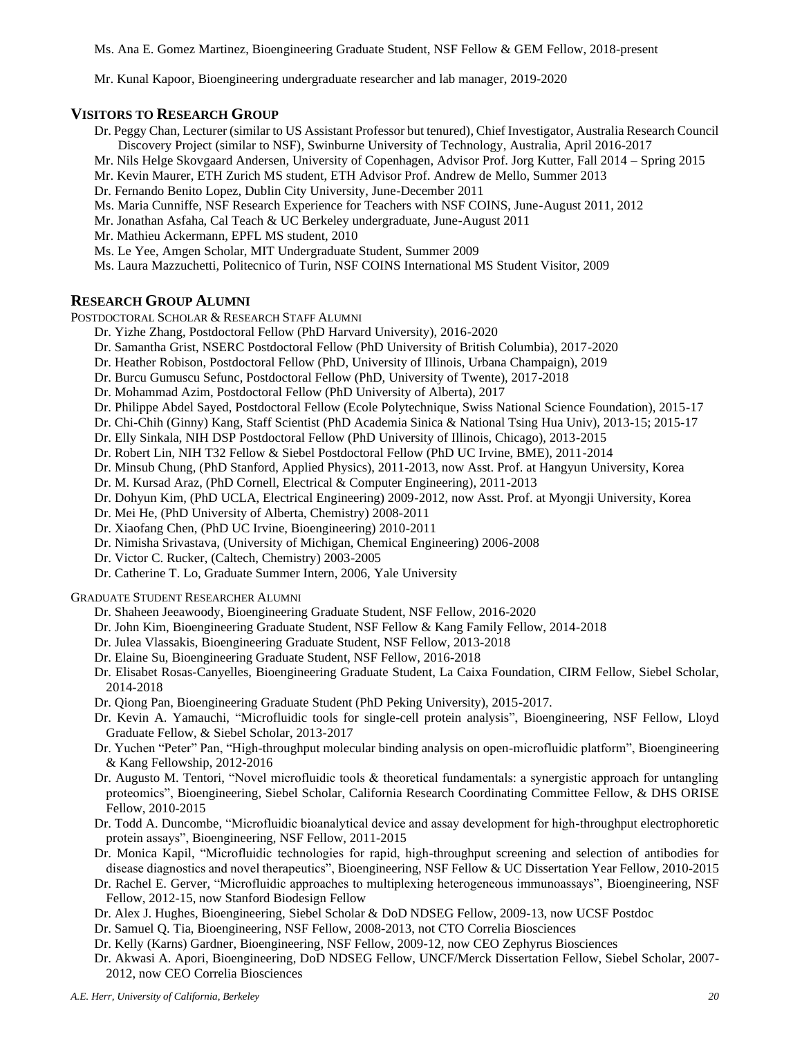Ms. Ana E. Gomez Martinez, Bioengineering Graduate Student, NSF Fellow & GEM Fellow, 2018-present

Mr. Kunal Kapoor, Bioengineering undergraduate researcher and lab manager, 2019-2020

#### **VISITORS TO RESEARCH GROUP**

- Dr. Peggy Chan, Lecturer (similar to US Assistant Professor but tenured), Chief Investigator, Australia Research Council Discovery Project (similar to NSF), Swinburne University of Technology, Australia, April 2016-2017
- Mr. Nils Helge Skovgaard Andersen, University of Copenhagen, Advisor Prof. Jorg Kutter, Fall 2014 Spring 2015
- Mr. Kevin Maurer, ETH Zurich MS student, ETH Advisor Prof. Andrew de Mello, Summer 2013
- Dr. Fernando Benito Lopez, Dublin City University, June-December 2011
- Ms. Maria Cunniffe, NSF Research Experience for Teachers with NSF COINS, June-August 2011, 2012
- Mr. Jonathan Asfaha, Cal Teach & UC Berkeley undergraduate, June-August 2011
- Mr. Mathieu Ackermann, EPFL MS student, 2010
- Ms. Le Yee, Amgen Scholar, MIT Undergraduate Student, Summer 2009
- Ms. Laura Mazzuchetti, Politecnico of Turin, NSF COINS International MS Student Visitor, 2009

#### **RESEARCH GROUP ALUMNI**

POSTDOCTORAL SCHOLAR & RESEARCH STAFF ALUMNI

- Dr. Yizhe Zhang, Postdoctoral Fellow (PhD Harvard University), 2016-2020
- Dr. Samantha Grist, NSERC Postdoctoral Fellow (PhD University of British Columbia), 2017-2020
- Dr. Heather Robison, Postdoctoral Fellow (PhD, University of Illinois, Urbana Champaign), 2019
- Dr. Burcu Gumuscu Sefunc, Postdoctoral Fellow (PhD, University of Twente), 2017-2018
- Dr. Mohammad Azim, Postdoctoral Fellow (PhD University of Alberta), 2017
- Dr. Philippe Abdel Sayed, Postdoctoral Fellow (Ecole Polytechnique, Swiss National Science Foundation), 2015-17
- Dr. Chi-Chih (Ginny) Kang, Staff Scientist (PhD Academia Sinica & National Tsing Hua Univ), 2013-15; 2015-17
- Dr. Elly Sinkala, NIH DSP Postdoctoral Fellow (PhD University of Illinois, Chicago), 2013-2015
- Dr. Robert Lin, NIH T32 Fellow & Siebel Postdoctoral Fellow (PhD UC Irvine, BME), 2011-2014
- Dr. Minsub Chung, (PhD Stanford, Applied Physics), 2011-2013, now Asst. Prof. at Hangyun University, Korea
- Dr. M. Kursad Araz, (PhD Cornell, Electrical & Computer Engineering), 2011-2013
- Dr. Dohyun Kim, (PhD UCLA, Electrical Engineering) 2009-2012, now Asst. Prof. at Myongji University, Korea
- Dr. Mei He, (PhD University of Alberta, Chemistry) 2008-2011
- Dr. Xiaofang Chen, (PhD UC Irvine, Bioengineering) 2010-2011
- Dr. Nimisha Srivastava, (University of Michigan, Chemical Engineering) 2006-2008
- Dr. Victor C. Rucker, (Caltech, Chemistry) 2003-2005
- Dr. Catherine T. Lo, Graduate Summer Intern, 2006, Yale University

GRADUATE STUDENT RESEARCHER ALUMNI

- Dr. Shaheen Jeeawoody, Bioengineering Graduate Student, NSF Fellow, 2016-2020
- Dr. John Kim, Bioengineering Graduate Student, NSF Fellow & Kang Family Fellow, 2014-2018
- Dr. Julea Vlassakis, Bioengineering Graduate Student, NSF Fellow, 2013-2018
- Dr. Elaine Su, Bioengineering Graduate Student, NSF Fellow, 2016-2018
- Dr. Elisabet Rosas-Canyelles, Bioengineering Graduate Student, La Caixa Foundation, CIRM Fellow, Siebel Scholar, 2014-2018
- Dr. Qiong Pan, Bioengineering Graduate Student (PhD Peking University), 2015-2017.
- Dr. Kevin A. Yamauchi, "Microfluidic tools for single-cell protein analysis", Bioengineering, NSF Fellow, Lloyd Graduate Fellow, & Siebel Scholar, 2013-2017
- Dr. Yuchen "Peter" Pan, "High-throughput molecular binding analysis on open-microfluidic platform", Bioengineering & Kang Fellowship, 2012-2016
- Dr. Augusto M. Tentori, "Novel microfluidic tools & theoretical fundamentals: a synergistic approach for untangling proteomics", Bioengineering, Siebel Scholar, California Research Coordinating Committee Fellow, & DHS ORISE Fellow, 2010-2015
- Dr. Todd A. Duncombe, "Microfluidic bioanalytical device and assay development for high-throughput electrophoretic protein assays", Bioengineering, NSF Fellow, 2011-2015
- Dr. Monica Kapil, "Microfluidic technologies for rapid, high-throughput screening and selection of antibodies for disease diagnostics and novel therapeutics", Bioengineering, NSF Fellow & UC Dissertation Year Fellow, 2010-2015
- Dr. Rachel E. Gerver, "Microfluidic approaches to multiplexing heterogeneous immunoassays", Bioengineering, NSF Fellow, 2012-15, now Stanford Biodesign Fellow
- Dr. Alex J. Hughes, Bioengineering, Siebel Scholar & DoD NDSEG Fellow, 2009-13, now UCSF Postdoc
- Dr. Samuel Q. Tia, Bioengineering, NSF Fellow, 2008-2013, not CTO Correlia Biosciences
- Dr. Kelly (Karns) Gardner, Bioengineering, NSF Fellow, 2009-12, now CEO Zephyrus Biosciences
- Dr. Akwasi A. Apori, Bioengineering, DoD NDSEG Fellow, UNCF/Merck Dissertation Fellow, Siebel Scholar, 2007- 2012, now CEO Correlia Biosciences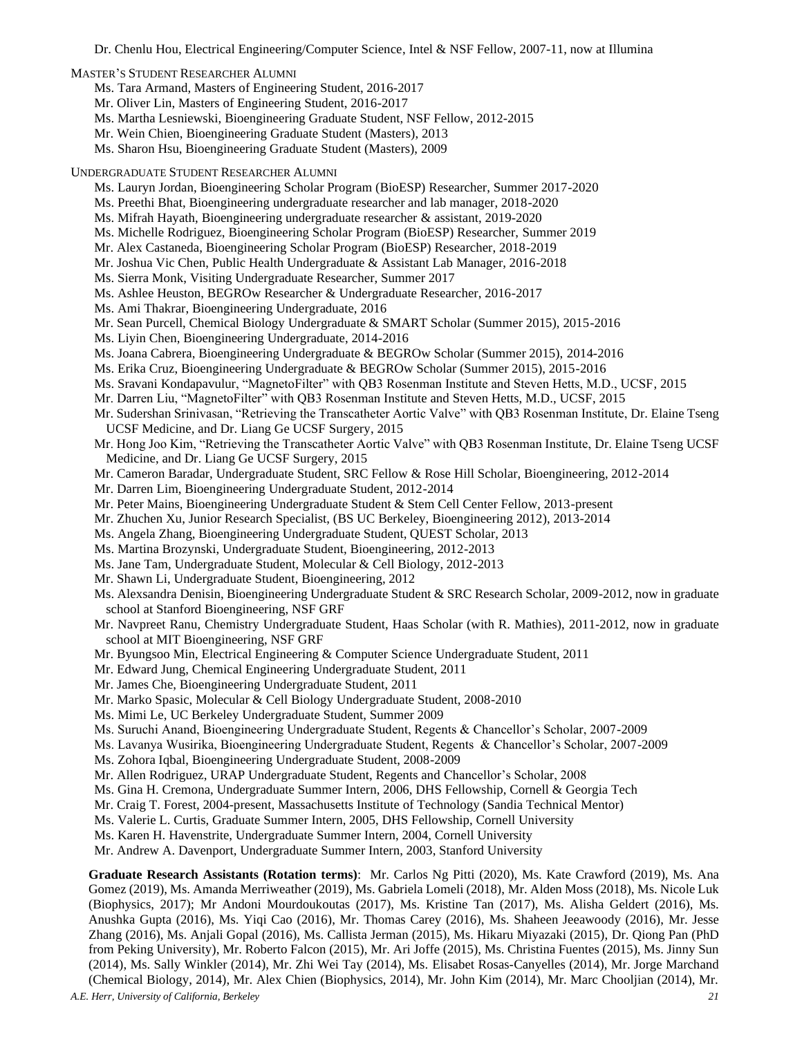Dr. Chenlu Hou, Electrical Engineering/Computer Science, Intel & NSF Fellow, 2007-11, now at Illumina

MASTER'S STUDENT RESEARCHER ALUMNI

Ms. Tara Armand, Masters of Engineering Student, 2016-2017

- Mr. Oliver Lin, Masters of Engineering Student, 2016-2017
- Ms. Martha Lesniewski, Bioengineering Graduate Student, NSF Fellow, 2012-2015
- Mr. Wein Chien, Bioengineering Graduate Student (Masters), 2013

Ms. Sharon Hsu, Bioengineering Graduate Student (Masters), 2009

- UNDERGRADUATE STUDENT RESEARCHER ALUMNI
	- Ms. Lauryn Jordan, Bioengineering Scholar Program (BioESP) Researcher, Summer 2017-2020
	- Ms. Preethi Bhat, Bioengineering undergraduate researcher and lab manager, 2018-2020
	- Ms. Mifrah Hayath, Bioengineering undergraduate researcher & assistant, 2019-2020
	- Ms. Michelle Rodriguez, Bioengineering Scholar Program (BioESP) Researcher, Summer 2019
	- Mr. Alex Castaneda, Bioengineering Scholar Program (BioESP) Researcher, 2018-2019
	- Mr. Joshua Vic Chen, Public Health Undergraduate & Assistant Lab Manager, 2016-2018
	- Ms. Sierra Monk, Visiting Undergraduate Researcher, Summer 2017
	- Ms. Ashlee Heuston, BEGROw Researcher & Undergraduate Researcher, 2016-2017
	- Ms. Ami Thakrar, Bioengineering Undergraduate, 2016
	- Mr. Sean Purcell, Chemical Biology Undergraduate & SMART Scholar (Summer 2015), 2015-2016
	- Ms. Liyin Chen, Bioengineering Undergraduate, 2014-2016
	- Ms. Joana Cabrera, Bioengineering Undergraduate & BEGROw Scholar (Summer 2015), 2014-2016
	- Ms. Erika Cruz, Bioengineering Undergraduate & BEGROw Scholar (Summer 2015), 2015-2016
	- Ms. Sravani Kondapavulur, "MagnetoFilter" with QB3 Rosenman Institute and Steven Hetts, M.D., UCSF, 2015
	- Mr. Darren Liu, "MagnetoFilter" with QB3 Rosenman Institute and Steven Hetts, M.D., UCSF, 2015
	- Mr. Sudershan Srinivasan, "Retrieving the Transcatheter Aortic Valve" with QB3 Rosenman Institute, Dr. Elaine Tseng UCSF Medicine, and Dr. Liang Ge UCSF Surgery, 2015
	- Mr. Hong Joo Kim, "Retrieving the Transcatheter Aortic Valve" with QB3 Rosenman Institute, Dr. Elaine Tseng UCSF Medicine, and Dr. Liang Ge UCSF Surgery, 2015
	- Mr. Cameron Baradar, Undergraduate Student, SRC Fellow & Rose Hill Scholar, Bioengineering, 2012-2014
	- Mr. Darren Lim, Bioengineering Undergraduate Student, 2012-2014
	- Mr. Peter Mains, Bioengineering Undergraduate Student & Stem Cell Center Fellow, 2013-present
	- Mr. Zhuchen Xu, Junior Research Specialist, (BS UC Berkeley, Bioengineering 2012), 2013-2014
	- Ms. Angela Zhang, Bioengineering Undergraduate Student, QUEST Scholar, 2013
	- Ms. Martina Brozynski, Undergraduate Student, Bioengineering, 2012-2013
	- Ms. Jane Tam, Undergraduate Student, Molecular & Cell Biology, 2012-2013
	- Mr. Shawn Li, Undergraduate Student, Bioengineering, 2012
	- Ms. Alexsandra Denisin, Bioengineering Undergraduate Student & SRC Research Scholar, 2009-2012, now in graduate school at Stanford Bioengineering, NSF GRF
	- Mr. Navpreet Ranu, Chemistry Undergraduate Student, Haas Scholar (with R. Mathies), 2011-2012, now in graduate school at MIT Bioengineering, NSF GRF
	- Mr. Byungsoo Min, Electrical Engineering & Computer Science Undergraduate Student, 2011
	- Mr. Edward Jung, Chemical Engineering Undergraduate Student, 2011
	- Mr. James Che, Bioengineering Undergraduate Student, 2011
	- Mr. Marko Spasic, Molecular & Cell Biology Undergraduate Student, 2008-2010
	- Ms. Mimi Le, UC Berkeley Undergraduate Student, Summer 2009
	- Ms. Suruchi Anand, Bioengineering Undergraduate Student, Regents & Chancellor's Scholar, 2007-2009
	- Ms. Lavanya Wusirika, Bioengineering Undergraduate Student, Regents & Chancellor's Scholar, 2007-2009
	- Ms. Zohora Iqbal, Bioengineering Undergraduate Student, 2008-2009
	- Mr. Allen Rodriguez, URAP Undergraduate Student, Regents and Chancellor's Scholar, 2008
	- Ms. Gina H. Cremona, Undergraduate Summer Intern, 2006, DHS Fellowship, Cornell & Georgia Tech
	- Mr. Craig T. Forest, 2004-present, Massachusetts Institute of Technology (Sandia Technical Mentor)
	- Ms. Valerie L. Curtis, Graduate Summer Intern, 2005, DHS Fellowship, Cornell University
	- Ms. Karen H. Havenstrite, Undergraduate Summer Intern, 2004, Cornell University
	- Mr. Andrew A. Davenport, Undergraduate Summer Intern, 2003, Stanford University

*A.E. Herr, University of California, Berkeley 21* **Graduate Research Assistants (Rotation terms)**: Mr. Carlos Ng Pitti (2020), Ms. Kate Crawford (2019), Ms. Ana Gomez (2019), Ms. Amanda Merriweather (2019), Ms. Gabriela Lomeli (2018), Mr. Alden Moss (2018), Ms. Nicole Luk (Biophysics, 2017); Mr Andoni Mourdoukoutas (2017), Ms. Kristine Tan (2017), Ms. Alisha Geldert (2016), Ms. Anushka Gupta (2016), Ms. Yiqi Cao (2016), Mr. Thomas Carey (2016), Ms. Shaheen Jeeawoody (2016), Mr. Jesse Zhang (2016), Ms. Anjali Gopal (2016), Ms. Callista Jerman (2015), Ms. Hikaru Miyazaki (2015), Dr. Qiong Pan (PhD from Peking University), Mr. Roberto Falcon (2015), Mr. Ari Joffe (2015), Ms. Christina Fuentes (2015), Ms. Jinny Sun (2014), Ms. Sally Winkler (2014), Mr. Zhi Wei Tay (2014), Ms. Elisabet Rosas-Canyelles (2014), Mr. Jorge Marchand (Chemical Biology, 2014), Mr. Alex Chien (Biophysics, 2014), Mr. John Kim (2014), Mr. Marc Chooljian (2014), Mr.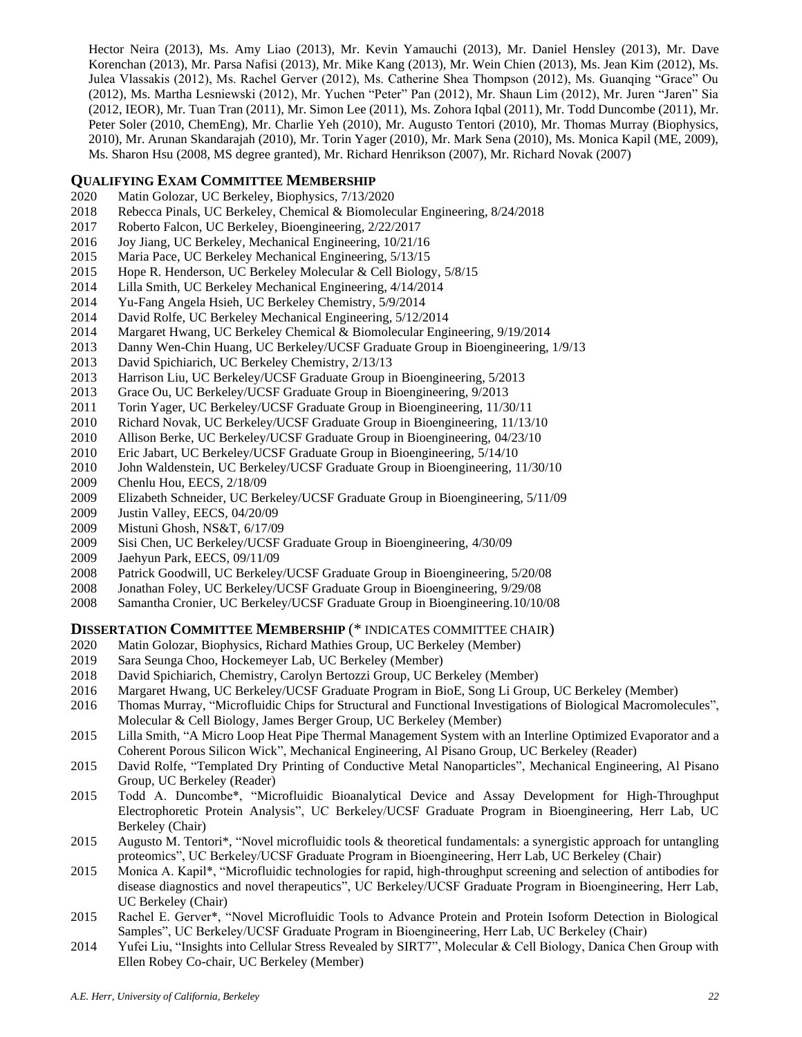Hector Neira (2013), Ms. Amy Liao (2013), Mr. Kevin Yamauchi (2013), Mr. Daniel Hensley (2013), Mr. Dave Korenchan (2013), Mr. Parsa Nafisi (2013), Mr. Mike Kang (2013), Mr. Wein Chien (2013), Ms. Jean Kim (2012), Ms. Julea Vlassakis (2012), Ms. Rachel Gerver (2012), Ms. Catherine Shea Thompson (2012), Ms. Guanqing "Grace" Ou (2012), Ms. Martha Lesniewski (2012), Mr. Yuchen "Peter" Pan (2012), Mr. Shaun Lim (2012), Mr. Juren "Jaren" Sia (2012, IEOR), Mr. Tuan Tran (2011), Mr. Simon Lee (2011), Ms. Zohora Iqbal (2011), Mr. Todd Duncombe (2011), Mr. Peter Soler (2010, ChemEng), Mr. Charlie Yeh (2010), Mr. Augusto Tentori (2010), Mr. Thomas Murray (Biophysics, 2010), Mr. Arunan Skandarajah (2010), Mr. Torin Yager (2010), Mr. Mark Sena (2010), Ms. Monica Kapil (ME, 2009), Ms. Sharon Hsu (2008, MS degree granted), Mr. Richard Henrikson (2007), Mr. Richard Novak (2007)

## **QUALIFYING EXAM COMMITTEE MEMBERSHIP**

- 2020 Matin Golozar, UC Berkeley, Biophysics, 7/13/2020
- 2018 Rebecca Pinals, UC Berkeley, Chemical & Biomolecular Engineering, 8/24/2018
- 2017 Roberto Falcon, UC Berkeley, Bioengineering, 2/22/2017
- 2016 Joy Jiang, UC Berkeley, Mechanical Engineering, 10/21/16
- 2015 Maria Pace, UC Berkeley Mechanical Engineering, 5/13/15
- 2015 Hope R. Henderson, UC Berkeley Molecular & Cell Biology, 5/8/15
- 2014 Lilla Smith, UC Berkeley Mechanical Engineering, 4/14/2014
- 2014 Yu-Fang Angela Hsieh, UC Berkeley Chemistry, 5/9/2014
- 2014 David Rolfe, UC Berkeley Mechanical Engineering, 5/12/2014
- 2014 Margaret Hwang, UC Berkeley Chemical & Biomolecular Engineering, 9/19/2014
- 2013 Danny Wen-Chin Huang, UC Berkeley/UCSF Graduate Group in Bioengineering, 1/9/13
- 2013 David Spichiarich, UC Berkeley Chemistry, 2/13/13
- 2013 Harrison Liu, UC Berkeley/UCSF Graduate Group in Bioengineering, 5/2013
- 2013 Grace Ou, UC Berkeley/UCSF Graduate Group in Bioengineering, 9/2013
- 2011 Torin Yager, UC Berkeley/UCSF Graduate Group in Bioengineering, 11/30/11
- 2010 Richard Novak, UC Berkeley/UCSF Graduate Group in Bioengineering, 11/13/10
- 2010 Allison Berke, UC Berkeley/UCSF Graduate Group in Bioengineering, 04/23/10
- 2010 Eric Jabart, UC Berkeley/UCSF Graduate Group in Bioengineering, 5/14/10
- 2010 John Waldenstein, UC Berkeley/UCSF Graduate Group in Bioengineering, 11/30/10
- 2009 Chenlu Hou, EECS, 2/18/09
- 2009 Elizabeth Schneider, UC Berkeley/UCSF Graduate Group in Bioengineering, 5/11/09
- Justin Valley, EECS, 04/20/09
- 2009 Mistuni Ghosh, NS&T, 6/17/09
- 2009 Sisi Chen, UC Berkeley/UCSF Graduate Group in Bioengineering, 4/30/09
- 2009 Jaehyun Park, EECS, 09/11/09
- 2008 Patrick Goodwill, UC Berkeley/UCSF Graduate Group in Bioengineering, 5/20/08
- 2008 Jonathan Foley, UC Berkeley/UCSF Graduate Group in Bioengineering, 9/29/08
- 2008 Samantha Cronier, UC Berkeley/UCSF Graduate Group in Bioengineering.10/10/08

#### **DISSERTATION COMMITTEE MEMBERSHIP** (\* INDICATES COMMITTEE CHAIR)

- 2020 Matin Golozar, Biophysics, Richard Mathies Group, UC Berkeley (Member)
- 2019 Sara Seunga Choo, Hockemeyer Lab, UC Berkeley (Member)
- 2018 David Spichiarich, Chemistry, Carolyn Bertozzi Group, UC Berkeley (Member)
- 2016 Margaret Hwang, UC Berkeley/UCSF Graduate Program in BioE, Song Li Group, UC Berkeley (Member)
- 2016 Thomas Murray, "Microfluidic Chips for Structural and Functional Investigations of Biological Macromolecules", Molecular & Cell Biology, James Berger Group, UC Berkeley (Member)
- 2015 Lilla Smith, "A Micro Loop Heat Pipe Thermal Management System with an Interline Optimized Evaporator and a Coherent Porous Silicon Wick", Mechanical Engineering, Al Pisano Group, UC Berkeley (Reader)
- 2015 David Rolfe, "Templated Dry Printing of Conductive Metal Nanoparticles", Mechanical Engineering, Al Pisano Group, UC Berkeley (Reader)
- 2015 Todd A. Duncombe\*, "Microfluidic Bioanalytical Device and Assay Development for High-Throughput Electrophoretic Protein Analysis", UC Berkeley/UCSF Graduate Program in Bioengineering, Herr Lab, UC Berkeley (Chair)
- 2015 Augusto M. Tentori\*, "Novel microfluidic tools & theoretical fundamentals: a synergistic approach for untangling proteomics", UC Berkeley/UCSF Graduate Program in Bioengineering, Herr Lab, UC Berkeley (Chair)
- 2015 Monica A. Kapil\*, "Microfluidic technologies for rapid, high-throughput screening and selection of antibodies for disease diagnostics and novel therapeutics", UC Berkeley/UCSF Graduate Program in Bioengineering, Herr Lab, UC Berkeley (Chair)
- 2015 Rachel E. Gerver\*, "Novel Microfluidic Tools to Advance Protein and Protein Isoform Detection in Biological Samples", UC Berkeley/UCSF Graduate Program in Bioengineering, Herr Lab, UC Berkeley (Chair)
- 2014 Yufei Liu, "Insights into Cellular Stress Revealed by SIRT7", Molecular & Cell Biology, Danica Chen Group with Ellen Robey Co-chair, UC Berkeley (Member)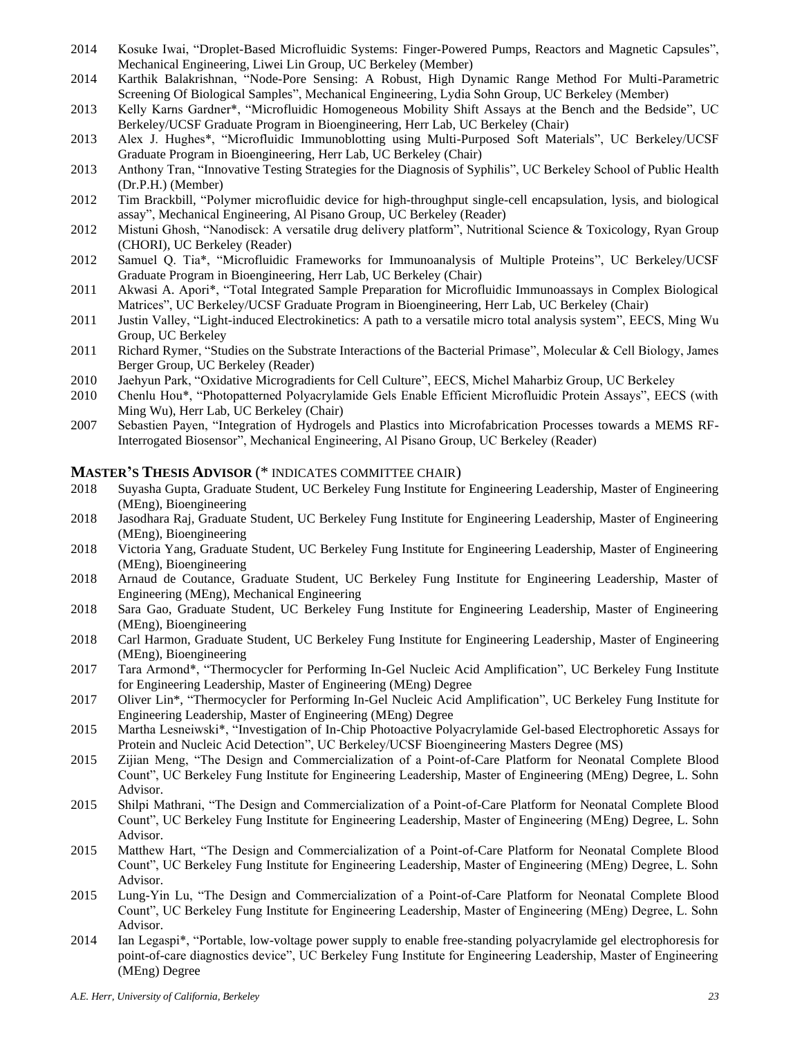- 2014 Kosuke Iwai, "Droplet-Based Microfluidic Systems: Finger-Powered Pumps, Reactors and Magnetic Capsules", Mechanical Engineering, Liwei Lin Group, UC Berkeley (Member)
- 2014 Karthik Balakrishnan, "Node-Pore Sensing: A Robust, High Dynamic Range Method For Multi-Parametric Screening Of Biological Samples", Mechanical Engineering, Lydia Sohn Group, UC Berkeley (Member)
- 2013 Kelly Karns Gardner\*, "Microfluidic Homogeneous Mobility Shift Assays at the Bench and the Bedside", UC Berkeley/UCSF Graduate Program in Bioengineering, Herr Lab, UC Berkeley (Chair)
- 2013 Alex J. Hughes\*, "Microfluidic Immunoblotting using Multi-Purposed Soft Materials", UC Berkeley/UCSF Graduate Program in Bioengineering, Herr Lab, UC Berkeley (Chair)
- 2013 Anthony Tran, "Innovative Testing Strategies for the Diagnosis of Syphilis", UC Berkeley School of Public Health (Dr.P.H.) (Member)
- 2012 Tim Brackbill, "Polymer microfluidic device for high-throughput single-cell encapsulation, lysis, and biological assay", Mechanical Engineering, Al Pisano Group, UC Berkeley (Reader)
- 2012 Mistuni Ghosh, "Nanodisck: A versatile drug delivery platform", Nutritional Science & Toxicology, Ryan Group (CHORI), UC Berkeley (Reader)
- 2012 Samuel Q. Tia\*, "Microfluidic Frameworks for Immunoanalysis of Multiple Proteins", UC Berkeley/UCSF Graduate Program in Bioengineering, Herr Lab, UC Berkeley (Chair)
- 2011 Akwasi A. Apori\*, "Total Integrated Sample Preparation for Microfluidic Immunoassays in Complex Biological Matrices", UC Berkeley/UCSF Graduate Program in Bioengineering, Herr Lab, UC Berkeley (Chair)
- 2011 Justin Valley, "Light-induced Electrokinetics: A path to a versatile micro total analysis system", EECS, Ming Wu Group, UC Berkeley
- 2011 Richard Rymer, "Studies on the Substrate Interactions of the Bacterial Primase", Molecular & Cell Biology, James Berger Group, UC Berkeley (Reader)
- 2010 Jaehyun Park, "Oxidative Microgradients for Cell Culture", EECS, Michel Maharbiz Group, UC Berkeley
- 2010 Chenlu Hou\*, "Photopatterned Polyacrylamide Gels Enable Efficient Microfluidic Protein Assays", EECS (with Ming Wu), Herr Lab, UC Berkeley (Chair)
- 2007 Sebastien Payen, "Integration of Hydrogels and Plastics into Microfabrication Processes towards a MEMS RF-Interrogated Biosensor", Mechanical Engineering, Al Pisano Group, UC Berkeley (Reader)

#### **MASTER'S THESIS ADVISOR** (\* INDICATES COMMITTEE CHAIR)

- 2018 Suyasha Gupta, Graduate Student, UC Berkeley Fung Institute for Engineering Leadership, Master of Engineering (MEng), Bioengineering
- 2018 Jasodhara Raj, Graduate Student, UC Berkeley Fung Institute for Engineering Leadership, Master of Engineering (MEng), Bioengineering
- 2018 Victoria Yang, Graduate Student, UC Berkeley Fung Institute for Engineering Leadership, Master of Engineering (MEng), Bioengineering
- 2018 Arnaud de Coutance, Graduate Student, UC Berkeley Fung Institute for Engineering Leadership, Master of Engineering (MEng), Mechanical Engineering
- 2018 Sara Gao, Graduate Student, UC Berkeley Fung Institute for Engineering Leadership, Master of Engineering (MEng), Bioengineering
- 2018 Carl Harmon, Graduate Student, UC Berkeley Fung Institute for Engineering Leadership, Master of Engineering (MEng), Bioengineering
- 2017 Tara Armond\*, "Thermocycler for Performing In-Gel Nucleic Acid Amplification", UC Berkeley Fung Institute for Engineering Leadership, Master of Engineering (MEng) Degree
- 2017 Oliver Lin\*, "Thermocycler for Performing In-Gel Nucleic Acid Amplification", UC Berkeley Fung Institute for Engineering Leadership, Master of Engineering (MEng) Degree
- 2015 Martha Lesneiwski\*, "Investigation of In-Chip Photoactive Polyacrylamide Gel-based Electrophoretic Assays for Protein and Nucleic Acid Detection", UC Berkeley/UCSF Bioengineering Masters Degree (MS)
- 2015 Zijian Meng, "The Design and Commercialization of a Point-of-Care Platform for Neonatal Complete Blood Count", UC Berkeley Fung Institute for Engineering Leadership, Master of Engineering (MEng) Degree, L. Sohn Advisor.
- 2015 Shilpi Mathrani, "The Design and Commercialization of a Point-of-Care Platform for Neonatal Complete Blood Count", UC Berkeley Fung Institute for Engineering Leadership, Master of Engineering (MEng) Degree, L. Sohn Advisor.
- 2015 Matthew Hart, "The Design and Commercialization of a Point-of-Care Platform for Neonatal Complete Blood Count", UC Berkeley Fung Institute for Engineering Leadership, Master of Engineering (MEng) Degree, L. Sohn Advisor.
- 2015 Lung-Yin Lu, "The Design and Commercialization of a Point-of-Care Platform for Neonatal Complete Blood Count", UC Berkeley Fung Institute for Engineering Leadership, Master of Engineering (MEng) Degree, L. Sohn Advisor.
- 2014 Ian Legaspi\*, "Portable, low-voltage power supply to enable free-standing polyacrylamide gel electrophoresis for point-of-care diagnostics device", UC Berkeley Fung Institute for Engineering Leadership, Master of Engineering (MEng) Degree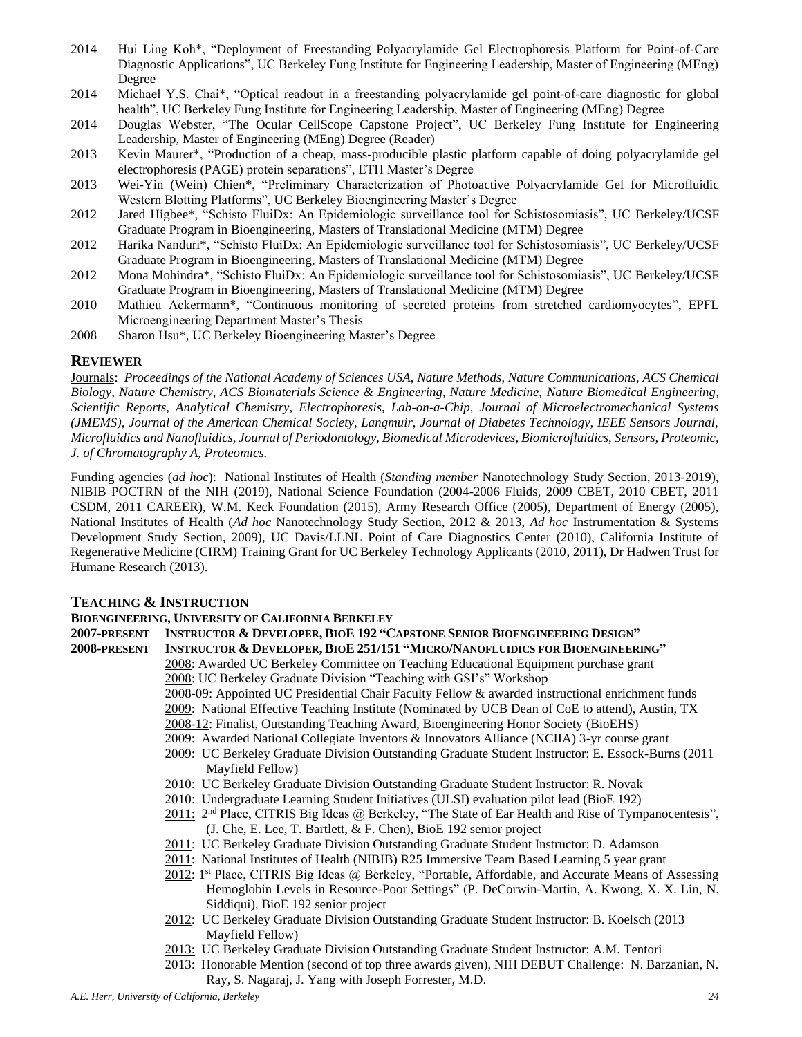- 2014 Hui Ling Koh\*, "Deployment of Freestanding Polyacrylamide Gel Electrophoresis Platform for Point-of-Care Diagnostic Applications", UC Berkeley Fung Institute for Engineering Leadership, Master of Engineering (MEng) Degree
- 2014 Michael Y.S. Chai\*, "Optical readout in a freestanding polyacrylamide gel point-of-care diagnostic for global health", UC Berkeley Fung Institute for Engineering Leadership, Master of Engineering (MEng) Degree
- 2014 Douglas Webster, "The Ocular CellScope Capstone Project", UC Berkeley Fung Institute for Engineering Leadership, Master of Engineering (MEng) Degree (Reader)
- 2013 Kevin Maurer\*, "Production of a cheap, mass-producible plastic platform capable of doing polyacrylamide gel electrophoresis (PAGE) protein separations", ETH Master's Degree
- 2013 Wei-Yin (Wein) Chien\*, "Preliminary Characterization of Photoactive Polyacrylamide Gel for Microfluidic Western Blotting Platforms", UC Berkeley Bioengineering Master's Degree
- 2012 Jared Higbee\*, "Schisto FluiDx: An Epidemiologic surveillance tool for Schistosomiasis", UC Berkeley/UCSF Graduate Program in Bioengineering, Masters of Translational Medicine (MTM) Degree
- 2012 Harika Nanduri\*, "Schisto FluiDx: An Epidemiologic surveillance tool for Schistosomiasis", UC Berkeley/UCSF Graduate Program in Bioengineering, Masters of Translational Medicine (MTM) Degree
- 2012 Mona Mohindra\*, "Schisto FluiDx: An Epidemiologic surveillance tool for Schistosomiasis", UC Berkeley/UCSF Graduate Program in Bioengineering, Masters of Translational Medicine (MTM) Degree
- 2010 Mathieu Ackermann\*, "Continuous monitoring of secreted proteins from stretched cardiomyocytes", EPFL Microengineering Department Master's Thesis
- 2008 Sharon Hsu\*, UC Berkeley Bioengineering Master's Degree

#### **REVIEWER**

Journals: *Proceedings of the National Academy of Sciences USA*, *Nature Methods*, *Nature Communications, ACS Chemical Biology, Nature Chemistry, ACS Biomaterials Science & Engineering, Nature Medicine, Nature Biomedical Engineering, Scientific Reports, Analytical Chemistry, Electrophoresis, Lab-on-a-Chip, Journal of Microelectromechanical Systems (JMEMS), Journal of the American Chemical Society, Langmuir, Journal of Diabetes Technology, IEEE Sensors Journal, Microfluidics and Nanofluidics, Journal of Periodontology, Biomedical Microdevices, Biomicrofluidics, Sensors, Proteomic, J. of Chromatography A, Proteomics.*

Funding agencies (*ad hoc*): National Institutes of Health (*Standing member* Nanotechnology Study Section, 2013-2019), NIBIB POCTRN of the NIH (2019), National Science Foundation (2004-2006 Fluids, 2009 CBET, 2010 CBET, 2011 CSDM, 2011 CAREER), W.M. Keck Foundation (2015), Army Research Office (2005), Department of Energy (2005), National Institutes of Health (*Ad hoc* Nanotechnology Study Section, 2012 & 2013, *Ad hoc* Instrumentation & Systems Development Study Section, 2009), UC Davis/LLNL Point of Care Diagnostics Center (2010), California Institute of Regenerative Medicine (CIRM) Training Grant for UC Berkeley Technology Applicants (2010, 2011), Dr Hadwen Trust for Humane Research (2013).

#### **TEACHING & INSTRUCTION**

## **BIOENGINEERING, UNIVERSITY OF CALIFORNIA BERKELEY**

- 2007-PRESENT INSTRUCTOR & DEVELOPER, BIOE 192 "CAPSTONE SENIOR BIOENGINEERING DESIGN"
- **2008-PRESENT INSTRUCTOR & DEVELOPER, BIOE 251/151 "MICRO/NANOFLUIDICS FOR BIOENGINEERING"** 2008: Awarded UC Berkeley Committee on Teaching Educational Equipment purchase grant
	- 2008: UC Berkeley Graduate Division "Teaching with GSI's" Workshop
	- 2008-09: Appointed UC Presidential Chair Faculty Fellow & awarded instructional enrichment funds
	- 2009: National Effective Teaching Institute (Nominated by UCB Dean of CoE to attend), Austin, TX
	- 2008-12: Finalist, Outstanding Teaching Award, Bioengineering Honor Society (BioEHS)
	- 2009: Awarded National Collegiate Inventors & Innovators Alliance (NCIIA) 3-yr course grant
	- 2009: UC Berkeley Graduate Division Outstanding Graduate Student Instructor: E. Essock-Burns (2011 Mayfield Fellow)
	- 2010: UC Berkeley Graduate Division Outstanding Graduate Student Instructor: R. Novak
	- 2010: Undergraduate Learning Student Initiatives (ULSI) evaluation pilot lead (BioE 192)
	- 2011: 2<sup>nd</sup> Place, CITRIS Big Ideas @ Berkeley, "The State of Ear Health and Rise of Tympanocentesis", (J. Che, E. Lee, T. Bartlett, & F. Chen), BioE 192 senior project
	- 2011: UC Berkeley Graduate Division Outstanding Graduate Student Instructor: D. Adamson
	- 2011: National Institutes of Health (NIBIB) R25 Immersive Team Based Learning 5 year grant
	- 2012: 1<sup>st</sup> Place, CITRIS Big Ideas @ Berkeley, "Portable, Affordable, and Accurate Means of Assessing Hemoglobin Levels in Resource-Poor Settings" (P. DeCorwin-Martin, A. Kwong, X. X. Lin, N. Siddiqui), BioE 192 senior project
	- 2012: UC Berkeley Graduate Division Outstanding Graduate Student Instructor: B. Koelsch (2013 Mayfield Fellow)
	- 2013: UC Berkeley Graduate Division Outstanding Graduate Student Instructor: A.M. Tentori
	- 2013: Honorable Mention (second of top three awards given), NIH DEBUT Challenge: N. Barzanian, N. Ray, S. Nagaraj, J. Yang with Joseph Forrester, M.D.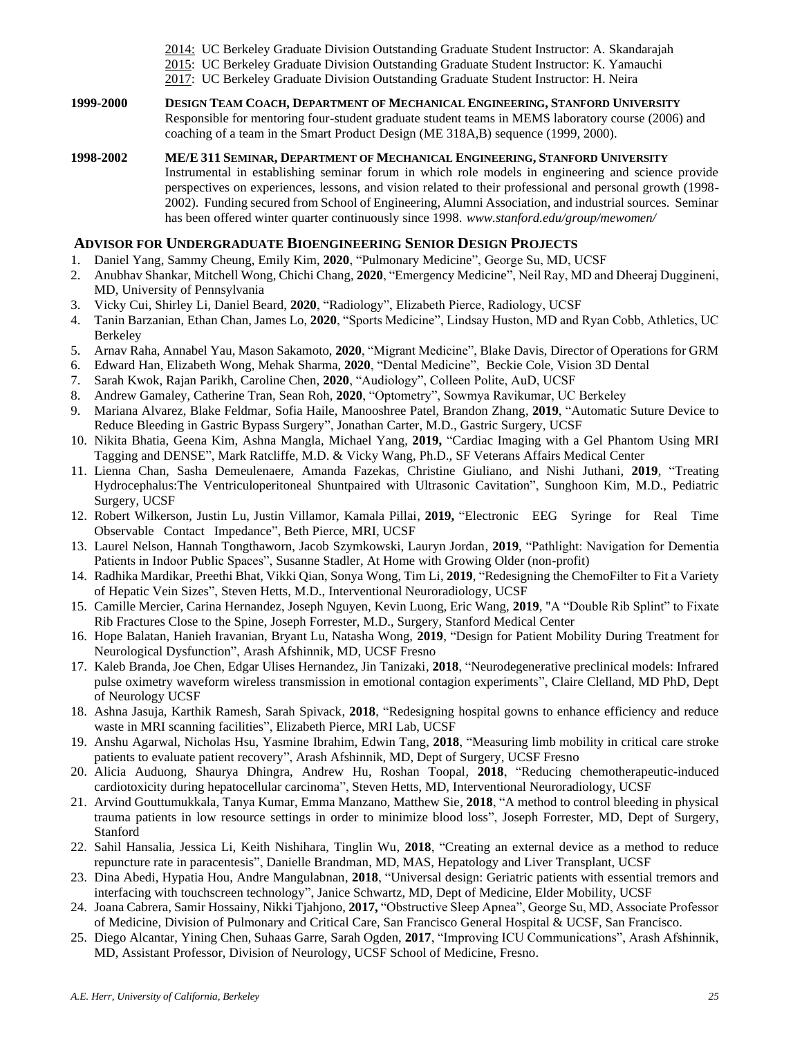- 2014: UC Berkeley Graduate Division Outstanding Graduate Student Instructor: A. Skandarajah
- 2015: UC Berkeley Graduate Division Outstanding Graduate Student Instructor: K. Yamauchi
- 2017: UC Berkeley Graduate Division Outstanding Graduate Student Instructor: H. Neira
- **1999-2000 DESIGN TEAM COACH, DEPARTMENT OF MECHANICAL ENGINEERING, STANFORD UNIVERSITY** Responsible for mentoring four-student graduate student teams in MEMS laboratory course (2006) and coaching of a team in the Smart Product Design (ME 318A,B) sequence (1999, 2000).
- **1998-2002 ME/E 311 SEMINAR, DEPARTMENT OF MECHANICAL ENGINEERING, STANFORD UNIVERSITY** Instrumental in establishing seminar forum in which role models in engineering and science provide perspectives on experiences, lessons, and vision related to their professional and personal growth (1998- 2002). Funding secured from School of Engineering, Alumni Association, and industrial sources. Seminar has been offered winter quarter continuously since 1998. *www.stanford.edu/group/mewomen/*

# **ADVISOR FOR UNDERGRADUATE BIOENGINEERING SENIOR DESIGN PROJECTS**

- 1. Daniel Yang, Sammy Cheung, Emily Kim, **2020**, "Pulmonary Medicine", George Su, MD, UCSF
- 2. Anubhav Shankar, Mitchell Wong, Chichi Chang, **2020**, "Emergency Medicine", Neil Ray, MD and Dheeraj Duggineni, MD, University of Pennsylvania
- 3. Vicky Cui, Shirley Li, Daniel Beard, **2020**, "Radiology", Elizabeth Pierce, Radiology, UCSF
- 4. Tanin Barzanian, Ethan Chan, James Lo, **2020**, "Sports Medicine", Lindsay Huston, MD and Ryan Cobb, Athletics, UC Berkeley
- 5. Arnav Raha, Annabel Yau, Mason Sakamoto, **2020**, "Migrant Medicine", Blake Davis, Director of Operations for GRM
- 6. Edward Han, Elizabeth Wong, Mehak Sharma, **2020**, "Dental Medicine", Beckie Cole, Vision 3D Dental
- 7. Sarah Kwok, Rajan Parikh, Caroline Chen, **2020**, "Audiology", Colleen Polite, AuD, UCSF
- 8. Andrew Gamaley, Catherine Tran, Sean Roh, **2020**, "Optometry", Sowmya Ravikumar, UC Berkeley
- 9. Mariana Alvarez, Blake Feldmar, Sofia Haile, Manooshree Patel, Brandon Zhang, **2019**, "Automatic Suture Device to Reduce Bleeding in Gastric Bypass Surgery", Jonathan Carter, M.D., Gastric Surgery, UCSF
- 10. Nikita Bhatia, Geena Kim, Ashna Mangla, Michael Yang, **2019,** "Cardiac Imaging with a Gel Phantom Using MRI Tagging and DENSE", Mark Ratcliffe, M.D. & Vicky Wang, Ph.D., SF Veterans Affairs Medical Center
- 11. Lienna Chan, Sasha Demeulenaere, Amanda Fazekas, Christine Giuliano, and Nishi Juthani, **2019**, "Treating Hydrocephalus:The Ventriculoperitoneal Shuntpaired with Ultrasonic Cavitation", Sunghoon Kim, M.D., Pediatric Surgery, UCSF
- 12. Robert Wilkerson, Justin Lu, Justin Villamor, Kamala Pillai, **2019,** "Electronic EEG Syringe for Real Time Observable Contact Impedance", Beth Pierce, MRI, UCSF
- 13. Laurel Nelson, Hannah Tongthaworn, Jacob Szymkowski, Lauryn Jordan, **2019**, "Pathlight: Navigation for Dementia Patients in Indoor Public Spaces", Susanne Stadler, At Home with Growing Older (non-profit)
- 14. Radhika Mardikar, Preethi Bhat, Vikki Qian, Sonya Wong, Tim Li, **2019**, "Redesigning the ChemoFilter to Fit a Variety of Hepatic Vein Sizes", Steven Hetts, M.D., Interventional Neuroradiology, UCSF
- 15. Camille Mercier, Carina Hernandez, Joseph Nguyen, Kevin Luong, Eric Wang, **2019**, "A "Double Rib Splint" to Fixate Rib Fractures Close to the Spine, Joseph Forrester, M.D., Surgery, Stanford Medical Center
- 16. Hope Balatan, Hanieh Iravanian, Bryant Lu, Natasha Wong, **2019**, "Design for Patient Mobility During Treatment for Neurological Dysfunction", Arash Afshinnik, MD, UCSF Fresno
- 17. Kaleb Branda, Joe Chen, Edgar Ulises Hernandez, Jin Tanizaki, **2018**, "Neurodegenerative preclinical models: Infrared pulse oximetry waveform wireless transmission in emotional contagion experiments", Claire Clelland, MD PhD, Dept of Neurology UCSF
- 18. Ashna Jasuja, Karthik Ramesh, Sarah Spivack, **2018**, "Redesigning hospital gowns to enhance efficiency and reduce waste in MRI scanning facilities", Elizabeth Pierce, MRI Lab, UCSF
- 19. Anshu Agarwal, Nicholas Hsu, Yasmine Ibrahim, Edwin Tang, **2018**, "Measuring limb mobility in critical care stroke patients to evaluate patient recovery", Arash Afshinnik, MD, Dept of Surgery, UCSF Fresno
- 20. Alicia Auduong, Shaurya Dhingra, Andrew Hu, Roshan Toopal, **2018**, "Reducing chemotherapeutic-induced cardiotoxicity during hepatocellular carcinoma", Steven Hetts, MD, Interventional Neuroradiology, UCSF
- 21. Arvind Gouttumukkala, Tanya Kumar, Emma Manzano, Matthew Sie, **2018**, "A method to control bleeding in physical trauma patients in low resource settings in order to minimize blood loss", Joseph Forrester, MD, Dept of Surgery, Stanford
- 22. Sahil Hansalia, Jessica Li, Keith Nishihara, Tinglin Wu, **2018**, "Creating an external device as a method to reduce repuncture rate in paracentesis", Danielle Brandman, MD, MAS, Hepatology and Liver Transplant, UCSF
- 23. Dina Abedi, Hypatia Hou, Andre Mangulabnan, **2018**, "Universal design: Geriatric patients with essential tremors and interfacing with touchscreen technology", Janice Schwartz, MD, Dept of Medicine, Elder Mobility, UCSF
- 24. Joana Cabrera, Samir Hossainy, Nikki Tjahjono, **2017,** "Obstructive Sleep Apnea", George Su, MD, Associate Professor of Medicine, Division of Pulmonary and Critical Care, San Francisco General Hospital & UCSF, San Francisco.
- 25. Diego Alcantar, Yining Chen, Suhaas Garre, Sarah Ogden, **2017**, "Improving ICU Communications", Arash Afshinnik, MD, Assistant Professor, Division of Neurology, UCSF School of Medicine, Fresno.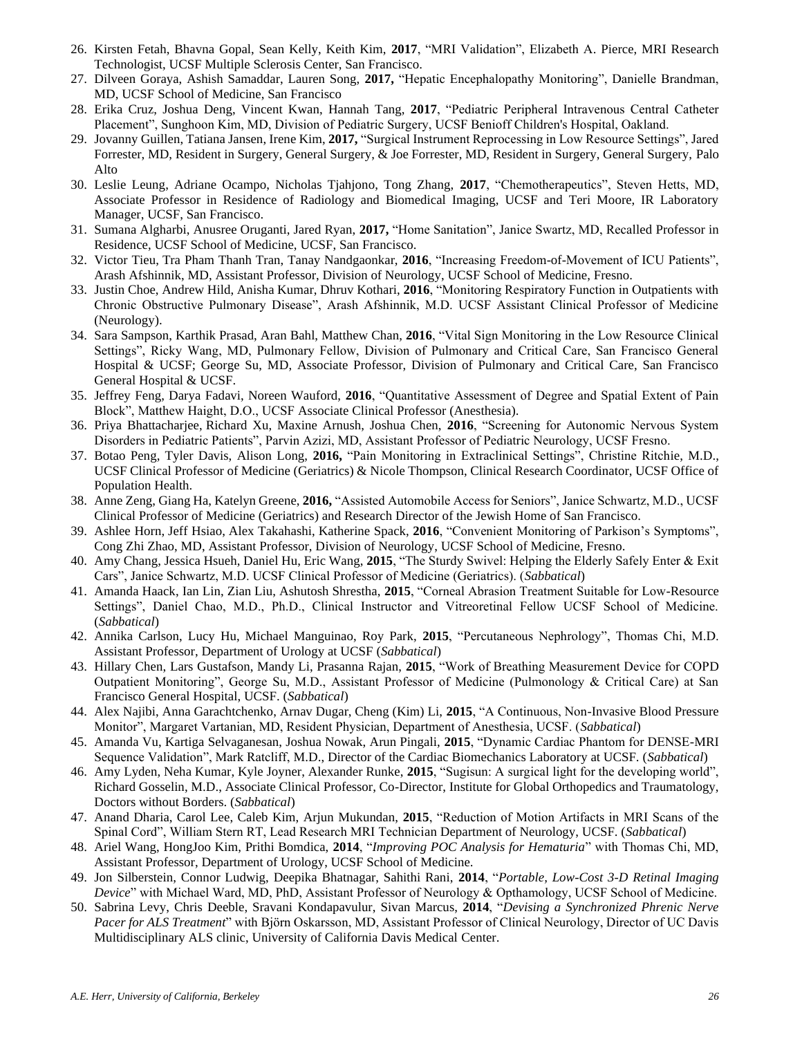- 26. Kirsten Fetah, Bhavna Gopal, Sean Kelly, Keith Kim, **2017**, "MRI Validation", Elizabeth A. Pierce, MRI Research Technologist, UCSF Multiple Sclerosis Center, San Francisco.
- 27. Dilveen Goraya, Ashish Samaddar, Lauren Song, **2017,** "Hepatic Encephalopathy Monitoring", Danielle Brandman, MD, UCSF School of Medicine, San Francisco
- 28. Erika Cruz, Joshua Deng, Vincent Kwan, Hannah Tang, **2017**, "Pediatric Peripheral Intravenous Central Catheter Placement", Sunghoon Kim, MD, Division of Pediatric Surgery, UCSF Benioff Children's Hospital, Oakland.
- 29. Jovanny Guillen, Tatiana Jansen, Irene Kim, **2017,** "Surgical Instrument Reprocessing in Low Resource Settings", Jared Forrester, MD, Resident in Surgery, General Surgery, & Joe Forrester, MD, Resident in Surgery, General Surgery, Palo Alto
- 30. Leslie Leung, Adriane Ocampo, Nicholas Tjahjono, Tong Zhang, **2017**, "Chemotherapeutics", Steven Hetts, MD, Associate Professor in Residence of Radiology and Biomedical Imaging, UCSF and Teri Moore, IR Laboratory Manager, UCSF, San Francisco.
- 31. Sumana Algharbi, Anusree Oruganti, Jared Ryan, **2017,** "Home Sanitation", Janice Swartz, MD, Recalled Professor in Residence, UCSF School of Medicine, UCSF, San Francisco.
- 32. Victor Tieu, Tra Pham Thanh Tran, Tanay Nandgaonkar, **2016**, "Increasing Freedom-of-Movement of ICU Patients", Arash Afshinnik, MD, Assistant Professor, Division of Neurology, UCSF School of Medicine, Fresno.
- 33. Justin Choe, Andrew Hild, Anisha Kumar, Dhruv Kothari, **2016**, "Monitoring Respiratory Function in Outpatients with Chronic Obstructive Pulmonary Disease", Arash Afshinnik, M.D. UCSF Assistant Clinical Professor of Medicine (Neurology).
- 34. Sara Sampson, Karthik Prasad, Aran Bahl, Matthew Chan, **2016**, "Vital Sign Monitoring in the Low Resource Clinical Settings", Ricky Wang, MD, Pulmonary Fellow, Division of Pulmonary and Critical Care, San Francisco General Hospital & UCSF; George Su, MD, Associate Professor, Division of Pulmonary and Critical Care, San Francisco General Hospital & UCSF.
- 35. Jeffrey Feng, Darya Fadavi, Noreen Wauford, **2016**, "Quantitative Assessment of Degree and Spatial Extent of Pain Block", Matthew Haight, D.O., UCSF Associate Clinical Professor (Anesthesia).
- 36. Priya Bhattacharjee, Richard Xu, Maxine Arnush, Joshua Chen, **2016**, "Screening for Autonomic Nervous System Disorders in Pediatric Patients", Parvin Azizi, MD, Assistant Professor of Pediatric Neurology, UCSF Fresno.
- 37. Botao Peng, Tyler Davis, Alison Long, **2016,** "Pain Monitoring in Extraclinical Settings", Christine Ritchie, M.D., UCSF Clinical Professor of Medicine (Geriatrics) & Nicole Thompson, Clinical Research Coordinator, UCSF Office of Population Health.
- 38. Anne Zeng, Giang Ha, Katelyn Greene, **2016,** "Assisted Automobile Access for Seniors", Janice Schwartz, M.D., UCSF Clinical Professor of Medicine (Geriatrics) and Research Director of the Jewish Home of San Francisco.
- 39. Ashlee Horn, Jeff Hsiao, Alex Takahashi, Katherine Spack, **2016**, "Convenient Monitoring of Parkison's Symptoms", Cong Zhi Zhao, MD, Assistant Professor, Division of Neurology, UCSF School of Medicine, Fresno.
- 40. Amy Chang, Jessica Hsueh, Daniel Hu, Eric Wang, **2015**, "The Sturdy Swivel: Helping the Elderly Safely Enter & Exit Cars", Janice Schwartz, M.D. UCSF Clinical Professor of Medicine (Geriatrics). (*Sabbatical*)
- 41. Amanda Haack, Ian Lin, Zian Liu, Ashutosh Shrestha, **2015**, "Corneal Abrasion Treatment Suitable for Low-Resource Settings", Daniel Chao, M.D., Ph.D., Clinical Instructor and Vitreoretinal Fellow UCSF School of Medicine. (*Sabbatical*)
- 42. Annika Carlson, Lucy Hu, Michael Manguinao, Roy Park, **2015**, "Percutaneous Nephrology", Thomas Chi, M.D. Assistant Professor, Department of Urology at UCSF (*Sabbatical*)
- 43. Hillary Chen, Lars Gustafson, Mandy Li, Prasanna Rajan, **2015**, "Work of Breathing Measurement Device for COPD Outpatient Monitoring", George Su, M.D., Assistant Professor of Medicine (Pulmonology & Critical Care) at San Francisco General Hospital, UCSF. (*Sabbatical*)
- 44. Alex Najibi, Anna Garachtchenko, Arnav Dugar, Cheng (Kim) Li, **2015**, "A Continuous, Non-Invasive Blood Pressure Monitor", Margaret Vartanian, MD, Resident Physician, Department of Anesthesia, UCSF. (*Sabbatical*)
- 45. Amanda Vu, Kartiga Selvaganesan, Joshua Nowak, Arun Pingali, **2015**, "Dynamic Cardiac Phantom for DENSE-MRI Sequence Validation", Mark Ratcliff, M.D., Director of the Cardiac Biomechanics Laboratory at UCSF. (*Sabbatical*)
- 46. Amy Lyden, Neha Kumar, Kyle Joyner, Alexander Runke, **2015**, "Sugisun: A surgical light for the developing world", Richard Gosselin, M.D., Associate Clinical Professor, Co-Director, Institute for Global Orthopedics and Traumatology, Doctors without Borders. (*Sabbatical*)
- 47. Anand Dharia, Carol Lee, Caleb Kim, Arjun Mukundan, **2015**, "Reduction of Motion Artifacts in MRI Scans of the Spinal Cord", William Stern RT, Lead Research MRI Technician Department of Neurology, UCSF. (*Sabbatical*)
- 48. Ariel Wang, HongJoo Kim, Prithi Bomdica, **2014**, "*Improving POC Analysis for Hematuria*" with Thomas Chi, MD, Assistant Professor, Department of Urology, UCSF School of Medicine.
- 49. Jon Silberstein, Connor Ludwig, Deepika Bhatnagar, Sahithi Rani, **2014**, "*Portable, Low-Cost 3-D Retinal Imaging Device*" with Michael Ward, MD, PhD, Assistant Professor of Neurology & Opthamology, UCSF School of Medicine.
- 50. Sabrina Levy, Chris Deeble, Sravani Kondapavulur, Sivan Marcus, **2014**, "*Devising a Synchronized Phrenic Nerve Pacer for ALS Treatment*" with Björn Oskarsson, MD, Assistant Professor of Clinical Neurology, Director of UC Davis Multidisciplinary ALS clinic, University of California Davis Medical Center.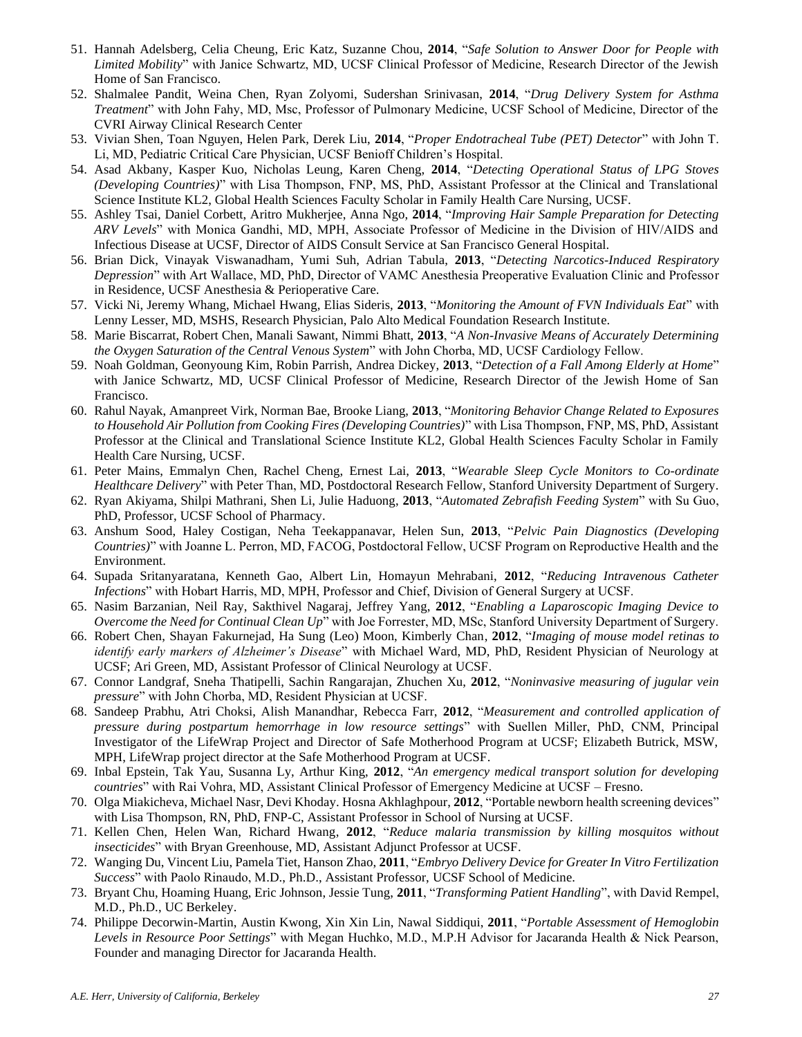- 51. Hannah Adelsberg, Celia Cheung, Eric Katz, Suzanne Chou, **2014**, "*Safe Solution to Answer Door for People with Limited Mobility*" with Janice Schwartz, MD, UCSF Clinical Professor of Medicine, Research Director of the Jewish Home of San Francisco.
- 52. Shalmalee Pandit, Weina Chen, Ryan Zolyomi, Sudershan Srinivasan, **2014**, "*Drug Delivery System for Asthma Treatment*" with John Fahy, MD, Msc, Professor of Pulmonary Medicine, UCSF School of Medicine, Director of the CVRI Airway Clinical Research Center
- 53. Vivian Shen, Toan Nguyen, Helen Park, Derek Liu, **2014**, "*Proper Endotracheal Tube (PET) Detector*" with John T. Li, MD, Pediatric Critical Care Physician, UCSF Benioff Children's Hospital.
- 54. Asad Akbany, Kasper Kuo, Nicholas Leung, Karen Cheng, **2014**, "*Detecting Operational Status of LPG Stoves (Developing Countries)*" with Lisa Thompson, FNP, MS, PhD, Assistant Professor at the Clinical and Translational Science Institute KL2, Global Health Sciences Faculty Scholar in Family Health Care Nursing, UCSF.
- 55. Ashley Tsai, Daniel Corbett, Aritro Mukherjee, Anna Ngo, **2014**, "*Improving Hair Sample Preparation for Detecting ARV Levels*" with Monica Gandhi, MD, MPH, Associate Professor of Medicine in the Division of HIV/AIDS and Infectious Disease at UCSF, Director of AIDS Consult Service at San Francisco General Hospital.
- 56. Brian Dick, Vinayak Viswanadham, Yumi Suh, Adrian Tabula, **2013**, "*Detecting Narcotics-Induced Respiratory Depression*" with Art Wallace, MD, PhD, Director of VAMC Anesthesia Preoperative Evaluation Clinic and Professor in Residence, UCSF Anesthesia & Perioperative Care.
- 57. Vicki Ni, Jeremy Whang, Michael Hwang, Elias Sideris, **2013**, "*Monitoring the Amount of FVN Individuals Eat*" with Lenny Lesser, MD, MSHS, Research Physician, Palo Alto Medical Foundation Research Institute.
- 58. Marie Biscarrat, Robert Chen, Manali Sawant, Nimmi Bhatt, **2013**, "*A Non-Invasive Means of Accurately Determining the Oxygen Saturation of the Central Venous System*" with John Chorba, MD, UCSF Cardiology Fellow.
- 59. Noah Goldman, Geonyoung Kim, Robin Parrish, Andrea Dickey, **2013**, "*Detection of a Fall Among Elderly at Home*" with Janice Schwartz, MD, UCSF Clinical Professor of Medicine, Research Director of the Jewish Home of San Francisco.
- 60. Rahul Nayak, Amanpreet Virk, Norman Bae, Brooke Liang, **2013**, "*Monitoring Behavior Change Related to Exposures to Household Air Pollution from Cooking Fires (Developing Countries)*" with Lisa Thompson, FNP, MS, PhD, Assistant Professor at the Clinical and Translational Science Institute KL2, Global Health Sciences Faculty Scholar in Family Health Care Nursing, UCSF.
- 61. Peter Mains, Emmalyn Chen, Rachel Cheng, Ernest Lai, **2013**, "*Wearable Sleep Cycle Monitors to Co-ordinate Healthcare Delivery*" with Peter Than, MD, Postdoctoral Research Fellow, Stanford University Department of Surgery.
- 62. Ryan Akiyama, Shilpi Mathrani, Shen Li, Julie Haduong, **2013**, "*Automated Zebrafish Feeding System*" with Su Guo, PhD, Professor, UCSF School of Pharmacy.
- 63. Anshum Sood, Haley Costigan, Neha Teekappanavar, Helen Sun, **2013**, "*Pelvic Pain Diagnostics (Developing Countries)*" with Joanne L. Perron, MD, FACOG, Postdoctoral Fellow, UCSF Program on Reproductive Health and the Environment.
- 64. Supada Sritanyaratana, Kenneth Gao, Albert Lin, Homayun Mehrabani, **2012**, "*Reducing Intravenous Catheter Infections*" with Hobart Harris, MD, MPH, Professor and Chief, Division of General Surgery at UCSF.
- 65. Nasim Barzanian, Neil Ray, Sakthivel Nagaraj, Jeffrey Yang, **2012**, "*Enabling a Laparoscopic Imaging Device to Overcome the Need for Continual Clean Up*" with Joe Forrester, MD, MSc, Stanford University Department of Surgery.
- 66. Robert Chen, Shayan Fakurnejad, Ha Sung (Leo) Moon, Kimberly Chan, **2012**, "*Imaging of mouse model retinas to identify early markers of Alzheimer's Disease*" with Michael Ward, MD, PhD, Resident Physician of Neurology at UCSF; Ari Green, MD, Assistant Professor of Clinical Neurology at UCSF.
- 67. Connor Landgraf, Sneha Thatipelli, Sachin Rangarajan, Zhuchen Xu, **2012**, "*Noninvasive measuring of jugular vein pressure*" with John Chorba, MD, Resident Physician at UCSF.
- 68. Sandeep Prabhu, Atri Choksi, Alish Manandhar, Rebecca Farr, **2012**, "*Measurement and controlled application of pressure during postpartum hemorrhage in low resource settings*" with Suellen Miller, PhD, CNM, Principal Investigator of the LifeWrap Project and Director of Safe Motherhood Program at UCSF; Elizabeth Butrick, MSW, MPH, LifeWrap project director at the Safe Motherhood Program at UCSF.
- 69. Inbal Epstein, Tak Yau, Susanna Ly, Arthur King, **2012**, "*An emergency medical transport solution for developing countries*" with Rai Vohra, MD, Assistant Clinical Professor of Emergency Medicine at UCSF – Fresno.
- 70. Olga Miakicheva, Michael Nasr, Devi Khoday. Hosna Akhlaghpour, **2012**, "Portable newborn health screening devices" with Lisa Thompson, RN, PhD, FNP-C, Assistant Professor in School of Nursing at UCSF.
- 71. Kellen Chen, Helen Wan, Richard Hwang, **2012**, "*Reduce malaria transmission by killing mosquitos without insecticides*" with Bryan Greenhouse, MD, Assistant Adjunct Professor at UCSF.
- 72. Wanging Du, Vincent Liu, Pamela Tiet, Hanson Zhao, **2011**, "*Embryo Delivery Device for Greater In Vitro Fertilization Success*" with Paolo Rinaudo, M.D., Ph.D., Assistant Professor, UCSF School of Medicine.
- 73. Bryant Chu, Hoaming Huang, Eric Johnson, Jessie Tung, **2011**, "*Transforming Patient Handling*", with David Rempel, M.D., Ph.D., UC Berkeley.
- 74. Philippe Decorwin-Martin, Austin Kwong, Xin Xin Lin, Nawal Siddiqui, **2011**, "*Portable Assessment of Hemoglobin Levels in Resource Poor Settings*" with Megan Huchko, M.D., M.P.H Advisor for Jacaranda Health & Nick Pearson, Founder and managing Director for Jacaranda Health.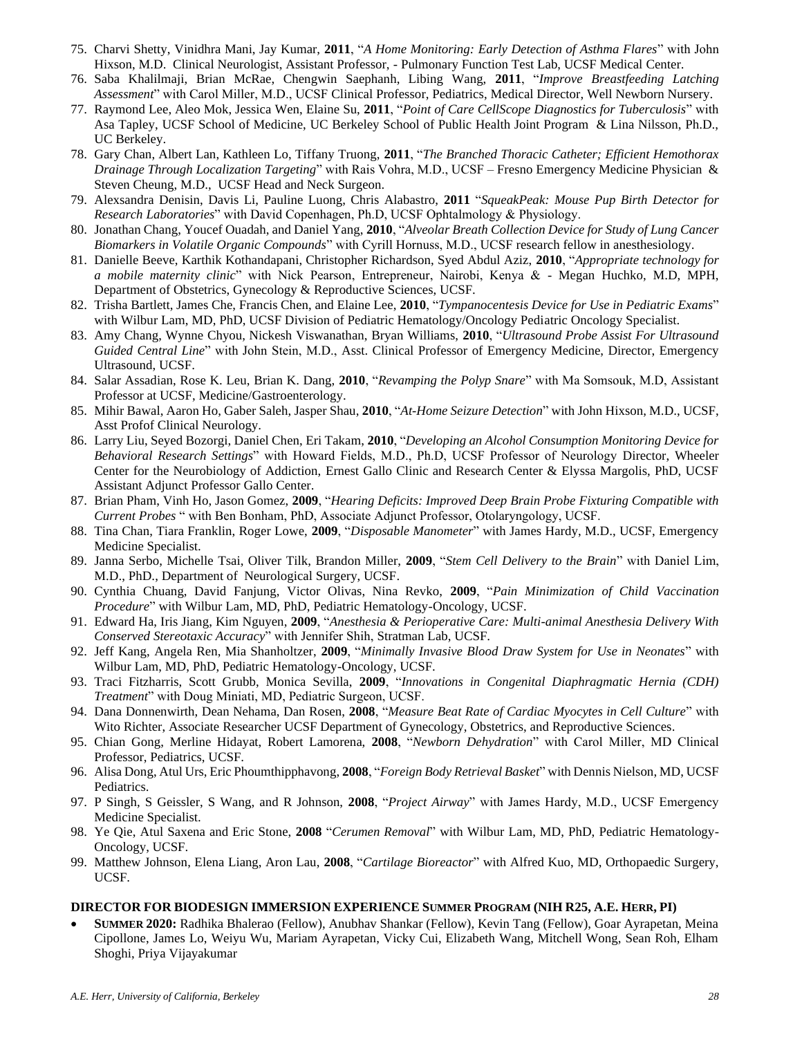- 75. Charvi Shetty, Vinidhra Mani, Jay Kumar, **2011**, "*A Home Monitoring: Early Detection of Asthma Flares*" with John Hixson, M.D. Clinical Neurologist, Assistant Professor, - Pulmonary Function Test Lab, UCSF Medical Center.
- 76. Saba Khalilmaji, Brian McRae, Chengwin Saephanh, Libing Wang, **2011**, "*Improve Breastfeeding Latching Assessment*" with Carol Miller, M.D., UCSF Clinical Professor, Pediatrics, Medical Director, Well Newborn Nursery.
- 77. Raymond Lee, Aleo Mok, Jessica Wen, Elaine Su, **2011**, "*Point of Care CellScope Diagnostics for Tuberculosis*" with Asa Tapley, UCSF School of Medicine, UC Berkeley School of Public Health Joint Program & Lina Nilsson, Ph.D., UC Berkeley.
- 78. Gary Chan, Albert Lan, Kathleen Lo, Tiffany Truong, **2011**, "*The Branched Thoracic Catheter; Efficient Hemothorax Drainage Through Localization Targeting*" with Rais Vohra, M.D., UCSF – Fresno Emergency Medicine Physician & Steven Cheung, M.D., UCSF Head and Neck Surgeon.
- 79. Alexsandra Denisin, Davis Li, Pauline Luong, Chris Alabastro, **2011** "*SqueakPeak: Mouse Pup Birth Detector for Research Laboratories*" with David Copenhagen, Ph.D, UCSF Ophtalmology & Physiology.
- 80. Jonathan Chang, Youcef Ouadah, and Daniel Yang, **2010**, "*Alveolar Breath Collection Device for Study of Lung Cancer Biomarkers in Volatile Organic Compounds*" with Cyrill Hornuss, M.D., UCSF research fellow in anesthesiology.
- 81. Danielle Beeve, Karthik Kothandapani, Christopher Richardson, Syed Abdul Aziz, **2010**, "*Appropriate technology for a mobile maternity clinic*" with Nick Pearson, Entrepreneur, Nairobi, Kenya & - Megan Huchko, M.D, MPH, Department of Obstetrics, Gynecology & Reproductive Sciences, UCSF.
- 82. Trisha Bartlett, James Che, Francis Chen, and Elaine Lee, **2010**, "*Tympanocentesis Device for Use in Pediatric Exams*" with Wilbur Lam, MD, PhD, UCSF Division of Pediatric Hematology/Oncology Pediatric Oncology Specialist.
- 83. Amy Chang, Wynne Chyou, Nickesh Viswanathan, Bryan Williams, **2010**, "*Ultrasound Probe Assist For Ultrasound Guided Central Line*" with John Stein, M.D., Asst. Clinical Professor of Emergency Medicine, Director, Emergency Ultrasound, UCSF.
- 84. Salar Assadian, Rose K. Leu, Brian K. Dang, **2010**, "*Revamping the Polyp Snare*" with Ma Somsouk, M.D, Assistant Professor at UCSF, Medicine/Gastroenterology.
- 85. Mihir Bawal, Aaron Ho, Gaber Saleh, Jasper Shau, **2010**, "*At-Home Seizure Detection*" with John Hixson, M.D., UCSF, Asst Profof Clinical Neurology.
- 86. Larry Liu, Seyed Bozorgi, Daniel Chen, Eri Takam, **2010**, "*Developing an Alcohol Consumption Monitoring Device for Behavioral Research Settings*" with Howard Fields, M.D., Ph.D, UCSF Professor of Neurology Director, Wheeler Center for the Neurobiology of Addiction, Ernest Gallo Clinic and Research Center & Elyssa Margolis, PhD, UCSF Assistant Adjunct Professor Gallo Center.
- 87. Brian Pham, Vinh Ho, Jason Gomez, **2009**, "*Hearing Deficits: Improved Deep Brain Probe Fixturing Compatible with Current Probes* " with Ben Bonham, PhD, Associate Adjunct Professor, Otolaryngology, UCSF.
- 88. Tina Chan, Tiara Franklin, Roger Lowe, **2009**, "*Disposable Manometer*" with James Hardy, M.D., UCSF, Emergency Medicine Specialist.
- 89. Janna Serbo, Michelle Tsai, Oliver Tilk, Brandon Miller, **2009**, "*Stem Cell Delivery to the Brain*" with Daniel Lim, M.D., PhD., Department of Neurological Surgery, UCSF.
- 90. Cynthia Chuang, David Fanjung, Victor Olivas, Nina Revko, **2009**, "*Pain Minimization of Child Vaccination Procedure*" with Wilbur Lam, MD, PhD, Pediatric Hematology-Oncology, UCSF.
- 91. Edward Ha, Iris Jiang, Kim Nguyen, **2009**, "*Anesthesia & Perioperative Care: Multi-animal Anesthesia Delivery With Conserved Stereotaxic Accuracy*" with Jennifer Shih, Stratman Lab, UCSF.
- 92. Jeff Kang, Angela Ren, Mia Shanholtzer, **2009**, "*Minimally Invasive Blood Draw System for Use in Neonates*" with Wilbur Lam, MD, PhD, Pediatric Hematology-Oncology, UCSF.
- 93. Traci Fitzharris, Scott Grubb, Monica Sevilla, **2009**, "*Innovations in Congenital Diaphragmatic Hernia (CDH) Treatment*" with Doug Miniati, MD, Pediatric Surgeon, UCSF.
- 94. Dana Donnenwirth, Dean Nehama, Dan Rosen, **2008**, "*Measure Beat Rate of Cardiac Myocytes in Cell Culture*" with Wito Richter, Associate Researcher UCSF Department of Gynecology, Obstetrics, and Reproductive Sciences.
- 95. Chian Gong, Merline Hidayat, Robert Lamorena, **2008**, "*Newborn Dehydration*" with Carol Miller, MD Clinical Professor, Pediatrics, UCSF.
- 96. Alisa Dong, Atul Urs, Eric Phoumthipphavong, **2008**, "*Foreign Body Retrieval Basket*" with Dennis Nielson, MD, UCSF Pediatrics.
- 97. P Singh, S Geissler, S Wang, and R Johnson, **2008**, "*Project Airway*" with James Hardy, M.D., UCSF Emergency Medicine Specialist.
- 98. Ye Qie, Atul Saxena and Eric Stone, **2008** "*Cerumen Removal*" with Wilbur Lam, MD, PhD, Pediatric Hematology-Oncology, UCSF.
- 99. Matthew Johnson, Elena Liang, Aron Lau, **2008**, "*Cartilage Bioreactor*" with Alfred Kuo, MD, Orthopaedic Surgery, UCSF.

#### **DIRECTOR FOR BIODESIGN IMMERSION EXPERIENCE SUMMER PROGRAM (NIH R25, A.E. HERR, PI)**

• **SUMMER 2020:** Radhika Bhalerao (Fellow), Anubhav Shankar (Fellow), Kevin Tang (Fellow), Goar Ayrapetan, Meina Cipollone, James Lo, Weiyu Wu, Mariam Ayrapetan, Vicky Cui, Elizabeth Wang, Mitchell Wong, Sean Roh, Elham Shoghi, Priya Vijayakumar